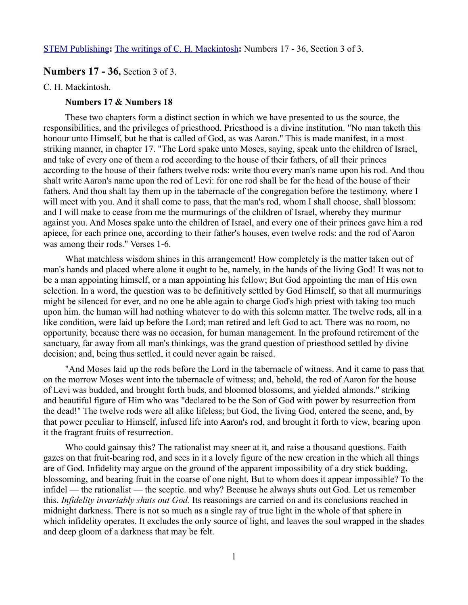[STEM Publishing](http://www.stempublishing.com/)**:** [The writings of C. H. Mackintosh](http://www.stempublishing.com/authors/mackintosh/index.html)**:** Numbers 17 - 36, Section 3 of 3.

# **Numbers 17 - 36,** Section 3 of 3.

C. H. Mackintosh.

### **Numbers 17 & Numbers 18**

These two chapters form a distinct section in which we have presented to us the source, the responsibilities, and the privileges of priesthood. Priesthood is a divine institution. "No man taketh this honour unto Himself, but he that is called of God, as was Aaron." This is made manifest, in a most striking manner, in chapter 17. "The Lord spake unto Moses, saying, speak unto the children of Israel, and take of every one of them a rod according to the house of their fathers, of all their princes according to the house of their fathers twelve rods: write thou every man's name upon his rod. And thou shalt write Aaron's name upon the rod of Levi: for one rod shall be for the head of the house of their fathers. And thou shalt lay them up in the tabernacle of the congregation before the testimony, where I will meet with you. And it shall come to pass, that the man's rod, whom I shall choose, shall blossom: and I will make to cease from me the murmurings of the children of Israel, whereby they murmur against you. And Moses spake unto the children of Israel, and every one of their princes gave him a rod apiece, for each prince one, according to their father's houses, even twelve rods: and the rod of Aaron was among their rods." Verses 1-6.

What matchless wisdom shines in this arrangement! How completely is the matter taken out of man's hands and placed where alone it ought to be, namely, in the hands of the living God! It was not to be a man appointing himself, or a man appointing his fellow; But God appointing the man of His own selection. In a word, the question was to be definitively settled by God Himself, so that all murmurings might be silenced for ever, and no one be able again to charge God's high priest with taking too much upon him. the human will had nothing whatever to do with this solemn matter. The twelve rods, all in a like condition, were laid up before the Lord; man retired and left God to act. There was no room, no opportunity, because there was no occasion, for human management. In the profound retirement of the sanctuary, far away from all man's thinkings, was the grand question of priesthood settled by divine decision; and, being thus settled, it could never again be raised.

"And Moses laid up the rods before the Lord in the tabernacle of witness. And it came to pass that on the morrow Moses went into the tabernacle of witness; and, behold, the rod of Aaron for the house of Levi was budded, and brought forth buds, and bloomed blossoms, and yielded almonds." striking and beautiful figure of Him who was "declared to be the Son of God with power by resurrection from the dead!" The twelve rods were all alike lifeless; but God, the living God, entered the scene, and, by that power peculiar to Himself, infused life into Aaron's rod, and brought it forth to view, bearing upon it the fragrant fruits of resurrection.

Who could gainsay this? The rationalist may sneer at it, and raise a thousand questions. Faith gazes on that fruit-bearing rod, and sees in it a lovely figure of the new creation in the which all things are of God. Infidelity may argue on the ground of the apparent impossibility of a dry stick budding, blossoming, and bearing fruit in the coarse of one night. But to whom does it appear impossible? To the infidel — the rationalist — the sceptic. and why? Because he always shuts out God. Let us remember this. *Infidelity invariably shuts out God.* Its reasonings are carried on and its conclusions reached in midnight darkness. There is not so much as a single ray of true light in the whole of that sphere in which infidelity operates. It excludes the only source of light, and leaves the soul wrapped in the shades and deep gloom of a darkness that may be felt.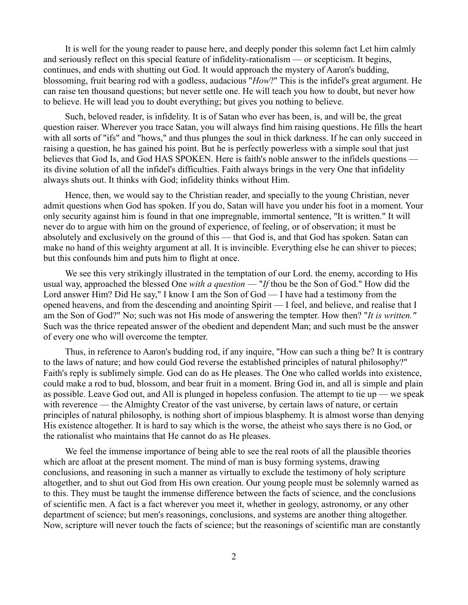It is well for the young reader to pause here, and deeply ponder this solemn fact Let him calmly and seriously reflect on this special feature of infidelity-rationalism — or scepticism. It begins, continues, and ends with shutting out God. It would approach the mystery of Aaron's budding, blossoming, fruit bearing rod with a godless, audacious "*How*?" This is the infidel's great argument. He can raise ten thousand questions; but never settle one. He will teach you how to doubt, but never how to believe. He will lead you to doubt everything; but gives you nothing to believe.

Such, beloved reader, is infidelity. It is of Satan who ever has been, is, and will be, the great question raiser. Wherever you trace Satan, you will always find him raising questions. He fills the heart with all sorts of "ifs" and "hows," and thus plunges the soul in thick darkness. If he can only succeed in raising a question, he has gained his point. But he is perfectly powerless with a simple soul that just believes that God Is, and God HAS SPOKEN. Here is faith's noble answer to the infidels questions its divine solution of all the infidel's difficulties. Faith always brings in the very One that infidelity always shuts out. It thinks with God; infidelity thinks without Him.

Hence, then, we would say to the Christian reader, and specially to the young Christian, never admit questions when God has spoken. If you do, Satan will have you under his foot in a moment. Your only security against him is found in that one impregnable, immortal sentence, "It is written." It will never do to argue with him on the ground of experience, of feeling, or of observation; it must be absolutely and exclusively on the ground of this — that God is, and that God has spoken. Satan can make no hand of this weighty argument at all. It is invincible. Everything else he can shiver to pieces; but this confounds him and puts him to flight at once.

We see this very strikingly illustrated in the temptation of our Lord. the enemy, according to His usual way, approached the blessed One *with a question* — "*If* thou be the Son of God." How did the Lord answer Him? Did He say," I know I am the Son of God — I have had a testimony from the opened heavens, and from the descending and anointing Spirit — I feel, and believe, and realise that I am the Son of God?" No; such was not His mode of answering the tempter. How then? "*It is written."* Such was the thrice repeated answer of the obedient and dependent Man; and such must be the answer of every one who will overcome the tempter.

Thus, in reference to Aaron's budding rod, if any inquire, "How can such a thing be? It is contrary to the laws of nature; and how could God reverse the established principles of natural philosophy?" Faith's reply is sublimely simple. God can do as He pleases. The One who called worlds into existence, could make a rod to bud, blossom, and bear fruit in a moment. Bring God in, and all is simple and plain as possible. Leave God out, and All is plunged in hopeless confusion. The attempt to tie up — we speak with reverence — the Almighty Creator of the vast universe, by certain laws of nature, or certain principles of natural philosophy, is nothing short of impious blasphemy. It is almost worse than denying His existence altogether. It is hard to say which is the worse, the atheist who says there is no God, or the rationalist who maintains that He cannot do as He pleases.

We feel the immense importance of being able to see the real roots of all the plausible theories which are afloat at the present moment. The mind of man is busy forming systems, drawing conclusions, and reasoning in such a manner as virtually to exclude the testimony of holy scripture altogether, and to shut out God from His own creation. Our young people must be solemnly warned as to this. They must be taught the immense difference between the facts of science, and the conclusions of scientific men. A fact is a fact wherever you meet it, whether in geology, astronomy, or any other department of science; but men's reasonings, conclusions, and systems are another thing altogether. Now, scripture will never touch the facts of science; but the reasonings of scientific man are constantly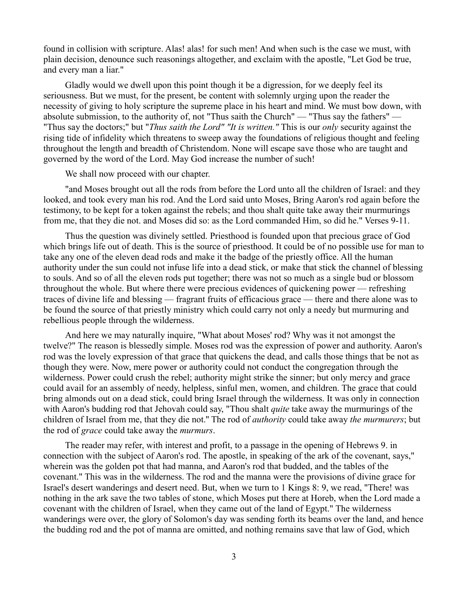found in collision with scripture. Alas! alas! for such men! And when such is the case we must, with plain decision, denounce such reasonings altogether, and exclaim with the apostle, "Let God be true, and every man a liar."

Gladly would we dwell upon this point though it be a digression, for we deeply feel its seriousness. But we must, for the present, be content with solemnly urging upon the reader the necessity of giving to holy scripture the supreme place in his heart and mind. We must bow down, with absolute submission, to the authority of, not "Thus saith the Church" — "Thus say the fathers" — "Thus say the doctors;" but "*Thus saith the Lord" "It is written."* This is our *only* security against the rising tide of infidelity which threatens to sweep away the foundations of religious thought and feeling throughout the length and breadth of Christendom. None will escape save those who are taught and governed by the word of the Lord. May God increase the number of such!

We shall now proceed with our chapter.

"and Moses brought out all the rods from before the Lord unto all the children of Israel: and they looked, and took every man his rod. And the Lord said unto Moses, Bring Aaron's rod again before the testimony, to be kept for a token against the rebels; and thou shalt quite take away their murmurings from me, that they die not. and Moses did so: as the Lord commanded Him, so did he." Verses 9-11.

Thus the question was divinely settled. Priesthood is founded upon that precious grace of God which brings life out of death. This is the source of priesthood. It could be of no possible use for man to take any one of the eleven dead rods and make it the badge of the priestly office. All the human authority under the sun could not infuse life into a dead stick, or make that stick the channel of blessing to souls. And so of all the eleven rods put together; there was not so much as a single bud or blossom throughout the whole. But where there were precious evidences of quickening power — refreshing traces of divine life and blessing — fragrant fruits of efficacious grace — there and there alone was to be found the source of that priestly ministry which could carry not only a needy but murmuring and rebellious people through the wilderness.

And here we may naturally inquire, "What about Moses' rod? Why was it not amongst the twelve?" The reason is blessedly simple. Moses rod was the expression of power and authority. Aaron's rod was the lovely expression of that grace that quickens the dead, and calls those things that be not as though they were. Now, mere power or authority could not conduct the congregation through the wilderness. Power could crush the rebel; authority might strike the sinner; but only mercy and grace could avail for an assembly of needy, helpless, sinful men, women, and children. The grace that could bring almonds out on a dead stick, could bring Israel through the wilderness. It was only in connection with Aaron's budding rod that Jehovah could say, "Thou shalt *quite* take away the murmurings of the children of Israel from me, that they die not.'' The rod of *authority* could take away *the murmurers*; but the rod of *grace* could take away the *murmurs*.

The reader may refer, with interest and profit, to a passage in the opening of Hebrews 9. in connection with the subject of Aaron's rod. The apostle, in speaking of the ark of the covenant, says," wherein was the golden pot that had manna, and Aaron's rod that budded, and the tables of the covenant." This was in the wilderness. The rod and the manna were the provisions of divine grace for Israel's desert wanderings and desert need. But, when we turn to 1 Kings 8: 9, we read, "There! was nothing in the ark save the two tables of stone, which Moses put there at Horeb, when the Lord made a covenant with the children of Israel, when they came out of the land of Egypt." The wilderness wanderings were over, the glory of Solomon's day was sending forth its beams over the land, and hence the budding rod and the pot of manna are omitted, and nothing remains save that law of God, which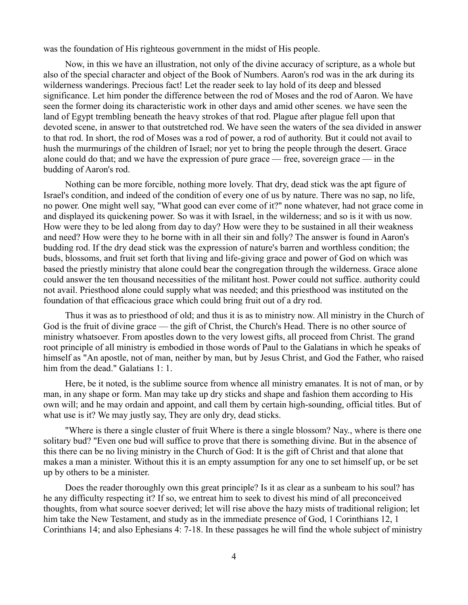was the foundation of His righteous government in the midst of His people.

Now, in this we have an illustration, not only of the divine accuracy of scripture, as a whole but also of the special character and object of the Book of Numbers. Aaron's rod was in the ark during its wilderness wanderings. Precious fact! Let the reader seek to lay hold of its deep and blessed significance. Let him ponder the difference between the rod of Moses and the rod of Aaron. We have seen the former doing its characteristic work in other days and amid other scenes. we have seen the land of Egypt trembling beneath the heavy strokes of that rod. Plague after plague fell upon that devoted scene, in answer to that outstretched rod. We have seen the waters of the sea divided in answer to that rod. In short, the rod of Moses was a rod of power, a rod of authority. But it could not avail to hush the murmurings of the children of Israel; nor yet to bring the people through the desert. Grace alone could do that; and we have the expression of pure grace — free, sovereign grace — in the budding of Aaron's rod.

Nothing can be more forcible, nothing more lovely. That dry, dead stick was the apt figure of Israel's condition, and indeed of the condition of every one of us by nature. There was no sap, no life, no power. One might well say, "What good can ever come of it?" none whatever, had not grace come in and displayed its quickening power. So was it with Israel, in the wilderness; and so is it with us now. How were they to be led along from day to day? How were they to be sustained in all their weakness and need? How were they to he borne with in all their sin and folly? The answer is found in Aaron's budding rod. If the dry dead stick was the expression of nature's barren and worthless condition; the buds, blossoms, and fruit set forth that living and life-giving grace and power of God on which was based the priestly ministry that alone could bear the congregation through the wilderness. Grace alone could answer the ten thousand necessities of the militant host. Power could not suffice. authority could not avail. Priesthood alone could supply what was needed; and this priesthood was instituted on the foundation of that efficacious grace which could bring fruit out of a dry rod.

Thus it was as to priesthood of old; and thus it is as to ministry now. All ministry in the Church of God is the fruit of divine grace — the gift of Christ, the Church's Head. There is no other source of ministry whatsoever. From apostles down to the very lowest gifts, all proceed from Christ. The grand root principle of all ministry is embodied in those words of Paul to the Galatians in which he speaks of himself as "An apostle, not of man, neither by man, but by Jesus Christ, and God the Father, who raised him from the dead." Galatians 1: 1.

Here, be it noted, is the sublime source from whence all ministry emanates. It is not of man, or by man, in any shape or form. Man may take up dry sticks and shape and fashion them according to His own will; and he may ordain and appoint, and call them by certain high-sounding, official titles. But of what use is it? We may justly say, They are only dry, dead sticks.

"Where is there a single cluster of fruit Where is there a single blossom? Nay., where is there one solitary bud? "Even one bud will suffice to prove that there is something divine. But in the absence of this there can be no living ministry in the Church of God: It is the gift of Christ and that alone that makes a man a minister. Without this it is an empty assumption for any one to set himself up, or be set up by others to be a minister.

Does the reader thoroughly own this great principle? Is it as clear as a sunbeam to his soul? has he any difficulty respecting it? If so, we entreat him to seek to divest his mind of all preconceived thoughts, from what source soever derived; let will rise above the hazy mists of traditional religion; let him take the New Testament, and study as in the immediate presence of God, 1 Corinthians 12, 1 Corinthians 14; and also Ephesians 4: 7-18. In these passages he will find the whole subject of ministry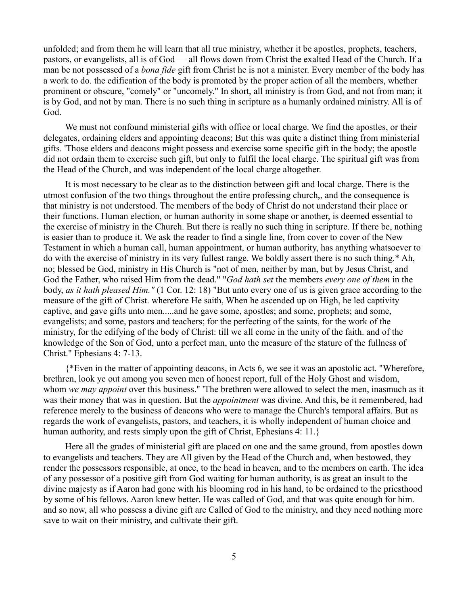unfolded; and from them he will learn that all true ministry, whether it be apostles, prophets, teachers, pastors, or evangelists, all is of God — all flows down from Christ the exalted Head of the Church. If a man be not possessed of a *bona fide* gift from Christ he is not a minister. Every member of the body has a work to do. the edification of the body is promoted by the proper action of all the members, whether prominent or obscure, "comely" or "uncomely." In short, all ministry is from God, and not from man; it is by God, and not by man. There is no such thing in scripture as a humanly ordained ministry. All is of God.

We must not confound ministerial gifts with office or local charge. We find the apostles, or their delegates, ordaining elders and appointing deacons; But this was quite a distinct thing from ministerial gifts. 'Those elders and deacons might possess and exercise some specific gift in the body; the apostle did not ordain them to exercise such gift, but only to fulfil the local charge. The spiritual gift was from the Head of the Church, and was independent of the local charge altogether.

It is most necessary to be clear as to the distinction between gift and local charge. There is the utmost confusion of the two things throughout the entire professing church,, and the consequence is that ministry is not understood. The members of the body of Christ do not understand their place or their functions. Human election, or human authority in some shape or another, is deemed essential to the exercise of ministry in the Church. But there is really no such thing in scripture. If there be, nothing is easier than to produce it. We ask the reader to find a single line, from cover to cover of the New Testament in which a human call, human appointment, or human authority, has anything whatsoever to do with the exercise of ministry in its very fullest range. We boldly assert there is no such thing.\* Ah, no; blessed be God, ministry in His Church is "not of men, neither by man, but by Jesus Christ, and God the Father, who raised Him from the dead." "*God hath set* the members *every one of them* in the body, *as it hath pleased Him."* (1 Cor. 12: 18) "But unto every one of us is given grace according to the measure of the gift of Christ. wherefore He saith, When he ascended up on High, he led captivity captive, and gave gifts unto men.....and he gave some, apostles; and some, prophets; and some, evangelists; and some, pastors and teachers; for the perfecting of the saints, for the work of the ministry, for the edifying of the body of Christ: till we all come in the unity of the faith. and of the knowledge of the Son of God, unto a perfect man, unto the measure of the stature of the fullness of Christ." Ephesians 4: 7-13.

{\*Even in the matter of appointing deacons, in Acts 6, we see it was an apostolic act. "Wherefore, brethren, look ye out among you seven men of honest report, full of the Holy Ghost and wisdom, whom *we may appoint* over this business." 'The brethren were allowed to select the men, inasmuch as it was their money that was in question. But the *appointment* was divine. And this, be it remembered, had reference merely to the business of deacons who were to manage the Church's temporal affairs. But as regards the work of evangelists, pastors, and teachers, it is wholly independent of human choice and human authority, and rests simply upon the gift of Christ, Ephesians 4: 11.

Here all the grades of ministerial gift are placed on one and the same ground, from apostles down to evangelists and teachers. They are All given by the Head of the Church and, when bestowed, they render the possessors responsible, at once, to the head in heaven, and to the members on earth. The idea of any possessor of a positive gift from God waiting for human authority, is as great an insult to the divine majesty as if Aaron had gone with his blooming rod in his hand, to be ordained to the priesthood by some of his fellows. Aaron knew better. He was called of God, and that was quite enough for him. and so now, all who possess a divine gift are Called of God to the ministry, and they need nothing more save to wait on their ministry, and cultivate their gift.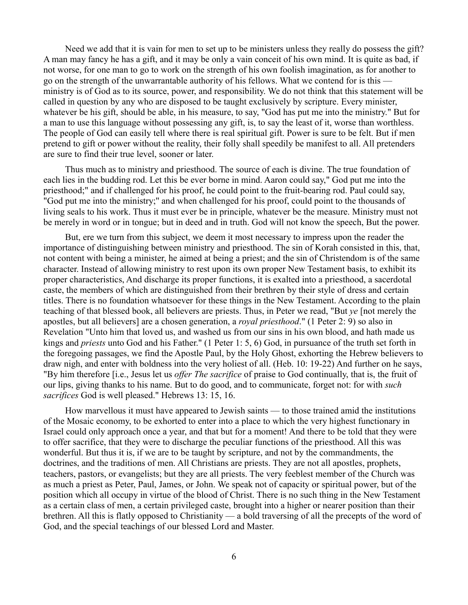Need we add that it is vain for men to set up to be ministers unless they really do possess the gift? A man may fancy he has a gift, and it may be only a vain conceit of his own mind. It is quite as bad, if not worse, for one man to go to work on the strength of his own foolish imagination, as for another to go on the strength of the unwarrantable authority of his fellows. What we contend for is this ministry is of God as to its source, power, and responsibility. We do not think that this statement will be called in question by any who are disposed to be taught exclusively by scripture. Every minister, whatever be his gift, should be able, in his measure, to say, "God has put me into the ministry." But for a man to use this language without possessing any gift, is, to say the least of it, worse than worthless. The people of God can easily tell where there is real spiritual gift. Power is sure to be felt. But if men pretend to gift or power without the reality, their folly shall speedily be manifest to all. All pretenders are sure to find their true level, sooner or later.

Thus much as to ministry and priesthood. The source of each is divine. The true foundation of each lies in the budding rod. Let this be ever borne in mind. Aaron could say," God put me into the priesthood;" and if challenged for his proof, he could point to the fruit-bearing rod. Paul could say, "God put me into the ministry;'' and when challenged for his proof, could point to the thousands of living seals to his work. Thus it must ever be in principle, whatever be the measure. Ministry must not be merely in word or in tongue; but in deed and in truth. God will not know the speech, But the power.

But, ere we turn from this subject, we deem it most necessary to impress upon the reader the importance of distinguishing between ministry and priesthood. The sin of Korah consisted in this, that, not content with being a minister, he aimed at being a priest; and the sin of Christendom is of the same character. Instead of allowing ministry to rest upon its own proper New Testament basis, to exhibit its proper characteristics, And discharge its proper functions, it is exalted into a priesthood, a sacerdotal caste, the members of which are distinguished from their brethren by their style of dress and certain titles. There is no foundation whatsoever for these things in the New Testament. According to the plain teaching of that blessed book, all believers are priests. Thus, in Peter we read, "But *ye* [not merely the apostles, but all believers] are a chosen generation, a *royal priesthood*." (1 Peter 2: 9) so also in Revelation "Unto him that loved us, and washed us from our sins in his own blood, and hath made us kings and *priests* unto God and his Father." (1 Peter 1: 5, 6) God, in pursuance of the truth set forth in the foregoing passages, we find the Apostle Paul, by the Holy Ghost, exhorting the Hebrew believers to draw nigh, and enter with boldness into the very holiest of all. (Heb. 10: 19-22) And further on he says, "By him therefore [i.e., Jesus let us *offer The sacrifice* of praise to God continually, that is, the fruit of our lips, giving thanks to his name. But to do good, and to communicate, forget not: for with *such sacrifices* God is well pleased." Hebrews 13: 15, 16.

How marvellous it must have appeared to Jewish saints — to those trained amid the institutions of the Mosaic economy, to be exhorted to enter into a place to which the very highest functionary in Israel could only approach once a year, and that but for a moment! And there to be told that they were to offer sacrifice, that they were to discharge the peculiar functions of the priesthood. All this was wonderful. But thus it is, if we are to be taught by scripture, and not by the commandments, the doctrines, and the traditions of men. All Christians are priests. They are not all apostles, prophets, teachers, pastors, or evangelists; but they are all priests. The very feeblest member of the Church was as much a priest as Peter, Paul, James, or John. We speak not of capacity or spiritual power, but of the position which all occupy in virtue of the blood of Christ. There is no such thing in the New Testament as a certain class of men, a certain privileged caste, brought into a higher or nearer position than their brethren. All this is flatly opposed to Christianity — a bold traversing of all the precepts of the word of God, and the special teachings of our blessed Lord and Master.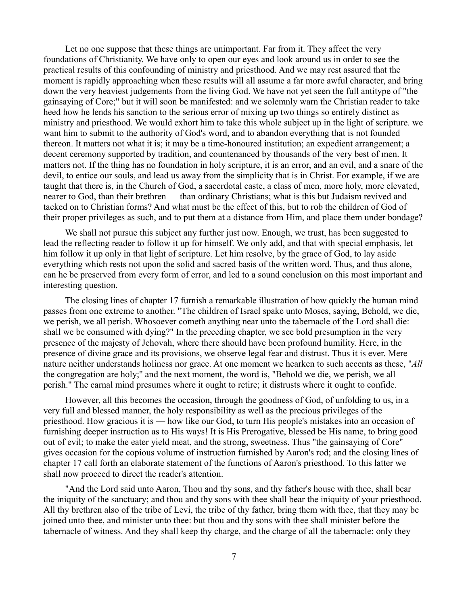Let no one suppose that these things are unimportant. Far from it. They affect the very foundations of Christianity. We have only to open our eyes and look around us in order to see the practical results of this confounding of ministry and priesthood. And we may rest assured that the moment is rapidly approaching when these results will all assume a far more awful character, and bring down the very heaviest judgements from the living God. We have not yet seen the full antitype of "the gainsaying of Core;" but it will soon be manifested: and we solemnly warn the Christian reader to take heed how he lends his sanction to the serious error of mixing up two things so entirely distinct as ministry and priesthood. We would exhort him to take this whole subject up in the light of scripture. we want him to submit to the authority of God's word, and to abandon everything that is not founded thereon. It matters not what it is; it may be a time-honoured institution; an expedient arrangement; a decent ceremony supported by tradition, and countenanced by thousands of the very best of men. It matters not. If the thing has no foundation in holy scripture, it is an error, and an evil, and a snare of the devil, to entice our souls, and lead us away from the simplicity that is in Christ. For example, if we are taught that there is, in the Church of God, a sacerdotal caste, a class of men, more holy, more elevated, nearer to God, than their brethren — than ordinary Christians; what is this but Judaism revived and tacked on to Christian forms? And what must be the effect of this, but to rob the children of God of their proper privileges as such, and to put them at a distance from Him, and place them under bondage?

We shall not pursue this subject any further just now. Enough, we trust, has been suggested to lead the reflecting reader to follow it up for himself. We only add, and that with special emphasis, let him follow it up only in that light of scripture. Let him resolve, by the grace of God, to lay aside everything which rests not upon the solid and sacred basis of the written word. Thus, and thus alone, can he be preserved from every form of error, and led to a sound conclusion on this most important and interesting question.

The closing lines of chapter 17 furnish a remarkable illustration of how quickly the human mind passes from one extreme to another. "The children of Israel spake unto Moses, saying, Behold, we die, we perish, we all perish. Whosoever cometh anything near unto the tabernacle of the Lord shall die: shall we be consumed with dying?" In the preceding chapter, we see bold presumption in the very presence of the majesty of Jehovah, where there should have been profound humility. Here, in the presence of divine grace and its provisions, we observe legal fear and distrust. Thus it is ever. Mere nature neither understands holiness nor grace. At one moment we hearken to such accents as these, "*All* the congregation are holy;'' and the next moment, the word is, "Behold we die, we perish, we all perish." The carnal mind presumes where it ought to retire; it distrusts where it ought to confide.

However, all this becomes the occasion, through the goodness of God, of unfolding to us, in a very full and blessed manner, the holy responsibility as well as the precious privileges of the priesthood. How gracious it is — how like our God, to turn His people's mistakes into an occasion of furnishing deeper instruction as to His ways! It is His Prerogative, blessed be His name, to bring good out of evil; to make the eater yield meat, and the strong, sweetness. Thus "the gainsaying of Core" gives occasion for the copious volume of instruction furnished by Aaron's rod; and the closing lines of chapter 17 call forth an elaborate statement of the functions of Aaron's priesthood. To this latter we shall now proceed to direct the reader's attention.

"And the Lord said unto Aaron, Thou and thy sons, and thy father's house with thee, shall bear the iniquity of the sanctuary; and thou and thy sons with thee shall bear the iniquity of your priesthood. All thy brethren also of the tribe of Levi, the tribe of thy father, bring them with thee, that they may be joined unto thee, and minister unto thee: but thou and thy sons with thee shall minister before the tabernacle of witness. And they shall keep thy charge, and the charge of all the tabernacle: only they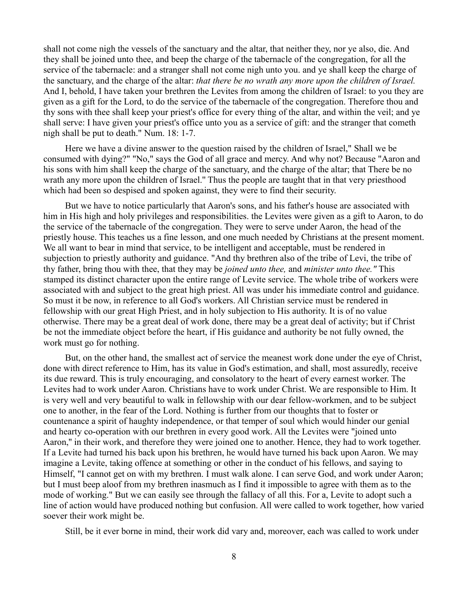shall not come nigh the vessels of the sanctuary and the altar, that neither they, nor ye also, die. And they shall be joined unto thee, and beep the charge of the tabernacle of the congregation, for all the service of the tabernacle: and a stranger shall not come nigh unto you. and ye shall keep the charge of the sanctuary, and the charge of the altar: *that there be no wrath any more upon the children of Israel.* And I, behold, I have taken your brethren the Levites from among the children of Israel: to you they are given as a gift for the Lord, to do the service of the tabernacle of the congregation. Therefore thou and thy sons with thee shall keep your priest's office for every thing of the altar, and within the veil; and ye shall serve: I have given your priest's office unto you as a service of gift: and the stranger that cometh nigh shall be put to death." Num. 18: 1-7.

Here we have a divine answer to the question raised by the children of Israel," Shall we be consumed with dying?" "No," says the God of all grace and mercy. And why not? Because "Aaron and his sons with him shall keep the charge of the sanctuary, and the charge of the altar; that There be no wrath any more upon the children of Israel.'' Thus the people are taught that in that very priesthood which had been so despised and spoken against, they were to find their security.

But we have to notice particularly that Aaron's sons, and his father's house are associated with him in His high and holy privileges and responsibilities. the Levites were given as a gift to Aaron, to do the service of the tabernacle of the congregation. They were to serve under Aaron, the head of the priestly house. This teaches us a fine lesson, and one much needed by Christians at the present moment. We all want to bear in mind that service, to be intelligent and acceptable, must be rendered in subjection to priestly authority and guidance. "And thy brethren also of the tribe of Levi, the tribe of thy father, bring thou with thee, that they may be *joined unto thee,* and *minister unto thee."* This stamped its distinct character upon the entire range of Levite service. The whole tribe of workers were associated with and subject to the great high priest. All was under his immediate control and guidance. So must it be now, in reference to all God's workers. All Christian service must be rendered in fellowship with our great High Priest, and in holy subjection to His authority. It is of no value otherwise. There may be a great deal of work done, there may be a great deal of activity; but if Christ be not the immediate object before the heart, if His guidance and authority be not fully owned, the work must go for nothing.

But, on the other hand, the smallest act of service the meanest work done under the eye of Christ, done with direct reference to Him, has its value in God's estimation, and shall, most assuredly, receive its due reward. This is truly encouraging, and consolatory to the heart of every earnest worker. The Levites had to work under Aaron. Christians have to work under Christ. We are responsible to Him. It is very well and very beautiful to walk in fellowship with our dear fellow-workmen, and to be subject one to another, in the fear of the Lord. Nothing is further from our thoughts that to foster or countenance a spirit of haughty independence, or that temper of soul which would hinder our genial and hearty co-operation with our brethren in every good work. All the Levites were "joined unto Aaron,'' in their work, and therefore they were joined one to another. Hence, they had to work together. If a Levite had turned his back upon his brethren, he would have turned his back upon Aaron. We may imagine a Levite, taking offence at something or other in the conduct of his fellows, and saying to Himself, "I cannot get on with my brethren. I must walk alone. I can serve God, and work under Aaron; but I must beep aloof from my brethren inasmuch as I find it impossible to agree with them as to the mode of working." But we can easily see through the fallacy of all this. For a, Levite to adopt such a line of action would have produced nothing but confusion. All were called to work together, how varied soever their work might be.

Still, be it ever borne in mind, their work did vary and, moreover, each was called to work under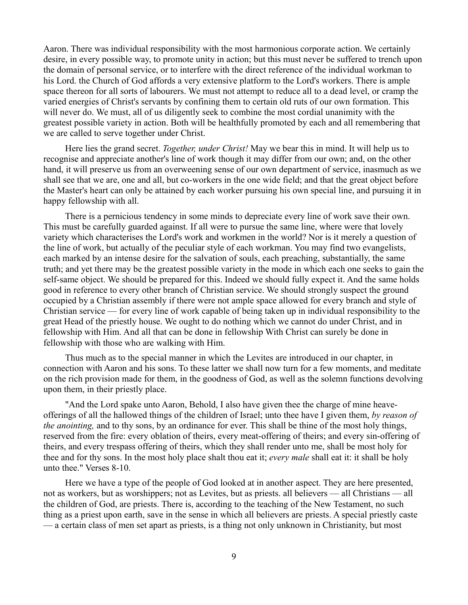Aaron. There was individual responsibility with the most harmonious corporate action. We certainly desire, in every possible way, to promote unity in action; but this must never be suffered to trench upon the domain of personal service, or to interfere with the direct reference of the individual workman to his Lord. the Church of God affords a very extensive platform to the Lord's workers. There is ample space thereon for all sorts of labourers. We must not attempt to reduce all to a dead level, or cramp the varied energies of Christ's servants by confining them to certain old ruts of our own formation. This will never do. We must, all of us diligently seek to combine the most cordial unanimity with the greatest possible variety in action. Both will be healthfully promoted by each and all remembering that we are called to serve together under Christ.

Here lies the grand secret. *Together, under Christ!* May we bear this in mind. It will help us to recognise and appreciate another's line of work though it may differ from our own; and, on the other hand, it will preserve us from an overweening sense of our own department of service, inasmuch as we shall see that we are, one and all, but co-workers in the one wide field; and that the great object before the Master's heart can only be attained by each worker pursuing his own special line, and pursuing it in happy fellowship with all.

There is a pernicious tendency in some minds to depreciate every line of work save their own. This must be carefully guarded against. If all were to pursue the same line, where were that lovely variety which characterises the Lord's work and workmen in the world? Nor is it merely a question of the line of work, but actually of the peculiar style of each workman. You may find two evangelists, each marked by an intense desire for the salvation of souls, each preaching, substantially, the same truth; and yet there may be the greatest possible variety in the mode in which each one seeks to gain the self-same object. We should be prepared for this. Indeed we should fully expect it. And the same holds good in reference to every other branch of Christian service. We should strongly suspect the ground occupied by a Christian assembly if there were not ample space allowed for every branch and style of Christian service — for every line of work capable of being taken up in individual responsibility to the great Head of the priestly house. We ought to do nothing which we cannot do under Christ, and in fellowship with Him. And all that can be done in fellowship With Christ can surely be done in fellowship with those who are walking with Him.

Thus much as to the special manner in which the Levites are introduced in our chapter, in connection with Aaron and his sons. To these latter we shall now turn for a few moments, and meditate on the rich provision made for them, in the goodness of God, as well as the solemn functions devolving upon them, in their priestly place.

"And the Lord spake unto Aaron, Behold, I also have given thee the charge of mine heaveofferings of all the hallowed things of the children of Israel; unto thee have I given them, *by reason of the anointing,* and to thy sons, by an ordinance for ever. This shall be thine of the most holy things, reserved from the fire: every oblation of theirs, every meat-offering of theirs; and every sin-offering of theirs, and every trespass offering of theirs, which they shall render unto me, shall be most holy for thee and for thy sons. In the most holy place shalt thou eat it; *every male* shall eat it: it shall be holy unto thee." Verses 8-10.

Here we have a type of the people of God looked at in another aspect. They are here presented, not as workers, but as worshippers; not as Levites, but as priests. all believers — all Christians — all the children of God, are priests. There is, according to the teaching of the New Testament, no such thing as a priest upon earth, save in the sense in which all believers are priests. A special priestly caste — a certain class of men set apart as priests, is a thing not only unknown in Christianity, but most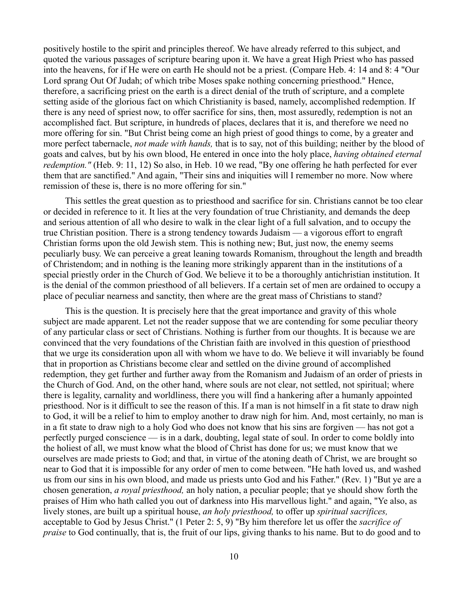positively hostile to the spirit and principles thereof. We have already referred to this subject, and quoted the various passages of scripture bearing upon it. We have a great High Priest who has passed into the heavens, for if He were on earth He should not be a priest. (Compare Heb. 4: 14 and 8: 4 "Our Lord sprang Out Of Judah; of which tribe Moses spake nothing concerning priesthood." Hence, therefore, a sacrificing priest on the earth is a direct denial of the truth of scripture, and a complete setting aside of the glorious fact on which Christianity is based, namely, accomplished redemption. If there is any need of spriest now, to offer sacrifice for sins, then, most assuredly, redemption is not an accomplished fact. But scripture, in hundreds of places, declares that it is, and therefore we need no more offering for sin. "But Christ being come an high priest of good things to come, by a greater and more perfect tabernacle, *not made with hands,* that is to say, not of this building; neither by the blood of goats and calves, but by his own blood, He entered in once into the holy place, *having obtained eternal redemption."* (Heb. 9: 11, 12) So also, in Heb. 10 we read, "By one offering he hath perfected for ever them that are sanctified." And again, "Their sins and iniquities will I remember no more. Now where remission of these is, there is no more offering for sin."

This settles the great question as to priesthood and sacrifice for sin. Christians cannot be too clear or decided in reference to it. It lies at the very foundation of true Christianity, and demands the deep and serious attention of all who desire to walk in the clear light of a full salvation, and to occupy the true Christian position. There is a strong tendency towards Judaism — a vigorous effort to engraft Christian forms upon the old Jewish stem. This is nothing new; But, just now, the enemy seems peculiarly busy. We can perceive a great leaning towards Romanism, throughout the length and breadth of Christendom; and in nothing is the leaning more strikingly apparent than in the institutions of a special priestly order in the Church of God. We believe it to be a thoroughly antichristian institution. It is the denial of the common priesthood of all believers. If a certain set of men are ordained to occupy a place of peculiar nearness and sanctity, then where are the great mass of Christians to stand?

This is the question. It is precisely here that the great importance and gravity of this whole subject are made apparent. Let not the reader suppose that we are contending for some peculiar theory of any particular class or sect of Christians. Nothing is further from our thoughts. It is because we are convinced that the very foundations of the Christian faith are involved in this question of priesthood that we urge its consideration upon all with whom we have to do. We believe it will invariably be found that in proportion as Christians become clear and settled on the divine ground of accomplished redemption, they get further and further away from the Romanism and Judaism of an order of priests in the Church of God. And, on the other hand, where souls are not clear, not settled, not spiritual; where there is legality, carnality and worldliness, there you will find a hankering after a humanly appointed priesthood. Nor is it difficult to see the reason of this. If a man is not himself in a fit state to draw nigh to God, it will be a relief to him to employ another to draw nigh for him. And, most certainly, no man is in a fit state to draw nigh to a holy God who does not know that his sins are forgiven — has not got a perfectly purged conscience — is in a dark, doubting, legal state of soul. In order to come boldly into the holiest of all, we must know what the blood of Christ has done for us; we must know that we ourselves are made priests to God; and that, in virtue of the atoning death of Christ, we are brought so near to God that it is impossible for any order of men to come between. "He hath loved us, and washed us from our sins in his own blood, and made us priests unto God and his Father." (Rev. 1) "But ye are a chosen generation, *a royal priesthood,* an holy nation, a peculiar people; that ye should show forth the praises of Him who hath called you out of darkness into His marvellous light." and again, "Ye also, as lively stones, are built up a spiritual house, *an holy priesthood,* to offer up *spiritual sacrifices,* acceptable to God by Jesus Christ." (1 Peter 2: 5, 9) "By him therefore let us offer the *sacrifice of praise* to God continually, that is, the fruit of our lips, giving thanks to his name. But to do good and to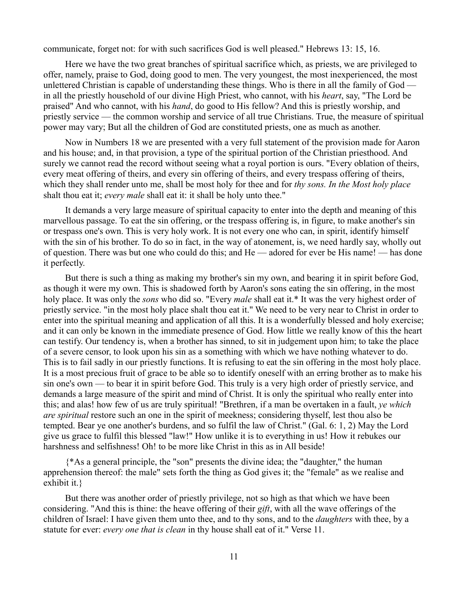communicate, forget not: for with such sacrifices God is well pleased." Hebrews 13: 15, 16.

Here we have the two great branches of spiritual sacrifice which, as priests, we are privileged to offer, namely, praise to God, doing good to men. The very youngest, the most inexperienced, the most unlettered Christian is capable of understanding these things. Who is there in all the family of God in all the priestly household of our divine High Priest, who cannot, with his *heart*, say, "The Lord be praised" And who cannot, with his *hand*, do good to His fellow? And this is priestly worship, and priestly service — the common worship and service of all true Christians. True, the measure of spiritual power may vary; But all the children of God are constituted priests, one as much as another.

Now in Numbers 18 we are presented with a very full statement of the provision made for Aaron and his house; and, in that provision, a type of the spiritual portion of the Christian priesthood. And surely we cannot read the record without seeing what a royal portion is ours. "Every oblation of theirs, every meat offering of theirs, and every sin offering of theirs, and every trespass offering of theirs, which they shall render unto me, shall be most holy for thee and for *thy sons. In the Most holy place* shalt thou eat it; *every male* shall eat it: it shall be holy unto thee."

It demands a very large measure of spiritual capacity to enter into the depth and meaning of this marvellous passage. To eat the sin offering, or the trespass offering is, in figure, to make another's sin or trespass one's own. This is very holy work. It is not every one who can, in spirit, identify himself with the sin of his brother. To do so in fact, in the way of atonement, is, we need hardly say, wholly out of question. There was but one who could do this; and He — adored for ever be His name! — has done it perfectly.

But there is such a thing as making my brother's sin my own, and bearing it in spirit before God, as though it were my own. This is shadowed forth by Aaron's sons eating the sin offering, in the most holy place. It was only the *sons* who did so. "Every *male* shall eat it.\* It was the very highest order of priestly service. "in the most holy place shalt thou eat it." We need to be very near to Christ in order to enter into the spiritual meaning and application of all this. It is a wonderfully blessed and holy exercise; and it can only be known in the immediate presence of God. How little we really know of this the heart can testify. Our tendency is, when a brother has sinned, to sit in judgement upon him; to take the place of a severe censor, to look upon his sin as a something with which we have nothing whatever to do. This is to fail sadly in our priestly functions. It is refusing to eat the sin offering in the most holy place. It is a most precious fruit of grace to be able so to identify oneself with an erring brother as to make his sin one's own — to bear it in spirit before God. This truly is a very high order of priestly service, and demands a large measure of the spirit and mind of Christ. It is only the spiritual who really enter into this; and alas! how few of us are truly spiritual! "Brethren, if a man be overtaken in a fault, *ye which are spiritual* restore such an one in the spirit of meekness; considering thyself, lest thou also be tempted. Bear ye one another's burdens, and so fulfil the law of Christ." (Gal. 6: 1, 2) May the Lord give us grace to fulfil this blessed "law!" How unlike it is to everything in us! How it rebukes our harshness and selfishness! Oh! to be more like Christ in this as in All beside!

{\*As a general principle, the "son" presents the divine idea; the "daughter," the human apprehension thereof: the male" sets forth the thing as God gives it; the "female" as we realise and exhibit it.}

But there was another order of priestly privilege, not so high as that which we have been considering. "And this is thine: the heave offering of their *gift*, with all the wave offerings of the children of Israel: I have given them unto thee, and to thy sons, and to the *daughters* with thee, by a statute for ever: *every one that is clean* in thy house shall eat of it." Verse 11.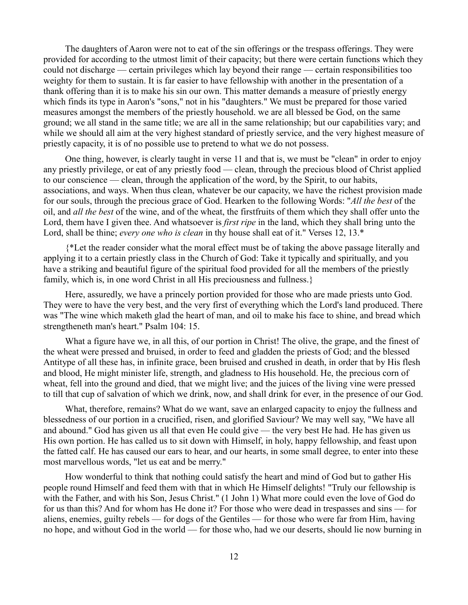The daughters of Aaron were not to eat of the sin offerings or the trespass offerings. They were provided for according to the utmost limit of their capacity; but there were certain functions which they could not discharge — certain privileges which lay beyond their range — certain responsibilities too weighty for them to sustain. It is far easier to have fellowship with another in the presentation of a thank offering than it is to make his sin our own. This matter demands a measure of priestly energy which finds its type in Aaron's "sons," not in his "daughters." We must be prepared for those varied measures amongst the members of the priestly household. we are all blessed be God, on the same ground; we all stand in the same title; we are all in the same relationship; but our capabilities vary; and while we should all aim at the very highest standard of priestly service, and the very highest measure of priestly capacity, it is of no possible use to pretend to what we do not possess.

One thing, however, is clearly taught in verse 11 and that is, we must be "clean" in order to enjoy any priestly privilege, or eat of any priestly food — clean, through the precious blood of Christ applied to our conscience — clean, through the application of the word, by the Spirit, to our habits, associations, and ways. When thus clean, whatever be our capacity, we have the richest provision made for our souls, through the precious grace of God. Hearken to the following Words: "*All the best* of the oil, and *all the best* of the wine, and of the wheat, the firstfruits of them which they shall offer unto the Lord, them have I given thee. And whatsoever is *first ripe* in the land, which they shall bring unto the Lord, shall be thine; *every one who is clean* in thy house shall eat of it." Verses 12, 13.\*

{\*Let the reader consider what the moral effect must be of taking the above passage literally and applying it to a certain priestly class in the Church of God: Take it typically and spiritually, and you have a striking and beautiful figure of the spiritual food provided for all the members of the priestly family, which is, in one word Christ in all His preciousness and fullness.}

Here, assuredly, we have a princely portion provided for those who are made priests unto God. They were to have the very best, and the very first of everything which the Lord's land produced. There was "The wine which maketh glad the heart of man, and oil to make his face to shine, and bread which strengtheneth man's heart." Psalm 104: 15.

What a figure have we, in all this, of our portion in Christ! The olive, the grape, and the finest of the wheat were pressed and bruised, in order to feed and gladden the priests of God; and the blessed Antitype of all these has, in infinite grace, been bruised and crushed in death, in order that by His flesh and blood, He might minister life, strength, and gladness to His household. He, the precious corn of wheat, fell into the ground and died, that we might live; and the juices of the living vine were pressed to till that cup of salvation of which we drink, now, and shall drink for ever, in the presence of our God.

What, therefore, remains? What do we want, save an enlarged capacity to enjoy the fullness and blessedness of our portion in a crucified, risen, and glorified Saviour? We may well say, "We have all and abound." God has given us all that even He could give — the very best He had. He has given us His own portion. He has called us to sit down with Himself, in holy, happy fellowship, and feast upon the fatted calf. He has caused our ears to hear, and our hearts, in some small degree, to enter into these most marvellous words, "let us eat and be merry."

How wonderful to think that nothing could satisfy the heart and mind of God but to gather His people round Himself and feed them with that in which He Himself delights! "Truly our fellowship is with the Father, and with his Son, Jesus Christ." (1 John 1) What more could even the love of God do for us than this? And for whom has He done it? For those who were dead in trespasses and sins — for aliens, enemies, guilty rebels — for dogs of the Gentiles — for those who were far from Him, having no hope, and without God in the world — for those who, had we our deserts, should lie now burning in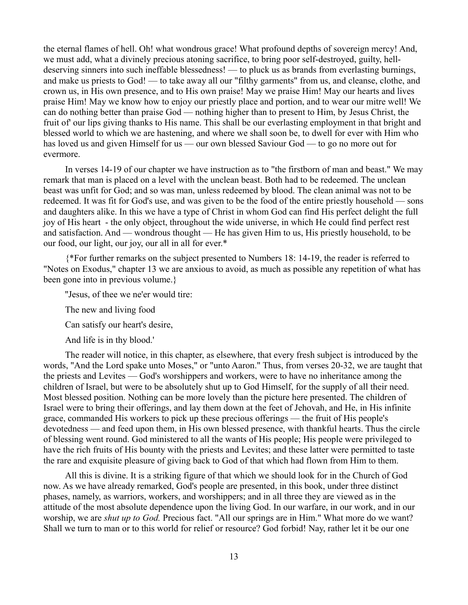the eternal flames of hell. Oh! what wondrous grace! What profound depths of sovereign mercy! And, we must add, what a divinely precious atoning sacrifice, to bring poor self-destroyed, guilty, helldeserving sinners into such ineffable blessedness! — to pluck us as brands from everlasting burnings, and make us priests to God! — to take away all our "filthy garments" from us, and cleanse, clothe, and crown us, in His own presence, and to His own praise! May we praise Him! May our hearts and lives praise Him! May we know how to enjoy our priestly place and portion, and to wear our mitre well! We can do nothing better than praise God — nothing higher than to present to Him, by Jesus Christ, the fruit of' our lips giving thanks to His name. This shall be our everlasting employment in that bright and blessed world to which we are hastening, and where we shall soon be, to dwell for ever with Him who has loved us and given Himself for us — our own blessed Saviour God — to go no more out for evermore.

In verses 14-19 of our chapter we have instruction as to "the firstborn of man and beast." We may remark that man is placed on a level with the unclean beast. Both had to be redeemed. The unclean beast was unfit for God; and so was man, unless redeemed by blood. The clean animal was not to be redeemed. It was fit for God's use, and was given to be the food of the entire priestly household — sons and daughters alike. In this we have a type of Christ in whom God can find His perfect delight the full joy of His heart - the only object, throughout the wide universe, in which He could find perfect rest and satisfaction. And — wondrous thought — He has given Him to us, His priestly household, to be our food, our light, our joy, our all in all for ever.\*

{\*For further remarks on the subject presented to Numbers 18: 14-19, the reader is referred to "Notes on Exodus," chapter 13 we are anxious to avoid, as much as possible any repetition of what has been gone into in previous volume.}

''Jesus, of thee we ne'er would tire:

The new and living food

Can satisfy our heart's desire,

And life is in thy blood.'

The reader will notice, in this chapter, as elsewhere, that every fresh subject is introduced by the words, "And the Lord spake unto Moses," or "unto Aaron." Thus, from verses 20-32, we are taught that the priests and Levites — God's worshippers and workers, were to have no inheritance among the children of Israel, but were to be absolutely shut up to God Himself, for the supply of all their need. Most blessed position. Nothing can be more lovely than the picture here presented. The children of Israel were to bring their offerings, and lay them down at the feet of Jehovah, and He, in His infinite grace, commanded His workers to pick up these precious offerings — the fruit of His people's devotedness — and feed upon them, in His own blessed presence, with thankful hearts. Thus the circle of blessing went round. God ministered to all the wants of His people; His people were privileged to have the rich fruits of His bounty with the priests and Levites; and these latter were permitted to taste the rare and exquisite pleasure of giving back to God of that which had flown from Him to them.

All this is divine. It is a striking figure of that which we should look for in the Church of God now. As we have already remarked, God's people are presented, in this book, under three distinct phases, namely, as warriors, workers, and worshippers; and in all three they are viewed as in the attitude of the most absolute dependence upon the living God. In our warfare, in our work, and in our worship, we are *shut up to God.* Precious fact. "All our springs are in Him." What more do we want? Shall we turn to man or to this world for relief or resource? God forbid! Nay, rather let it be our one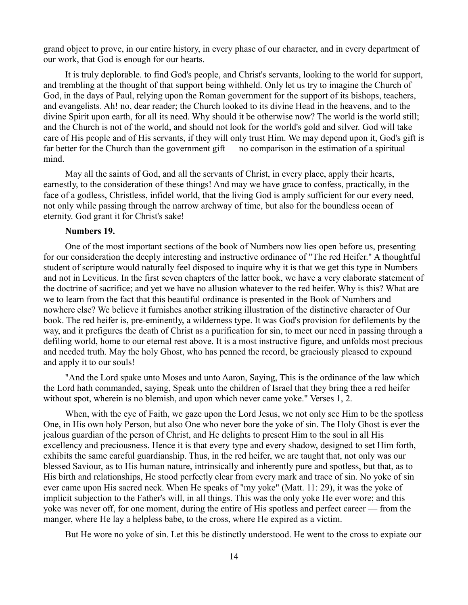grand object to prove, in our entire history, in every phase of our character, and in every department of our work, that God is enough for our hearts.

It is truly deplorable. to find God's people, and Christ's servants, looking to the world for support, and trembling at the thought of that support being withheld. Only let us try to imagine the Church of God, in the days of Paul, relying upon the Roman government for the support of its bishops, teachers, and evangelists. Ah! no, dear reader; the Church looked to its divine Head in the heavens, and to the divine Spirit upon earth, for all its need. Why should it be otherwise now? The world is the world still; and the Church is not of the world, and should not look for the world's gold and silver. God will take care of His people and of His servants, if they will only trust Him. We may depend upon it, God's gift is far better for the Church than the government gift — no comparison in the estimation of a spiritual mind.

May all the saints of God, and all the servants of Christ, in every place, apply their hearts, earnestly, to the consideration of these things! And may we have grace to confess, practically, in the face of a godless, Christless, infidel world, that the living God is amply sufficient for our every need, not only while passing through the narrow archway of time, but also for the boundless ocean of eternity. God grant it for Christ's sake!

# **Numbers 19.**

One of the most important sections of the book of Numbers now lies open before us, presenting for our consideration the deeply interesting and instructive ordinance of "The red Heifer." A thoughtful student of scripture would naturally feel disposed to inquire why it is that we get this type in Numbers and not in Leviticus. In the first seven chapters of the latter book, we have a very elaborate statement of the doctrine of sacrifice; and yet we have no allusion whatever to the red heifer. Why is this? What are we to learn from the fact that this beautiful ordinance is presented in the Book of Numbers and nowhere else? We believe it furnishes another striking illustration of the distinctive character of Our book. The red heifer is, pre-eminently, a wilderness type. It was God's provision for defilements by the way, and it prefigures the death of Christ as a purification for sin, to meet our need in passing through a defiling world, home to our eternal rest above. It is a most instructive figure, and unfolds most precious and needed truth. May the holy Ghost, who has penned the record, be graciously pleased to expound and apply it to our souls!

"And the Lord spake unto Moses and unto Aaron, Saying, This is the ordinance of the law which the Lord hath commanded, saying, Speak unto the children of Israel that they bring thee a red heifer without spot, wherein is no blemish, and upon which never came yoke." Verses 1, 2.

When, with the eye of Faith, we gaze upon the Lord Jesus, we not only see Him to be the spotless One, in His own holy Person, but also One who never bore the yoke of sin. The Holy Ghost is ever the jealous guardian of the person of Christ, and He delights to present Him to the soul in all His excellency and preciousness. Hence it is that every type and every shadow, designed to set Him forth, exhibits the same careful guardianship. Thus, in the red heifer, we are taught that, not only was our blessed Saviour, as to His human nature, intrinsically and inherently pure and spotless, but that, as to His birth and relationships, He stood perfectly clear from every mark and trace of sin. No yoke of sin ever came upon His sacred neck. When He speaks of "my yoke" (Matt. 11: 29), it was the yoke of implicit subjection to the Father's will, in all things. This was the only yoke He ever wore; and this yoke was never off, for one moment, during the entire of His spotless and perfect career — from the manger, where He lay a helpless babe, to the cross, where He expired as a victim.

But He wore no yoke of sin. Let this be distinctly understood. He went to the cross to expiate our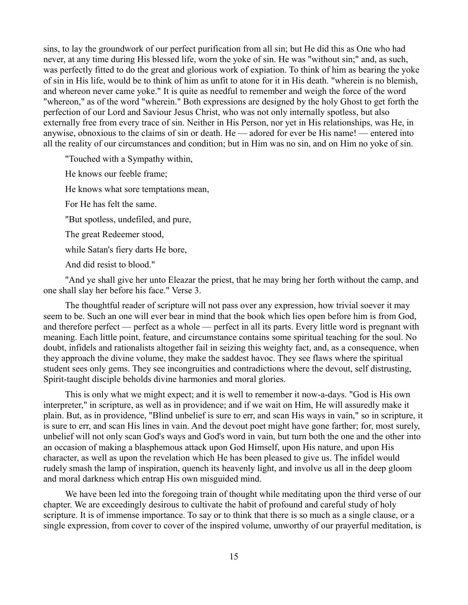sins, to lay the groundwork of our perfect purification from all sin; but He did this as One who had never, at any time during His blessed life, worn the yoke of sin. He was "without sin;" and, as such, was perfectly fitted to do the great and glorious work of expiation. To think of him as bearing the yoke of sin in His life, would be to think of him as unfit to atone for it in His death. "wherein is no blemish, and whereon never came yoke." It is quite as needful to remember and weigh the force of the word "whereon," as of the word "wherein." Both expressions are designed by the holy Ghost to get forth the perfection of our Lord and Saviour Jesus Christ, who was not only internally spotless, but also externally free from every trace of sin. Neither in His Person, nor yet in His relationships, was He, in anywise, obnoxious to the claims of sin or death. He — adored for ever be His name! — entered into all the reality of our circumstances and condition; but in Him was no sin, and on Him no yoke of sin.

"Touched with a Sympathy within,

He knows our feeble frame;

He knows what sore temptations mean,

For He has felt the same.

"But spotless, undefiled, and pure,

The great Redeemer stood,

while Satan's fiery darts He bore,

And did resist to blood."

"And ye shall give her unto Eleazar the priest, that he may bring her forth without the camp, and one shall slay her before his face." Verse 3.

The thoughtful reader of scripture will not pass over any expression, how trivial soever it may seem to be. Such an one will ever bear in mind that the book which lies open before him is from God, and therefore perfect — perfect as a whole — perfect in all its parts. Every little word is pregnant with meaning. Each little point, feature, and circumstance contains some spiritual teaching for the soul. No doubt, infidels and rationalists altogether fail in seizing this weighty fact, and, as a consequence, when they approach the divine volume, they make the saddest havoc. They see flaws where the spiritual student sees only gems. They see incongruities and contradictions where the devout, self distrusting, Spirit-taught disciple beholds divine harmonies and moral glories.

This is only what we might expect; and it is well to remember it now-a-days. "God is His own interpreter," in scripture, as well as in providence; and if we wait on Him, He will assuredly make it plain. But, as in providence, "Blind unbelief is sure to err, and scan His ways in vain," so in scripture, it is sure to err, and scan His lines in vain. And the devout poet might have gone farther; for, most surely, unbelief will not only scan God's ways and God's word in vain, but turn both the one and the other into an occasion of making a blasphemous attack upon God Himself, upon His nature, and upon His character, as well as upon the revelation which He has been pleased to give us. The infidel would rudely smash the lamp of inspiration, quench its heavenly light, and involve us all in the deep gloom and moral darkness which entrap His own misguided mind.

We have been led into the foregoing train of thought while meditating upon the third verse of our chapter. We are exceedingly desirous to cultivate the habit of profound and careful study of holy scripture. It is of immense importance. To say or to think that there is so much as a single clause, or a single expression, from cover to cover of the inspired volume, unworthy of our prayerful meditation, is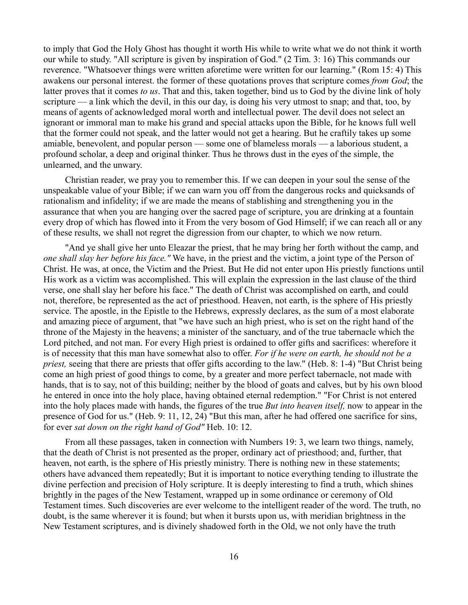to imply that God the Holy Ghost has thought it worth His while to write what we do not think it worth our while to study. "All scripture is given by inspiration of God." (2 Tim. 3: 16) This commands our reverence. "Whatsoever things were written aforetime were written for our learning." (Rom 15: 4) This awakens our personal interest. the former of these quotations proves that scripture comes *from God*; the latter proves that it comes *to us*. That and this, taken together, bind us to God by the divine link of holy scripture — a link which the devil, in this our day, is doing his very utmost to snap; and that, too, by means of agents of acknowledged moral worth and intellectual power. The devil does not select an ignorant or immoral man to make his grand and special attacks upon the Bible, for he knows full well that the former could not speak, and the latter would not get a hearing. But he craftily takes up some amiable, benevolent, and popular person — some one of blameless morals — a laborious student, a profound scholar, a deep and original thinker. Thus he throws dust in the eyes of the simple, the unlearned, and the unwary.

Christian reader, we pray you to remember this. If we can deepen in your soul the sense of the unspeakable value of your Bible; if we can warn you off from the dangerous rocks and quicksands of rationalism and infidelity; if we are made the means of stablishing and strengthening you in the assurance that when you are hanging over the sacred page of scripture, you are drinking at a fountain every drop of which has flowed into it From the very bosom of God Himself; if we can reach all or any of these results, we shall not regret the digression from our chapter, to which we now return.

"And ye shall give her unto Eleazar the priest, that he may bring her forth without the camp, and *one shall slay her before his face."* We have, in the priest and the victim, a joint type of the Person of Christ. He was, at once, the Victim and the Priest. But He did not enter upon His priestly functions until His work as a victim was accomplished. This will explain the expression in the last clause of the third verse, one shall slay her before his face." The death of Christ was accomplished on earth, and could not, therefore, be represented as the act of priesthood. Heaven, not earth, is the sphere of His priestly service. The apostle, in the Epistle to the Hebrews, expressly declares, as the sum of a most elaborate and amazing piece of argument, that "we have such an high priest, who is set on the right hand of the throne of the Majesty in the heavens; a minister of the sanctuary, and of the true tabernacle which the Lord pitched, and not man. For every High priest is ordained to offer gifts and sacrifices: wherefore it is of necessity that this man have somewhat also to offer. *For if he were on earth, he should not be a priest,* seeing that there are priests that offer gifts according to the law." (Heb. 8: 1-4) "But Christ being come an high priest of good things to come, by a greater and more perfect tabernacle, not made with hands, that is to say, not of this building; neither by the blood of goats and calves, but by his own blood he entered in once into the holy place, having obtained eternal redemption." "For Christ is not entered into the holy places made with hands, the figures of the true *But into heaven itself,* now to appear in the presence of God for us." (Heb. 9: 11, 12, 24) "But this man, after he had offered one sacrifice for sins, for ever *sat down on the right hand of God"* Heb. 10: 12.

From all these passages, taken in connection with Numbers 19: 3, we learn two things, namely, that the death of Christ is not presented as the proper, ordinary act of priesthood; and, further, that heaven, not earth, is the sphere of His priestly ministry. There is nothing new in these statements; others have advanced them repeatedly; But it is important to notice everything tending to illustrate the divine perfection and precision of Holy scripture. It is deeply interesting to find a truth, which shines brightly in the pages of the New Testament, wrapped up in some ordinance or ceremony of Old Testament times. Such discoveries are ever welcome to the intelligent reader of the word. The truth, no doubt, is the same wherever it is found; but when it bursts upon us, with meridian brightness in the New Testament scriptures, and is divinely shadowed forth in the Old, we not only have the truth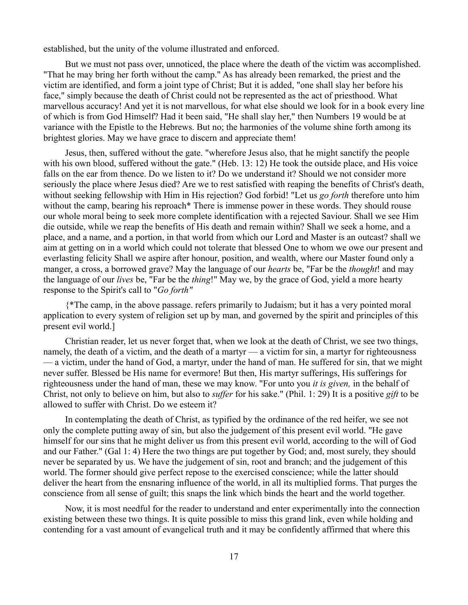established, but the unity of the volume illustrated and enforced.

But we must not pass over, unnoticed, the place where the death of the victim was accomplished. "That he may bring her forth without the camp." As has already been remarked, the priest and the victim are identified, and form a joint type of Christ; But it is added, "one shall slay her before his face," simply because the death of Christ could not be represented as the act of priesthood. What marvellous accuracy! And yet it is not marvellous, for what else should we look for in a book every line of which is from God Himself? Had it been said, "He shall slay her," then Numbers 19 would be at variance with the Epistle to the Hebrews. But no; the harmonies of the volume shine forth among its brightest glories. May we have grace to discern and appreciate them!

Jesus, then, suffered without the gate. "wherefore Jesus also, that he might sanctify the people with his own blood, suffered without the gate." (Heb. 13: 12) He took the outside place, and His voice falls on the ear from thence. Do we listen to it? Do we understand it? Should we not consider more seriously the place where Jesus died? Are we to rest satisfied with reaping the benefits of Christ's death, without seeking fellowship with Him in His rejection? God forbid! "Let us *go forth* therefore unto him without the camp, bearing his reproach\* There is immense power in these words. They should rouse our whole moral being to seek more complete identification with a rejected Saviour. Shall we see Him die outside, while we reap the benefits of His death and remain within? Shall we seek a home, and a place, and a name, and a portion, in that world from which our Lord and Master is an outcast? shall we aim at getting on in a world which could not tolerate that blessed One to whom we owe our present and everlasting felicity Shall we aspire after honour, position, and wealth, where our Master found only a manger, a cross, a borrowed grave? May the language of our *hearts* be, "Far be the *thought*! and may the language of our *lives* be, "Far be the *thing*!" May we, by the grace of God, yield a more hearty response to the Spirit's call to "*Go forth"*

{\*The camp, in the above passage. refers primarily to Judaism; but it has a very pointed moral application to every system of religion set up by man, and governed by the spirit and principles of this present evil world.]

Christian reader, let us never forget that, when we look at the death of Christ, we see two things, namely, the death of a victim, and the death of a martyr — a victim for sin, a martyr for righteousness — a victim, under the hand of God, a martyr, under the hand of man. He suffered for sin, that we might never suffer. Blessed be His name for evermore! But then, His martyr sufferings, His sufferings for righteousness under the hand of man, these we may know. "For unto you *it is given,* in the behalf of Christ, not only to believe on him, but also to *suffer* for his sake." (Phil. 1: 29) It is a positive *gift* to be allowed to suffer with Christ. Do we esteem it?

In contemplating the death of Christ, as typified by the ordinance of the red heifer, we see not only the complete putting away of sin, but also the judgement of this present evil world. "He gave himself for our sins that he might deliver us from this present evil world, according to the will of God and our Father." (Gal 1: 4) Here the two things are put together by God; and, most surely, they should never be separated by us. We have the judgement of sin, root and branch; and the judgement of this world. The former should give perfect repose to the exercised conscience; while the latter should deliver the heart from the ensnaring influence of the world, in all its multiplied forms. That purges the conscience from all sense of guilt; this snaps the link which binds the heart and the world together.

Now, it is most needful for the reader to understand and enter experimentally into the connection existing between these two things. It is quite possible to miss this grand link, even while holding and contending for a vast amount of evangelical truth and it may be confidently affirmed that where this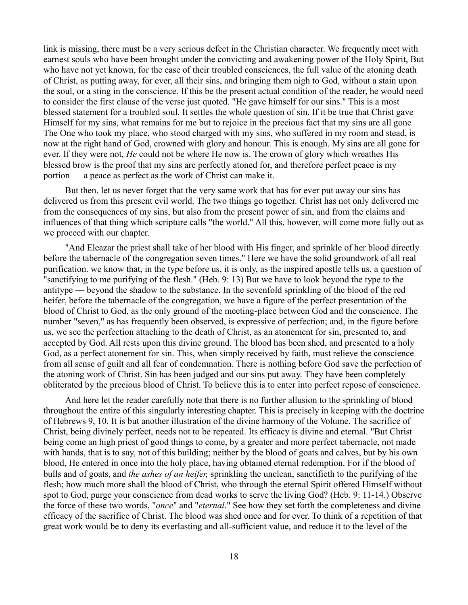link is missing, there must be a very serious defect in the Christian character. We frequently meet with earnest souls who have been brought under the convicting and awakening power of the Holy Spirit, But who have not yet known, for the ease of their troubled consciences, the full value of the atoning death of Christ, as putting away, for ever, all their sins, and bringing them nigh to God, without a stain upon the soul, or a sting in the conscience. If this be the present actual condition of the reader, he would need to consider the first clause of the verse just quoted. "He gave himself for our sins." This is a most blessed statement for a troubled soul. It settles the whole question of sin. If it be true that Christ gave Himself for my sins, what remains for me but to rejoice in the precious fact that my sins are all gone The One who took my place, who stood charged with my sins, who suffered in my room and stead, is now at the right hand of God, crowned with glory and honour. This is enough. My sins are all gone for ever. If they were not, *He* could not be where He now is. The crown of glory which wreathes His blessed brow is the proof that my sins are perfectly atoned for, and therefore perfect peace is my portion — a peace as perfect as the work of Christ can make it.

But then, let us never forget that the very same work that has for ever put away our sins has delivered us from this present evil world. The two things go together. Christ has not only delivered me from the consequences of my sins, but also from the present power of sin, and from the claims and influences of that thing which scripture calls "the world." All this, however, will come more fully out as we proceed with our chapter.

"And Eleazar the priest shall take of her blood with His finger, and sprinkle of her blood directly before the tabernacle of the congregation seven times." Here we have the solid groundwork of all real purification. we know that, in the type before us, it is only, as the inspired apostle tells us, a question of "sanctifying to me purifying of the flesh." (Heb. 9: 13) But we have to look beyond the type to the antitype — beyond the shadow to the substance. In the sevenfold sprinkling of the blood of the red heifer, before the tabernacle of the congregation, we have a figure of the perfect presentation of the blood of Christ to God, as the only ground of the meeting-place between God and the conscience. The number "seven," as has frequently been observed, is expressive of perfection; and, in the figure before us, we see the perfection attaching to the death of Christ, as an atonement for sin, presented to, and accepted by God. All rests upon this divine ground. The blood has been shed, and presented to a holy God, as a perfect atonement for sin. This, when simply received by faith, must relieve the conscience from all sense of guilt and all fear of condemnation. There is nothing before God save the perfection of the atoning work of Christ. Sin has been judged and our sins put away. They have been completely obliterated by the precious blood of Christ. To believe this is to enter into perfect repose of conscience.

And here let the reader carefully note that there is no further allusion to the sprinkling of blood throughout the entire of this singularly interesting chapter. This is precisely in keeping with the doctrine of Hebrews 9, 10. It is but another illustration of the divine harmony of the Volume. The sacrifice of Christ, being divinely perfect, needs not to be repeated. Its efficacy is divine and eternal. "But Christ being come an high priest of good things to come, by a greater and more perfect tabernacle, not made with hands, that is to say, not of this building; neither by the blood of goats and calves, but by his own blood, He entered in once into the holy place, having obtained eternal redemption. For if the blood of bulls and of goats, and *the ashes of an heifer,* sprinkling the unclean, sanctifieth to the purifying of the flesh; how much more shall the blood of Christ, who through the eternal Spirit offered Himself without spot to God, purge your conscience from dead works to serve the living God? (Heb. 9: 11-14.) Observe the force of these two words, "*once*" and "*eternal*." See how they set forth the completeness and divine efficacy of the sacrifice of Christ. The blood was shed once and for ever. To think of a repetition of that great work would be to deny its everlasting and all-sufficient value, and reduce it to the level of the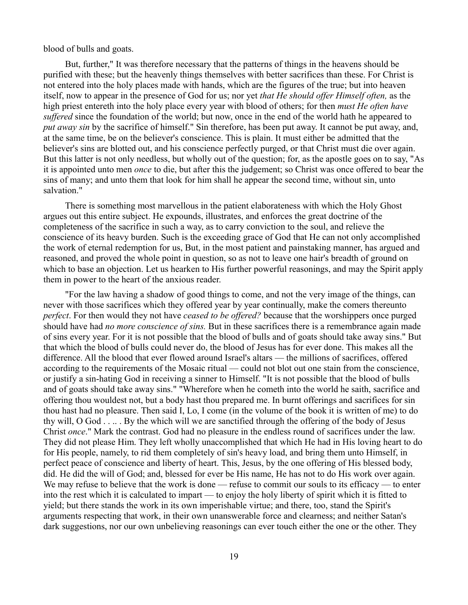blood of bulls and goats.

But, further," It was therefore necessary that the patterns of things in the heavens should be purified with these; but the heavenly things themselves with better sacrifices than these. For Christ is not entered into the holy places made with hands, which are the figures of the true; but into heaven itself, now to appear in the presence of God for us; nor yet *that He should offer Himself often,* as the high priest entereth into the holy place every year with blood of others; for then *must He often have suffered* since the foundation of the world; but now, once in the end of the world hath he appeared to *put away sin* by the sacrifice of himself." Sin therefore, has been put away. It cannot be put away, and, at the same time, be on the believer's conscience. This is plain. It must either be admitted that the believer's sins are blotted out, and his conscience perfectly purged, or that Christ must die over again. But this latter is not only needless, but wholly out of the question; for, as the apostle goes on to say, "As it is appointed unto men *once* to die, but after this the judgement; so Christ was once offered to bear the sins of many; and unto them that look for him shall he appear the second time, without sin, unto salvation."

There is something most marvellous in the patient elaborateness with which the Holy Ghost argues out this entire subject. He expounds, illustrates, and enforces the great doctrine of the completeness of the sacrifice in such a way, as to carry conviction to the soul, and relieve the conscience of its heavy burden. Such is the exceeding grace of God that He can not only accomplished the work of eternal redemption for us, But, in the most patient and painstaking manner, has argued and reasoned, and proved the whole point in question, so as not to leave one hair's breadth of ground on which to base an objection. Let us hearken to His further powerful reasonings, and may the Spirit apply them in power to the heart of the anxious reader.

"For the law having a shadow of good things to come, and not the very image of the things, can never with those sacrifices which they offered year by year continually, make the comers thereunto *perfect*. For then would they not have *ceased to be offered?* because that the worshippers once purged should have had *no more conscience of sins.* But in these sacrifices there is a remembrance again made of sins every year. For it is not possible that the blood of bulls and of goats should take away sins." But that which the blood of bulls could never do, the blood of Jesus has for ever done. This makes all the difference. All the blood that ever flowed around Israel's altars — the millions of sacrifices, offered according to the requirements of the Mosaic ritual — could not blot out one stain from the conscience, or justify a sin-hating God in receiving a sinner to Himself. "It is not possible that the blood of bulls and of goats should take away sins." "Wherefore when he cometh into the world he saith, sacrifice and offering thou wouldest not, but a body hast thou prepared me. In burnt offerings and sacrifices for sin thou hast had no pleasure. Then said I, Lo, I come (in the volume of the book it is written of me) to do thy will, O God . . .. . By the which will we are sanctified through the offering of the body of Jesus Christ *once*." Mark the contrast. God had no pleasure in the endless round of sacrifices under the law. They did not please Him. They left wholly unaccomplished that which He had in His loving heart to do for His people, namely, to rid them completely of sin's heavy load, and bring them unto Himself, in perfect peace of conscience and liberty of heart. This, Jesus, by the one offering of His blessed body, did. He did the will of God; and, blessed for ever be His name, He has not to do His work over again. We may refuse to believe that the work is done — refuse to commit our souls to its efficacy — to enter into the rest which it is calculated to impart — to enjoy the holy liberty of spirit which it is fitted to yield; but there stands the work in its own imperishable virtue; and there, too, stand the Spirit's arguments respecting that work, in their own unanswerable force and clearness; and neither Satan's dark suggestions, nor our own unbelieving reasonings can ever touch either the one or the other. They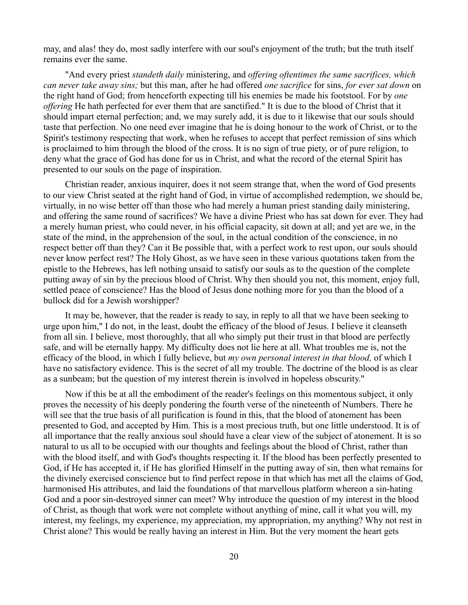may, and alas! they do, most sadly interfere with our soul's enjoyment of the truth; but the truth itself remains ever the same.

"And every priest *standeth daily* ministering, and *offering oftentimes the same sacrifices, which can never take away sins;* but this man, after he had offered *one sacrifice* for sins, *for ever sat down* on the right hand of God; from henceforth expecting till his enemies be made his footstool. For by *one offering* He hath perfected for ever them that are sanctified." It is due to the blood of Christ that it should impart eternal perfection; and, we may surely add, it is due to it likewise that our souls should taste that perfection. No one need ever imagine that he is doing honour to the work of Christ, or to the Spirit's testimony respecting that work, when he refuses to accept that perfect remission of sins which is proclaimed to him through the blood of the cross. It is no sign of true piety, or of pure religion, to deny what the grace of God has done for us in Christ, and what the record of the eternal Spirit has presented to our souls on the page of inspiration.

Christian reader, anxious inquirer, does it not seem strange that, when the word of God presents to our view Christ seated at the right hand of God, in virtue of accomplished redemption, we should be, virtually, in no wise better off than those who had merely a human priest standing daily ministering, and offering the same round of sacrifices? We have a divine Priest who has sat down for ever. They had a merely human priest, who could never, in his official capacity, sit down at all; and yet are we, in the state of the mind, in the apprehension of the soul, in the actual condition of the conscience, in no respect better off than they? Can it Be possible that, with a perfect work to rest upon, our souls should never know perfect rest? The Holy Ghost, as we have seen in these various quotations taken from the epistle to the Hebrews, has left nothing unsaid to satisfy our souls as to the question of the complete putting away of sin by the precious blood of Christ. Why then should you not, this moment, enjoy full, settled peace of conscience? Has the blood of Jesus done nothing more for you than the blood of a bullock did for a Jewish worshipper?

It may be, however, that the reader is ready to say, in reply to all that we have been seeking to urge upon him," I do not, in the least, doubt the efficacy of the blood of Jesus. I believe it cleanseth from all sin. I believe, most thoroughly, that all who simply put their trust in that blood are perfectly safe, and will be eternally happy. My difficulty does not lie here at all. What troubles me is, not the efficacy of the blood, in which I fully believe, but *my own personal interest in that blood,* of which I have no satisfactory evidence. This is the secret of all my trouble. The doctrine of the blood is as clear as a sunbeam; but the question of my interest therein is involved in hopeless obscurity."

Now if this be at all the embodiment of the reader's feelings on this momentous subject, it only proves the necessity of his deeply pondering the fourth verse of the nineteenth of Numbers. There he will see that the true basis of all purification is found in this, that the blood of atonement has been presented to God, and accepted by Him. This is a most precious truth, but one little understood. It is of all importance that the really anxious soul should have a clear view of the subject of atonement. It is so natural to us all to be occupied with our thoughts and feelings about the blood of Christ, rather than with the blood itself, and with God's thoughts respecting it. If the blood has been perfectly presented to God, if He has accepted it, if He has glorified Himself in the putting away of sin, then what remains for the divinely exercised conscience but to find perfect repose in that which has met all the claims of God, harmonised His attributes, and laid the foundations of that marvellous platform whereon a sin-hating God and a poor sin-destroyed sinner can meet? Why introduce the question of my interest in the blood of Christ, as though that work were not complete without anything of mine, call it what you will, my interest, my feelings, my experience, my appreciation, my appropriation, my anything? Why not rest in Christ alone? This would be really having an interest in Him. But the very moment the heart gets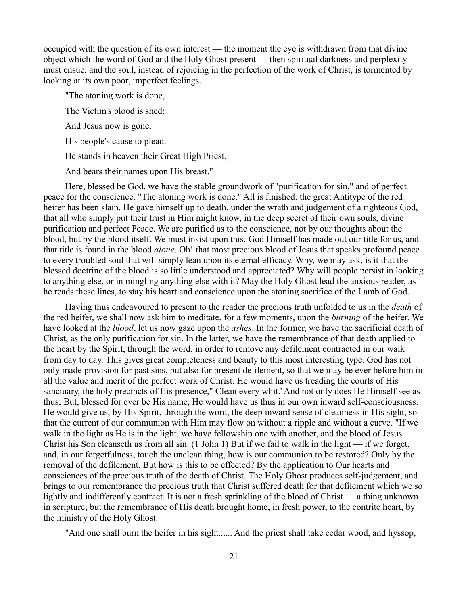occupied with the question of its own interest — the moment the eye is withdrawn from that divine object which the word of God and the Holy Ghost present — then spiritual darkness and perplexity must ensue; and the soul, instead of rejoicing in the perfection of the work of Christ, is tormented by looking at its own poor, imperfect feelings.

"The atoning work is done,

The Victim's blood is shed;

And Jesus now is gone,

His people's cause to plead.

He stands in heaven their Great High Priest,

And bears their names upon His breast."

Here, blessed be God, we have the stable groundwork of "purification for sin," and of perfect peace for the conscience. "The atoning work is done." All is finished. the great Antitype of the red heifer has been slain. He gave himself up to death, under the wrath and judgement of a righteous God, that all who simply put their trust in Him might know, in the deep secret of their own souls, divine purification and perfect Peace. We are purified as to the conscience, not by our thoughts about the blood, but by the blood itself. We must insist upon this. God Himself has made out our title for us, and that title is found in the blood *alone*. Oh! that most precious blood of Jesus that speaks profound peace to every troubled soul that will simply lean upon its eternal efficacy. Why, we may ask, is it that the blessed doctrine of the blood is so little understood and appreciated? Why will people persist in looking to anything else, or in mingling anything else with it? May the Holy Ghost lead the anxious reader, as he reads these lines, to stay his heart and conscience upon the atoning sacrifice of the Lamb of God.

Having thus endeavoured to present to the reader the precious truth unfolded to us in the *death* of the red heifer, we shall now ask him to meditate, for a few moments, upon the *burning* of the heifer. We have looked at the *blood*, let us now gaze upon the *ashes*. In the former, we have the sacrificial death of Christ, as the only purification for sin. In the latter, we have the remembrance of that death applied to the heart by the Spirit, through the word, in order to remove any defilement contracted in our walk from day to day. This gives great completeness and beauty to this most interesting type. God has not only made provision for past sins, but also for present defilement, so that we may be ever before him in all the value and merit of the perfect work of Christ. He would have us treading the courts of His sanctuary, the holy precincts of His presence," Clean every whit.' And not only does He Himself see as thus; But, blessed for ever be His name, He would have us thus in our own inward self-consciousness. He would give us, by His Spirit, through the word, the deep inward sense of cleanness in His sight, so that the current of our communion with Him may flow on without a ripple and without a curve. "If we walk in the light as He is in the light, we have fellowship one with another, and the blood of Jesus Christ his Son cleanseth us from all sin. (1 John 1) But if we fail to walk in the light — if we forget, and, in our forgetfulness, touch the unclean thing, how is our communion to be restored? Only by the removal of the defilement. But how is this to be effected? By the application to Our hearts and consciences of the precious truth of the death of Christ. The Holy Ghost produces self-judgement, and brings to our remembrance the precious truth that Christ suffered death for that defilement which we so lightly and indifferently contract. It is not a fresh sprinkling of the blood of Christ — a thing unknown in scripture; but the remembrance of His death brought home, in fresh power, to the contrite heart, by the ministry of the Holy Ghost.

"And one shall burn the heifer in his sight...... And the priest shall take cedar wood, and hyssop,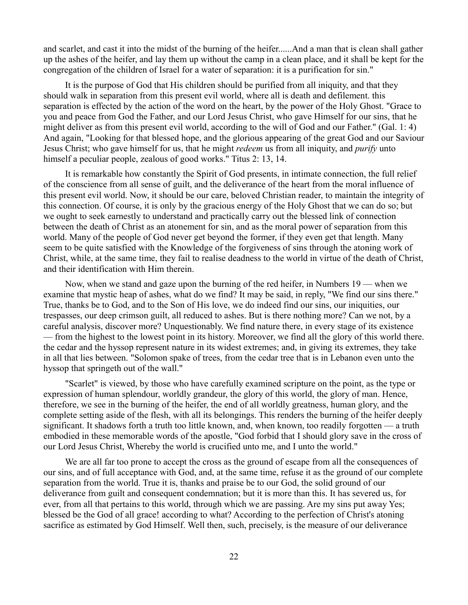and scarlet, and cast it into the midst of the burning of the heifer......And a man that is clean shall gather up the ashes of the heifer, and lay them up without the camp in a clean place, and it shall be kept for the congregation of the children of Israel for a water of separation: it is a purification for sin."

It is the purpose of God that His children should be purified from all iniquity, and that they should walk in separation from this present evil world, where all is death and defilement. this separation is effected by the action of the word on the heart, by the power of the Holy Ghost. "Grace to you and peace from God the Father, and our Lord Jesus Christ, who gave Himself for our sins, that he might deliver as from this present evil world, according to the will of God and our Father." (Gal. 1: 4) And again, "Looking for that blessed hope, and the glorious appearing of the great God and our Saviour Jesus Christ; who gave himself for us, that he might *redeem* us from all iniquity, and *purify* unto himself a peculiar people, zealous of good works." Titus 2: 13, 14.

It is remarkable how constantly the Spirit of God presents, in intimate connection, the full relief of the conscience from all sense of guilt, and the deliverance of the heart from the moral influence of this present evil world. Now, it should be our care, beloved Christian reader, to maintain the integrity of this connection. Of course, it is only by the gracious energy of the Holy Ghost that we can do so; but we ought to seek earnestly to understand and practically carry out the blessed link of connection between the death of Christ as an atonement for sin, and as the moral power of separation from this world. Many of the people of God never get beyond the former, if they even get that length. Many seem to be quite satisfied with the Knowledge of the forgiveness of sins through the atoning work of Christ, while, at the same time, they fail to realise deadness to the world in virtue of the death of Christ, and their identification with Him therein.

Now, when we stand and gaze upon the burning of the red heifer, in Numbers 19 — when we examine that mystic heap of ashes, what do we find? It may be said, in reply, "We find our sins there." True, thanks be to God, and to the Son of His love, we do indeed find our sins, our iniquities, our trespasses, our deep crimson guilt, all reduced to ashes. But is there nothing more? Can we not, by a careful analysis, discover more? Unquestionably. We find nature there, in every stage of its existence — from the highest to the lowest point in its history. Moreover, we find all the glory of this world there. the cedar and the hyssop represent nature in its widest extremes; and, in giving its extremes, they take in all that lies between. "Solomon spake of trees, from the cedar tree that is in Lebanon even unto the hyssop that springeth out of the wall."

"Scarlet" is viewed, by those who have carefully examined scripture on the point, as the type or expression of human splendour, worldly grandeur, the glory of this world, the glory of man. Hence, therefore, we see in the burning of the heifer, the end of all worldly greatness, human glory, and the complete setting aside of the flesh, with all its belongings. This renders the burning of the heifer deeply significant. It shadows forth a truth too little known, and, when known, too readily forgotten — a truth embodied in these memorable words of the apostle, "God forbid that I should glory save in the cross of our Lord Jesus Christ, Whereby the world is crucified unto me, and I unto the world."

We are all far too prone to accept the cross as the ground of escape from all the consequences of our sins, and of full acceptance with God, and, at the same time, refuse it as the ground of our complete separation from the world. True it is, thanks and praise be to our God, the solid ground of our deliverance from guilt and consequent condemnation; but it is more than this. It has severed us, for ever, from all that pertains to this world, through which we are passing. Are my sins put away Yes; blessed be the God of all grace! according to what? According to the perfection of Christ's atoning sacrifice as estimated by God Himself. Well then, such, precisely, is the measure of our deliverance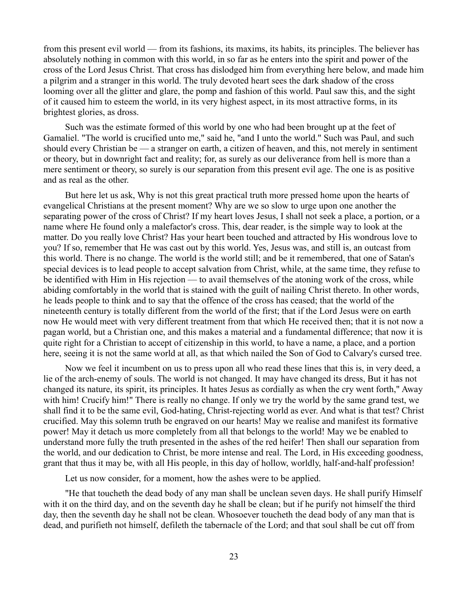from this present evil world — from its fashions, its maxims, its habits, its principles. The believer has absolutely nothing in common with this world, in so far as he enters into the spirit and power of the cross of the Lord Jesus Christ. That cross has dislodged him from everything here below, and made him a pilgrim and a stranger in this world. The truly devoted heart sees the dark shadow of the cross looming over all the glitter and glare, the pomp and fashion of this world. Paul saw this, and the sight of it caused him to esteem the world, in its very highest aspect, in its most attractive forms, in its brightest glories, as dross.

Such was the estimate formed of this world by one who had been brought up at the feet of Gamaliel. "The world is crucified unto me," said he, "and I unto the world." Such was Paul, and such should every Christian be — a stranger on earth, a citizen of heaven, and this, not merely in sentiment or theory, but in downright fact and reality; for, as surely as our deliverance from hell is more than a mere sentiment or theory, so surely is our separation from this present evil age. The one is as positive and as real as the other.

But here let us ask, Why is not this great practical truth more pressed home upon the hearts of evangelical Christians at the present moment? Why are we so slow to urge upon one another the separating power of the cross of Christ? If my heart loves Jesus, I shall not seek a place, a portion, or a name where He found only a malefactor's cross. This, dear reader, is the simple way to look at the matter. Do you really love Christ? Has your heart been touched and attracted by His wondrous love to you? If so, remember that He was cast out by this world. Yes, Jesus was, and still is, an outcast from this world. There is no change. The world is the world still; and be it remembered, that one of Satan's special devices is to lead people to accept salvation from Christ, while, at the same time, they refuse to be identified with Him in His rejection — to avail themselves of the atoning work of the cross, while abiding comfortably in the world that is stained with the guilt of nailing Christ thereto. In other words, he leads people to think and to say that the offence of the cross has ceased; that the world of the nineteenth century is totally different from the world of the first; that if the Lord Jesus were on earth now He would meet with very different treatment from that which He received then; that it is not now a pagan world, but a Christian one, and this makes a material and a fundamental difference; that now it is quite right for a Christian to accept of citizenship in this world, to have a name, a place, and a portion here, seeing it is not the same world at all, as that which nailed the Son of God to Calvary's cursed tree.

Now we feel it incumbent on us to press upon all who read these lines that this is, in very deed, a lie of the arch-enemy of souls. The world is not changed. It may have changed its dress, But it has not changed its nature, its spirit, its principles. It hates Jesus as cordially as when the cry went forth," Away with him! Crucify him!" There is really no change. If only we try the world by the same grand test, we shall find it to be the same evil, God-hating, Christ-rejecting world as ever. And what is that test? Christ crucified. May this solemn truth be engraved on our hearts! May we realise and manifest its formative power! May it detach us more completely from all that belongs to the world! May we be enabled to understand more fully the truth presented in the ashes of the red heifer! Then shall our separation from the world, and our dedication to Christ, be more intense and real. The Lord, in His exceeding goodness, grant that thus it may be, with all His people, in this day of hollow, worldly, half-and-half profession!

Let us now consider, for a moment, how the ashes were to be applied.

"He that toucheth the dead body of any man shall be unclean seven days. He shall purify Himself with it on the third day, and on the seventh day he shall be clean; but if he purify not himself the third day, then the seventh day he shall not be clean. Whosoever toucheth the dead body of any man that is dead, and purifieth not himself, defileth the tabernacle of the Lord; and that soul shall be cut off from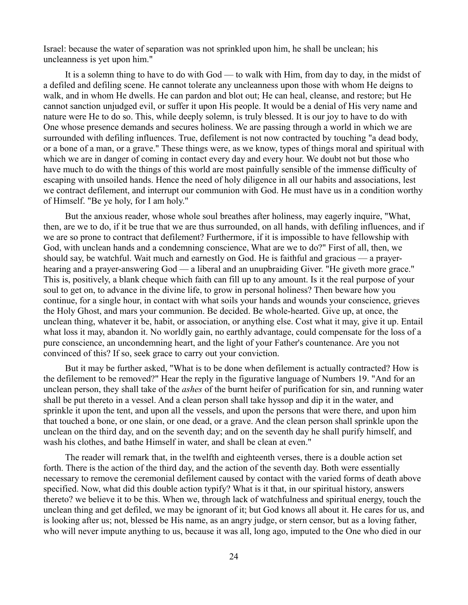Israel: because the water of separation was not sprinkled upon him, he shall be unclean; his uncleanness is yet upon him."

It is a solemn thing to have to do with God — to walk with Him, from day to day, in the midst of a defiled and defiling scene. He cannot tolerate any uncleanness upon those with whom He deigns to walk, and in whom He dwells. He can pardon and blot out; He can heal, cleanse, and restore; but He cannot sanction unjudged evil, or suffer it upon His people. It would be a denial of His very name and nature were He to do so. This, while deeply solemn, is truly blessed. It is our joy to have to do with One whose presence demands and secures holiness. We are passing through a world in which we are surrounded with defiling influences. True, defilement is not now contracted by touching "a dead body, or a bone of a man, or a grave." These things were, as we know, types of things moral and spiritual with which we are in danger of coming in contact every day and every hour. We doubt not but those who have much to do with the things of this world are most painfully sensible of the immense difficulty of escaping with unsoiled hands. Hence the need of holy diligence in all our habits and associations, lest we contract defilement, and interrupt our communion with God. He must have us in a condition worthy of Himself. "Be ye holy, for I am holy."

But the anxious reader, whose whole soul breathes after holiness, may eagerly inquire, "What, then, are we to do, if it be true that we are thus surrounded, on all hands, with defiling influences, and if we are so prone to contract that defilement? Furthermore, if it is impossible to have fellowship with God, with unclean hands and a condemning conscience, What are we to do?" First of all, then, we should say, be watchful. Wait much and earnestly on God. He is faithful and gracious — a prayerhearing and a prayer-answering God — a liberal and an unupbraiding Giver. "He giveth more grace." This is, positively, a blank cheque which faith can fill up to any amount. Is it the real purpose of your soul to get on, to advance in the divine life, to grow in personal holiness? Then beware how you continue, for a single hour, in contact with what soils your hands and wounds your conscience, grieves the Holy Ghost, and mars your communion. Be decided. Be whole-hearted. Give up, at once, the unclean thing, whatever it be, habit, or association, or anything else. Cost what it may, give it up. Entail what loss it may, abandon it. No worldly gain, no earthly advantage, could compensate for the loss of a pure conscience, an uncondemning heart, and the light of your Father's countenance. Are you not convinced of this? If so, seek grace to carry out your conviction.

But it may be further asked, "What is to be done when defilement is actually contracted? How is the defilement to be removed?" Hear the reply in the figurative language of Numbers 19. "And for an unclean person, they shall take of the *ashes* of the burnt heifer of purification for sin, and running water shall be put thereto in a vessel. And a clean person shall take hyssop and dip it in the water, and sprinkle it upon the tent, and upon all the vessels, and upon the persons that were there, and upon him that touched a bone, or one slain, or one dead, or a grave. And the clean person shall sprinkle upon the unclean on the third day, and on the seventh day; and on the seventh day he shall purify himself, and wash his clothes, and bathe Himself in water, and shall be clean at even."

The reader will remark that, in the twelfth and eighteenth verses, there is a double action set forth. There is the action of the third day, and the action of the seventh day. Both were essentially necessary to remove the ceremonial defilement caused by contact with the varied forms of death above specified. Now, what did this double action typify? What is it that, in our spiritual history, answers thereto? we believe it to be this. When we, through lack of watchfulness and spiritual energy, touch the unclean thing and get defiled, we may be ignorant of it; but God knows all about it. He cares for us, and is looking after us; not, blessed be His name, as an angry judge, or stern censor, but as a loving father, who will never impute anything to us, because it was all, long ago, imputed to the One who died in our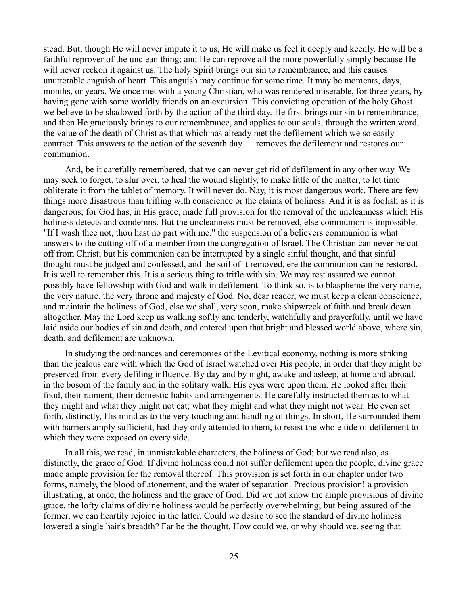stead. But, though He will never impute it to us, He will make us feel it deeply and keenly. He will be a faithful reprover of the unclean thing; and He can reprove all the more powerfully simply because He will never reckon it against us. The holy Spirit brings our sin to remembrance, and this causes unutterable anguish of heart. This anguish may continue for some time. It may be moments, days, months, or years. We once met with a young Christian, who was rendered miserable, for three years, by having gone with some worldly friends on an excursion. This convicting operation of the holy Ghost we believe to be shadowed forth by the action of the third day. He first brings our sin to remembrance; and then He graciously brings to our remembrance, and applies to our souls, through the written word, the value of the death of Christ as that which has already met the defilement which we so easily contract. This answers to the action of the seventh day — removes the defilement and restores our communion.

And, be it carefully remembered, that we can never get rid of defilement in any other way. We may seek to forget, to slur over, to heal the wound slightly, to make little of the matter, to let time obliterate it from the tablet of memory. It will never do. Nay, it is most dangerous work. There are few things more disastrous than trifling with conscience or the claims of holiness. And it is as foolish as it is dangerous; for God has, in His grace, made full provision for the removal of the uncleanness which His holiness detects and condemns. But the uncleanness must be removed, else communion is impossible. "If I wash thee not, thou hast no part with me." the suspension of a believers communion is what answers to the cutting off of a member from the congregation of Israel. The Christian can never be cut off from Christ; but his communion can be interrupted by a single sinful thought, and that sinful thought must be judged and confessed, and the soil of it removed, ere the communion can be restored. It is well to remember this. It is a serious thing to trifle with sin. We may rest assured we cannot possibly have fellowship with God and walk in defilement. To think so, is to blaspheme the very name, the very nature, the very throne and majesty of God. No, dear reader, we must keep a clean conscience, and maintain the holiness of God, else we shall, very soon, make shipwreck of faith and break down altogether. May the Lord keep us walking softly and tenderly, watchfully and prayerfully, until we have laid aside our bodies of sin and death, and entered upon that bright and blessed world above, where sin, death, and defilement are unknown.

In studying the ordinances and ceremonies of the Levitical economy, nothing is more striking than the jealous care with which the God of Israel watched over His people, in order that they might be preserved from every defiling influence. By day and by night, awake and asleep, at home and abroad, in the bosom of the family and in the solitary walk, His eyes were upon them. He looked after their food, their raiment, their domestic habits and arrangements. He carefully instructed them as to what they might and what they might not eat; what they might and what they might not wear. He even set forth, distinctly, His mind as to the very touching and handling of things. In short, He surrounded them with barriers amply sufficient, had they only attended to them, to resist the whole tide of defilement to which they were exposed on every side.

In all this, we read, in unmistakable characters, the holiness of God; but we read also, as distinctly, the grace of God. If divine holiness could not suffer defilement upon the people, divine grace made ample provision for the removal thereof. This provision is set forth in our chapter under two forms, namely, the blood of atonement, and the water of separation. Precious provision! a provision illustrating, at once, the holiness and the grace of God. Did we not know the ample provisions of divine grace, the lofty claims of divine holiness would be perfectly overwhelming; but being assured of the former, we can heartily rejoice in the latter. Could we desire to see the standard of divine holiness lowered a single hair's breadth? Far be the thought. How could we, or why should we, seeing that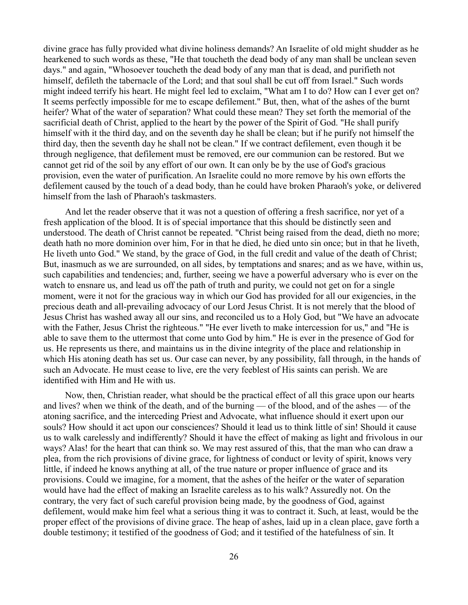divine grace has fully provided what divine holiness demands? An Israelite of old might shudder as he hearkened to such words as these, "He that toucheth the dead body of any man shall be unclean seven days." and again, "Whosoever toucheth the dead body of any man that is dead, and purifieth not himself, defileth the tabernacle of the Lord; and that soul shall be cut off from Israel." Such words might indeed terrify his heart. He might feel led to exclaim, "What am I to do? How can I ever get on? It seems perfectly impossible for me to escape defilement." But, then, what of the ashes of the burnt heifer? What of the water of separation? What could these mean? They set forth the memorial of the sacrificial death of Christ, applied to the heart by the power of the Spirit of God. "He shall purify himself with it the third day, and on the seventh day he shall be clean; but if he purify not himself the third day, then the seventh day he shall not be clean." If we contract defilement, even though it be through negligence, that defilement must be removed, ere our communion can be restored. But we cannot get rid of the soil by any effort of our own. It can only be by the use of God's gracious provision, even the water of purification. An Israelite could no more remove by his own efforts the defilement caused by the touch of a dead body, than he could have broken Pharaoh's yoke, or delivered himself from the lash of Pharaoh's taskmasters.

And let the reader observe that it was not a question of offering a fresh sacrifice, nor yet of a fresh application of the blood. It is of special importance that this should be distinctly seen and understood. The death of Christ cannot be repeated. "Christ being raised from the dead, dieth no more; death hath no more dominion over him, For in that he died, he died unto sin once; but in that he liveth, He liveth unto God." We stand, by the grace of God, in the full credit and value of the death of Christ; But, inasmuch as we are surrounded, on all sides, by temptations and snares; and as we have, within us, such capabilities and tendencies; and, further, seeing we have a powerful adversary who is ever on the watch to ensnare us, and lead us off the path of truth and purity, we could not get on for a single moment, were it not for the gracious way in which our God has provided for all our exigencies, in the precious death and all-prevailing advocacy of our Lord Jesus Christ. It is not merely that the blood of Jesus Christ has washed away all our sins, and reconciled us to a Holy God, but "We have an advocate with the Father, Jesus Christ the righteous." "He ever liveth to make intercession for us," and "He is able to save them to the uttermost that come unto God by him." He is ever in the presence of God for us. He represents us there, and maintains us in the divine integrity of the place and relationship in which His atoning death has set us. Our case can never, by any possibility, fall through, in the hands of such an Advocate. He must cease to live, ere the very feeblest of His saints can perish. We are identified with Him and He with us.

Now, then, Christian reader, what should be the practical effect of all this grace upon our hearts and lives? when we think of the death, and of the burning — of the blood, and of the ashes — of the atoning sacrifice, and the interceding Priest and Advocate, what influence should it exert upon our souls? How should it act upon our consciences? Should it lead us to think little of sin! Should it cause us to walk carelessly and indifferently? Should it have the effect of making as light and frivolous in our ways? Alas! for the heart that can think so. We may rest assured of this, that the man who can draw a plea, from the rich provisions of divine grace, for lightness of conduct or levity of spirit, knows very little, if indeed he knows anything at all, of the true nature or proper influence of grace and its provisions. Could we imagine, for a moment, that the ashes of the heifer or the water of separation would have had the effect of making an Israelite careless as to his walk? Assuredly not. On the contrary, the very fact of such careful provision being made, by the goodness of God, against defilement, would make him feel what a serious thing it was to contract it. Such, at least, would be the proper effect of the provisions of divine grace. The heap of ashes, laid up in a clean place, gave forth a double testimony; it testified of the goodness of God; and it testified of the hatefulness of sin. It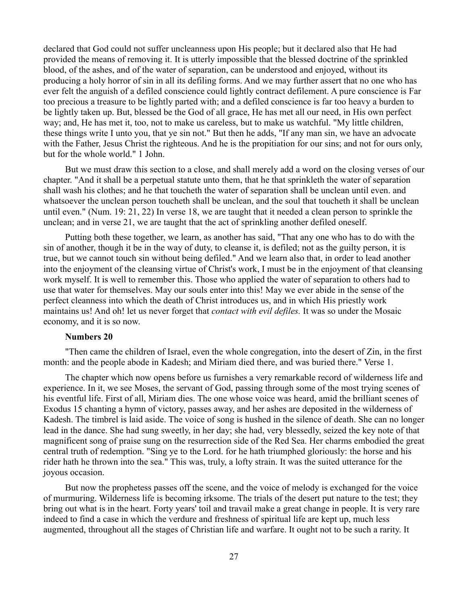declared that God could not suffer uncleanness upon His people; but it declared also that He had provided the means of removing it. It is utterly impossible that the blessed doctrine of the sprinkled blood, of the ashes, and of the water of separation, can be understood and enjoyed, without its producing a holy horror of sin in all its defiling forms. And we may further assert that no one who has ever felt the anguish of a defiled conscience could lightly contract defilement. A pure conscience is Far too precious a treasure to be lightly parted with; and a defiled conscience is far too heavy a burden to be lightly taken up. But, blessed be the God of all grace, He has met all our need, in His own perfect way; and, He has met it, too, not to make us careless, but to make us watchful. "My little children, these things write I unto you, that ye sin not." But then he adds, "If any man sin, we have an advocate with the Father, Jesus Christ the righteous. And he is the propitiation for our sins; and not for ours only, but for the whole world." 1 John.

But we must draw this section to a close, and shall merely add a word on the closing verses of our chapter. "And it shall be a perpetual statute unto them, that he that sprinkleth the water of separation shall wash his clothes; and he that toucheth the water of separation shall be unclean until even. and whatsoever the unclean person toucheth shall be unclean, and the soul that toucheth it shall be unclean until even." (Num. 19: 21, 22) In verse 18, we are taught that it needed a clean person to sprinkle the unclean; and in verse 21, we are taught that the act of sprinkling another defiled oneself.

Putting both these together, we learn, as another has said, "That any one who has to do with the sin of another, though it be in the way of duty, to cleanse it, is defiled; not as the guilty person, it is true, but we cannot touch sin without being defiled." And we learn also that, in order to lead another into the enjoyment of the cleansing virtue of Christ's work, I must be in the enjoyment of that cleansing work myself. It is well to remember this. Those who applied the water of separation to others had to use that water for themselves. May our souls enter into this! May we ever abide in the sense of the perfect cleanness into which the death of Christ introduces us, and in which His priestly work maintains us! And oh! let us never forget that *contact with evil defiles.* It was so under the Mosaic economy, and it is so now.

#### **Numbers 20**

"Then came the children of Israel, even the whole congregation, into the desert of Zin, in the first month: and the people abode in Kadesh; and Miriam died there, and was buried there." Verse 1.

The chapter which now opens before us furnishes a very remarkable record of wilderness life and experience. In it, we see Moses, the servant of God, passing through some of the most trying scenes of his eventful life. First of all, Miriam dies. The one whose voice was heard, amid the brilliant scenes of Exodus 15 chanting a hymn of victory, passes away, and her ashes are deposited in the wilderness of Kadesh. The timbrel is laid aside. The voice of song is hushed in the silence of death. She can no longer lead in the dance. She had sung sweetly, in her day; she had, very blessedly, seized the key note of that magnificent song of praise sung on the resurrection side of the Red Sea. Her charms embodied the great central truth of redemption. "Sing ye to the Lord. for he hath triumphed gloriously: the horse and his rider hath he thrown into the sea." This was, truly, a lofty strain. It was the suited utterance for the joyous occasion.

But now the prophetess passes off the scene, and the voice of melody is exchanged for the voice of murmuring. Wilderness life is becoming irksome. The trials of the desert put nature to the test; they bring out what is in the heart. Forty years' toil and travail make a great change in people. It is very rare indeed to find a case in which the verdure and freshness of spiritual life are kept up, much less augmented, throughout all the stages of Christian life and warfare. It ought not to be such a rarity. It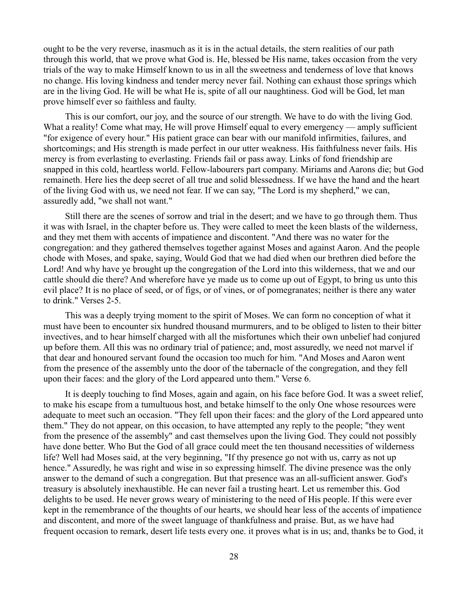ought to be the very reverse, inasmuch as it is in the actual details, the stern realities of our path through this world, that we prove what God is. He, blessed be His name, takes occasion from the very trials of the way to make Himself known to us in all the sweetness and tenderness of love that knows no change. His loving kindness and tender mercy never fail. Nothing can exhaust those springs which are in the living God. He will be what He is, spite of all our naughtiness. God will be God, let man prove himself ever so faithless and faulty.

This is our comfort, our joy, and the source of our strength. We have to do with the living God. What a reality! Come what may, He will prove Himself equal to every emergency — amply sufficient "for exigence of every hour." His patient grace can bear with our manifold infirmities, failures, and shortcomings; and His strength is made perfect in our utter weakness. His faithfulness never fails. His mercy is from everlasting to everlasting. Friends fail or pass away. Links of fond friendship are snapped in this cold, heartless world. Fellow-labourers part company. Miriams and Aarons die; but God remaineth. Here lies the deep secret of all true and solid blessedness. If we have the hand and the heart of the living God with us, we need not fear. If we can say, "The Lord is my shepherd," we can, assuredly add, "we shall not want."

Still there are the scenes of sorrow and trial in the desert; and we have to go through them. Thus it was with Israel, in the chapter before us. They were called to meet the keen blasts of the wilderness, and they met them with accents of impatience and discontent. "And there was no water for the congregation: and they gathered themselves together against Moses and against Aaron. And the people chode with Moses, and spake, saying, Would God that we had died when our brethren died before the Lord! And why have ye brought up the congregation of the Lord into this wilderness, that we and our cattle should die there? And wherefore have ye made us to come up out of Egypt, to bring us unto this evil place? It is no place of seed, or of figs, or of vines, or of pomegranates; neither is there any water to drink." Verses 2-5.

This was a deeply trying moment to the spirit of Moses. We can form no conception of what it must have been to encounter six hundred thousand murmurers, and to be obliged to listen to their bitter invectives, and to hear himself charged with all the misfortunes which their own unbelief had conjured up before them. All this was no ordinary trial of patience; and, most assuredly, we need not marvel if that dear and honoured servant found the occasion too much for him. "And Moses and Aaron went from the presence of the assembly unto the door of the tabernacle of the congregation, and they fell upon their faces: and the glory of the Lord appeared unto them." Verse 6.

It is deeply touching to find Moses, again and again, on his face before God. It was a sweet relief, to make his escape from a tumultuous host, and betake himself to the only One whose resources were adequate to meet such an occasion. "They fell upon their faces: and the glory of the Lord appeared unto them." They do not appear, on this occasion, to have attempted any reply to the people; "they went from the presence of the assembly" and cast themselves upon the living God. They could not possibly have done better. Who But the God of all grace could meet the ten thousand necessities of wilderness life? Well had Moses said, at the very beginning, "If thy presence go not with us, carry as not up hence." Assuredly, he was right and wise in so expressing himself. The divine presence was the only answer to the demand of such a congregation. But that presence was an all-sufficient answer. God's treasury is absolutely inexhaustible. He can never fail a trusting heart. Let us remember this. God delights to be used. He never grows weary of ministering to the need of His people. If this were ever kept in the remembrance of the thoughts of our hearts, we should hear less of the accents of impatience and discontent, and more of the sweet language of thankfulness and praise. But, as we have had frequent occasion to remark, desert life tests every one. it proves what is in us; and, thanks be to God, it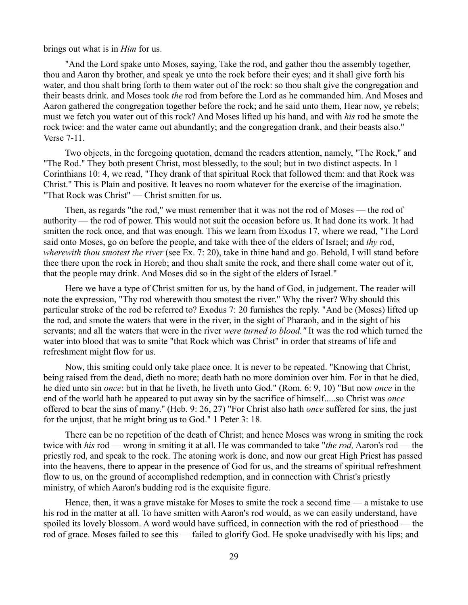brings out what is in *Him* for us.

"And the Lord spake unto Moses, saying, Take the rod, and gather thou the assembly together, thou and Aaron thy brother, and speak ye unto the rock before their eyes; and it shall give forth his water, and thou shalt bring forth to them water out of the rock: so thou shalt give the congregation and their beasts drink. and Moses took *the* rod from before the Lord as he commanded him. And Moses and Aaron gathered the congregation together before the rock; and he said unto them, Hear now, ye rebels; must we fetch you water out of this rock? And Moses lifted up his hand, and with *his* rod he smote the rock twice: and the water came out abundantly; and the congregation drank, and their beasts also." Verse 7-11.

Two objects, in the foregoing quotation, demand the readers attention, namely, "The Rock," and "The Rod." They both present Christ, most blessedly, to the soul; but in two distinct aspects. In 1 Corinthians 10: 4, we read, "They drank of that spiritual Rock that followed them: and that Rock was Christ." This is Plain and positive. It leaves no room whatever for the exercise of the imagination. "That Rock was Christ" — Christ smitten for us.

Then, as regards "the rod," we must remember that it was not the rod of Moses — the rod of authority — the rod of power. This would not suit the occasion before us. It had done its work. It had smitten the rock once, and that was enough. This we learn from Exodus 17, where we read, "The Lord said onto Moses, go on before the people, and take with thee of the elders of Israel; and *thy* rod, *wherewith thou smotest the river* (see Ex. 7: 20), take in thine hand and go. Behold, I will stand before thee there upon the rock in Horeb; and thou shalt smite the rock, and there shall come water out of it, that the people may drink. And Moses did so in the sight of the elders of Israel."

Here we have a type of Christ smitten for us, by the hand of God, in judgement. The reader will note the expression, "Thy rod wherewith thou smotest the river." Why the river? Why should this particular stroke of the rod be referred to? Exodus 7: 20 furnishes the reply. "And be (Moses) lifted up the rod, and smote the waters that were in the river, in the sight of Pharaoh, and in the sight of his servants; and all the waters that were in the river *were turned to blood."* It was the rod which turned the water into blood that was to smite "that Rock which was Christ" in order that streams of life and refreshment might flow for us.

Now, this smiting could only take place once. It is never to be repeated. "Knowing that Christ, being raised from the dead, dieth no more; death hath no more dominion over him. For in that he died, he died unto sin *once*: but in that he liveth, he liveth unto God." (Rom. 6: 9, 10) "But now *once* in the end of the world hath he appeared to put away sin by the sacrifice of himself.....so Christ was *once* offered to bear the sins of many.'' (Heb. 9: 26, 27) "For Christ also hath *once* suffered for sins, the just for the unjust, that he might bring us to God." 1 Peter 3: 18.

There can be no repetition of the death of Christ; and hence Moses was wrong in smiting the rock twice with *his* rod — wrong in smiting it at all. He was commanded to take "*the rod,* Aaron's rod — the priestly rod, and speak to the rock. The atoning work is done, and now our great High Priest has passed into the heavens, there to appear in the presence of God for us, and the streams of spiritual refreshment flow to us, on the ground of accomplished redemption, and in connection with Christ's priestly ministry, of which Aaron's budding rod is the exquisite figure.

Hence, then, it was a grave mistake for Moses to smite the rock a second time — a mistake to use his rod in the matter at all. To have smitten with Aaron's rod would, as we can easily understand, have spoiled its lovely blossom. A word would have sufficed, in connection with the rod of priesthood — the rod of grace. Moses failed to see this — failed to glorify God. He spoke unadvisedly with his lips; and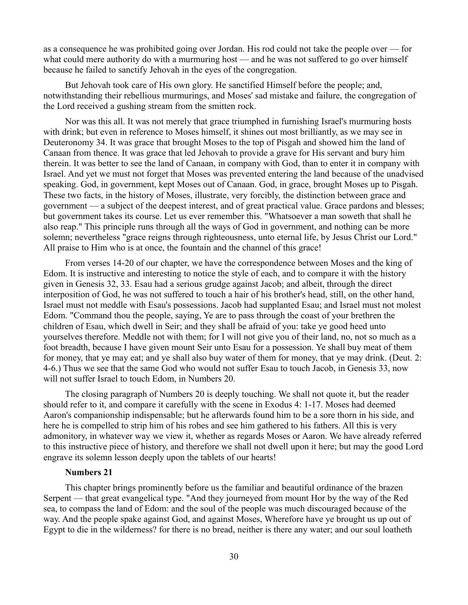as a consequence he was prohibited going over Jordan. His rod could not take the people over — for what could mere authority do with a murmuring host — and he was not suffered to go over himself because he failed to sanctify Jehovah in the eyes of the congregation.

But Jehovah took care of His own glory. He sanctified Himself before the people; and, notwithstanding their rebellious murmurings, and Moses' sad mistake and failure, the congregation of the Lord received a gushing stream from the smitten rock.

Nor was this all. It was not merely that grace triumphed in furnishing Israel's murmuring hosts with drink; but even in reference to Moses himself, it shines out most brilliantly, as we may see in Deuteronomy 34. It was grace that brought Moses to the top of Pisgah and showed him the land of Canaan from thence. It was grace that led Jehovah to provide a grave for His servant and bury him therein. It was better to see the land of Canaan, in company with God, than to enter it in company with Israel. And yet we must not forget that Moses was prevented entering the land because of the unadvised speaking. God, in government, kept Moses out of Canaan. God, in grace, brought Moses up to Pisgah. These two facts, in the history of Moses, illustrate, very forcibly, the distinction between grace and government — a subject of the deepest interest, and of great practical value. Grace pardons and blesses; but government takes its course. Let us ever remember this. "Whatsoever a man soweth that shall he also reap." This principle runs through all the ways of God in government, and nothing can be more solemn; nevertheless "grace reigns through righteousness, unto eternal life, by Jesus Christ our Lord." All praise to Him who is at once, the fountain and the channel of this grace!

From verses 14-20 of our chapter, we have the correspondence between Moses and the king of Edom. It is instructive and interesting to notice the style of each, and to compare it with the history given in Genesis 32, 33. Esau had a serious grudge against Jacob; and albeit, through the direct interposition of God, he was not suffered to touch a hair of his brother's head, still, on the other hand, Israel must not meddle with Esau's possessions. Jacob had supplanted Esau; and Israel must not molest Edom. "Command thou the people, saying, Ye are to pass through the coast of your brethren the children of Esau, which dwell in Seir; and they shall be afraid of you: take ye good heed unto yourselves therefore. Meddle not with them; for I will not give you of their land, no, not so much as a foot breadth, because I have given mount Seir unto Esau for a possession. Ye shall buy meat of them for money, that ye may eat; and ye shall also buy water of them for money, that ye may drink. (Deut. 2: 4-6.) Thus we see that the same God who would not suffer Esau to touch Jacob, in Genesis 33, now will not suffer Israel to touch Edom, in Numbers 20.

The closing paragraph of Numbers 20 is deeply touching. We shall not quote it, but the reader should refer to it, and compare it carefully with the scene in Exodus 4: 1-17. Moses had deemed Aaron's companionship indispensable; but he afterwards found him to be a sore thorn in his side, and here he is compelled to strip him of his robes and see him gathered to his fathers. All this is very admonitory, in whatever way we view it, whether as regards Moses or Aaron. We have already referred to this instructive piece of history, and therefore we shall not dwell upon it here; but may the good Lord engrave its solemn lesson deeply upon the tablets of our hearts!

### **Numbers 21**

This chapter brings prominently before us the familiar and beautiful ordinance of the brazen Serpent — that great evangelical type. "And they journeyed from mount Hor by the way of the Red sea, to compass the land of Edom: and the soul of the people was much discouraged because of the way. And the people spake against God, and against Moses, Wherefore have ye brought us up out of Egypt to die in the wilderness? for there is no bread, neither is there any water; and our soul loatheth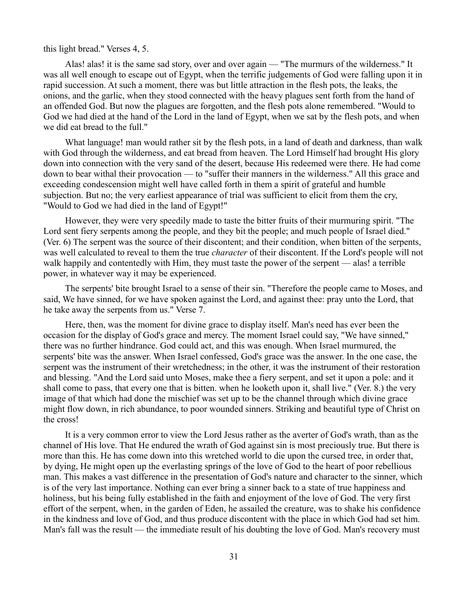### this light bread." Verses 4, 5.

Alas! alas! it is the same sad story, over and over again — "The murmurs of the wilderness." It was all well enough to escape out of Egypt, when the terrific judgements of God were falling upon it in rapid succession. At such a moment, there was but little attraction in the flesh pots, the leaks, the onions, and the garlic, when they stood connected with the heavy plagues sent forth from the hand of an offended God. But now the plagues are forgotten, and the flesh pots alone remembered. "Would to God we had died at the hand of the Lord in the land of Egypt, when we sat by the flesh pots, and when we did eat bread to the full."

What language! man would rather sit by the flesh pots, in a land of death and darkness, than walk with God through the wilderness, and eat bread from heaven. The Lord Himself had brought His glory down into connection with the very sand of the desert, because His redeemed were there. He had come down to bear withal their provocation — to "suffer their manners in the wilderness." All this grace and exceeding condescension might well have called forth in them a spirit of grateful and humble subjection. But no; the very earliest appearance of trial was sufficient to elicit from them the cry, "Would to God we had died in the land of Egypt!"

However, they were very speedily made to taste the bitter fruits of their murmuring spirit. "The Lord sent fiery serpents among the people, and they bit the people; and much people of Israel died." (Ver. 6) The serpent was the source of their discontent; and their condition, when bitten of the serpents, was well calculated to reveal to them the true *character* of their discontent. If the Lord's people will not walk happily and contentedly with Him, they must taste the power of the serpent — alas! a terrible power, in whatever way it may be experienced.

The serpents' bite brought Israel to a sense of their sin. "Therefore the people came to Moses, and said, We have sinned, for we have spoken against the Lord, and against thee: pray unto the Lord, that he take away the serpents from us." Verse 7.

Here, then, was the moment for divine grace to display itself. Man's need has ever been the occasion for the display of God's grace and mercy. The moment Israel could say, "We have sinned," there was no further hindrance. God could act, and this was enough. When Israel murmured, the serpents' bite was the answer. When Israel confessed, God's grace was the answer. In the one case, the serpent was the instrument of their wretchedness; in the other, it was the instrument of their restoration and blessing. "And the Lord said unto Moses, make thee a fiery serpent, and set it upon a pole: and it shall come to pass, that every one that is bitten. when he looketh upon it, shall live." (Ver. 8.) the very image of that which had done the mischief was set up to be the channel through which divine grace might flow down, in rich abundance, to poor wounded sinners. Striking and beautiful type of Christ on the cross!

It is a very common error to view the Lord Jesus rather as the averter of God's wrath, than as the channel of His love. That He endured the wrath of God against sin is most preciously true. But there is more than this. He has come down into this wretched world to die upon the cursed tree, in order that, by dying, He might open up the everlasting springs of the love of God to the heart of poor rebellious man. This makes a vast difference in the presentation of God's nature and character to the sinner, which is of the very last importance. Nothing can ever bring a sinner back to a state of true happiness and holiness, but his being fully established in the faith and enjoyment of the love of God. The very first effort of the serpent, when, in the garden of Eden, he assailed the creature, was to shake his confidence in the kindness and love of God, and thus produce discontent with the place in which God had set him. Man's fall was the result — the immediate result of his doubting the love of God. Man's recovery must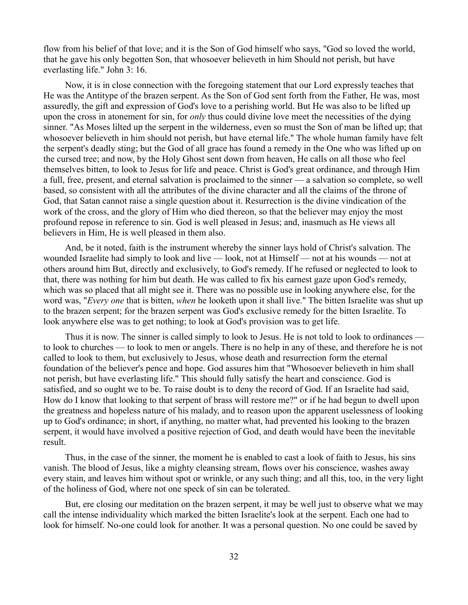flow from his belief of that love; and it is the Son of God himself who says, "God so loved the world, that he gave his only begotten Son, that whosoever believeth in him Should not perish, but have everlasting life." John 3: 16.

Now, it is in close connection with the foregoing statement that our Lord expressly teaches that He was the Antitype of the brazen serpent. As the Son of God sent forth from the Father, He was, most assuredly, the gift and expression of God's love to a perishing world. But He was also to be lifted up upon the cross in atonement for sin, for *only* thus could divine love meet the necessities of the dying sinner. "As Moses lilted up the serpent in the wilderness, even so must the Son of man be lifted up; that whosoever believeth in him should not perish, but have eternal life." The whole human family have felt the serpent's deadly sting; but the God of all grace has found a remedy in the One who was lifted up on the cursed tree; and now, by the Holy Ghost sent down from heaven, He calls on all those who feel themselves bitten, to look to Jesus for life and peace. Christ is God's great ordinance, and through Him a full, free, present, and eternal salvation is proclaimed to the sinner — a salvation so complete, so well based, so consistent with all the attributes of the divine character and all the claims of the throne of God, that Satan cannot raise a single question about it. Resurrection is the divine vindication of the work of the cross, and the glory of Him who died thereon, so that the believer may enjoy the most profound repose in reference to sin. God is well pleased in Jesus; and, inasmuch as He views all believers in Him, He is well pleased in them also.

And, be it noted, faith is the instrument whereby the sinner lays hold of Christ's salvation. The wounded Israelite had simply to look and live — look, not at Himself — not at his wounds — not at others around him But, directly and exclusively, to God's remedy. If he refused or neglected to look to that, there was nothing for him but death. He was called to fix his earnest gaze upon God's remedy, which was so placed that all might see it. There was no possible use in looking anywhere else, for the word was, "*Every one* that is bitten, *when* he looketh upon it shall live." The bitten Israelite was shut up to the brazen serpent; for the brazen serpent was God's exclusive remedy for the bitten Israelite. To look anywhere else was to get nothing; to look at God's provision was to get life.

Thus it is now. The sinner is called simply to look to Jesus. He is not told to look to ordinances to look to churches — to look to men or angels. There is no help in any of these, and therefore he is not called to look to them, but exclusively to Jesus, whose death and resurrection form the eternal foundation of the believer's pence and hope. God assures him that "Whosoever believeth in him shall not perish, but have everlasting life." This should fully satisfy the heart and conscience. God is satisfied, and so ought we to be. To raise doubt is to deny the record of God. If an Israelite had said, How do I know that looking to that serpent of brass will restore me?" or if he had begun to dwell upon the greatness and hopeless nature of his malady, and to reason upon the apparent uselessness of looking up to God's ordinance; in short, if anything, no matter what, had prevented his looking to the brazen serpent, it would have involved a positive rejection of God, and death would have been the inevitable result.

Thus, in the case of the sinner, the moment he is enabled to cast a look of faith to Jesus, his sins vanish. The blood of Jesus, like a mighty cleansing stream, flows over his conscience, washes away every stain, and leaves him without spot or wrinkle, or any such thing; and all this, too, in the very light of the holiness of God, where not one speck of sin can be tolerated.

But, ere closing our meditation on the brazen serpent, it may be well just to observe what we may call the intense individuality which marked the bitten Israelite's look at the serpent. Each one had to look for himself. No-one could look for another. It was a personal question. No one could be saved by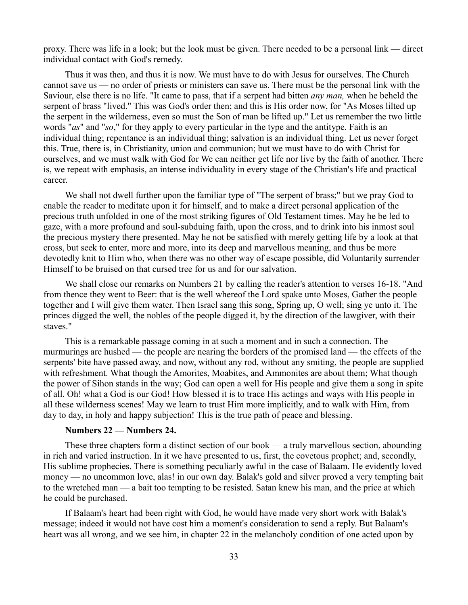proxy. There was life in a look; but the look must be given. There needed to be a personal link — direct individual contact with God's remedy.

Thus it was then, and thus it is now. We must have to do with Jesus for ourselves. The Church cannot save us — no order of priests or ministers can save us. There must be the personal link with the Saviour, else there is no life. "It came to pass, that if a serpent had bitten *any man,* when he beheld the serpent of brass "lived." This was God's order then; and this is His order now, for "As Moses lilted up the serpent in the wilderness, even so must the Son of man be lifted up." Let us remember the two little words "*as*" and "*so*," for they apply to every particular in the type and the antitype. Faith is an individual thing; repentance is an individual thing; salvation is an individual thing. Let us never forget this. True, there is, in Christianity, union and communion; but we must have to do with Christ for ourselves, and we must walk with God for We can neither get life nor live by the faith of another. There is, we repeat with emphasis, an intense individuality in every stage of the Christian's life and practical career.

We shall not dwell further upon the familiar type of "The serpent of brass;" but we pray God to enable the reader to meditate upon it for himself, and to make a direct personal application of the precious truth unfolded in one of the most striking figures of Old Testament times. May he be led to gaze, with a more profound and soul-subduing faith, upon the cross, and to drink into his inmost soul the precious mystery there presented. May he not be satisfied with merely getting life by a look at that cross, but seek to enter, more and more, into its deep and marvellous meaning, and thus be more devotedly knit to Him who, when there was no other way of escape possible, did Voluntarily surrender Himself to be bruised on that cursed tree for us and for our salvation.

We shall close our remarks on Numbers 21 by calling the reader's attention to verses 16-18. "And from thence they went to Beer: that is the well whereof the Lord spake unto Moses, Gather the people together and I will give them water. Then Israel sang this song, Spring up, O well; sing ye unto it. The princes digged the well, the nobles of the people digged it, by the direction of the lawgiver, with their staves."

This is a remarkable passage coming in at such a moment and in such a connection. The murmurings are hushed — the people are nearing the borders of the promised land — the effects of the serpents' bite have passed away, and now, without any rod, without any smiting, the people are supplied with refreshment. What though the Amorites, Moabites, and Ammonites are about them; What though the power of Sihon stands in the way; God can open a well for His people and give them a song in spite of all. Oh! what a God is our God! How blessed it is to trace His actings and ways with His people in all these wilderness scenes! May we learn to trust Him more implicitly, and to walk with Him, from day to day, in holy and happy subjection! This is the true path of peace and blessing.

## **Numbers 22 — Numbers 24.**

These three chapters form a distinct section of our book — a truly marvellous section, abounding in rich and varied instruction. In it we have presented to us, first, the covetous prophet; and, secondly, His sublime prophecies. There is something peculiarly awful in the case of Balaam. He evidently loved money — no uncommon love, alas! in our own day. Balak's gold and silver proved a very tempting bait to the wretched man — a bait too tempting to be resisted. Satan knew his man, and the price at which he could be purchased.

If Balaam's heart had been right with God, he would have made very short work with Balak's message; indeed it would not have cost him a moment's consideration to send a reply. But Balaam's heart was all wrong, and we see him, in chapter 22 in the melancholy condition of one acted upon by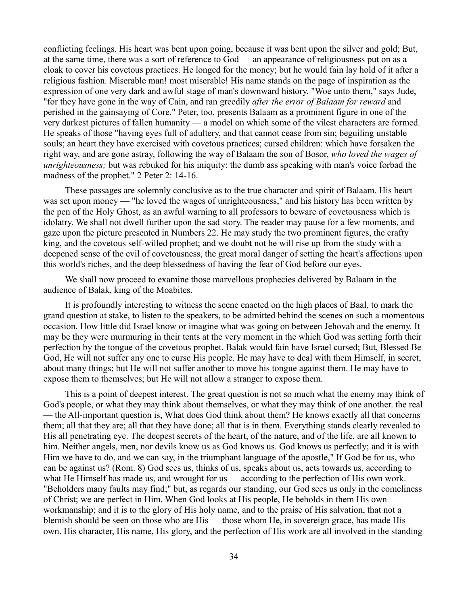conflicting feelings. His heart was bent upon going, because it was bent upon the silver and gold; But, at the same time, there was a sort of reference to God — an appearance of religiousness put on as a cloak to cover his covetous practices. He longed for the money; but he would fain lay hold of it after a religious fashion. Miserable man! most miserable! His name stands on the page of inspiration as the expression of one very dark and awful stage of man's downward history. "Woe unto them," says Jude, "for they have gone in the way of Cain, and ran greedily *after the error of Balaam for reward* and perished in the gainsaying of Core." Peter, too, presents Balaam as a prominent figure in one of the very darkest pictures of fallen humanity — a model on which some of the vilest characters are formed. He speaks of those "having eyes full of adultery, and that cannot cease from sin; beguiling unstable souls; an heart they have exercised with covetous practices; cursed children: which have forsaken the right way, and are gone astray, following the way of Balaam the son of Bosor, *who loved the wages of unrighteousness;* but was rebuked for his iniquity: the dumb ass speaking with man's voice forbad the madness of the prophet." 2 Peter 2: 14-16.

These passages are solemnly conclusive as to the true character and spirit of Balaam. His heart was set upon money — "he loved the wages of unrighteousness," and his history has been written by the pen of the Holy Ghost, as an awful warning to all professors to beware of covetousness which is idolatry. We shall not dwell further upon the sad story. The reader may pause for a few moments, and gaze upon the picture presented in Numbers 22. He may study the two prominent figures, the crafty king, and the covetous self-willed prophet; and we doubt not he will rise up from the study with a deepened sense of the evil of covetousness, the great moral danger of setting the heart's affections upon this world's riches, and the deep blessedness of having the fear of God before our eyes.

We shall now proceed to examine those marvellous prophecies delivered by Balaam in the audience of Balak, king of the Moabites.

It is profoundly interesting to witness the scene enacted on the high places of Baal, to mark the grand question at stake, to listen to the speakers, to be admitted behind the scenes on such a momentous occasion. How little did Israel know or imagine what was going on between Jehovah and the enemy. It may be they were murmuring in their tents at the very moment in the which God was setting forth their perfection by the tongue of the covetous prophet. Balak would fain have Israel cursed; But, Blessed Be God, He will not suffer any one to curse His people. He may have to deal with them Himself, in secret, about many things; but He will not suffer another to move his tongue against them. He may have to expose them to themselves; but He will not allow a stranger to expose them.

This is a point of deepest interest. The great question is not so much what the enemy may think of God's people, or what they may think about themselves, or what they may think of one another. the real — the All-important question is, What does God think about them? He knows exactly all that concerns them; all that they are; all that they have done; all that is in them. Everything stands clearly revealed to His all penetrating eye. The deepest secrets of the heart, of the nature, and of the life, are all known to him. Neither angels, men, nor devils know us as God knows us. God knows us perfectly; and it is with Him we have to do, and we can say, in the triumphant language of the apostle," If God be for us, who can be against us? (Rom. 8) God sees us, thinks of us, speaks about us, acts towards us, according to what He Himself has made us, and wrought for us — according to the perfection of His own work. "Beholders many faults may find;" but, as regards our standing, our God sees us only in the comeliness of Christ; we are perfect in Him. When God looks at His people, He beholds in them His own workmanship; and it is to the glory of His holy name, and to the praise of His salvation, that not a blemish should be seen on those who are His — those whom He, in sovereign grace, has made His own. His character, His name, His glory, and the perfection of His work are all involved in the standing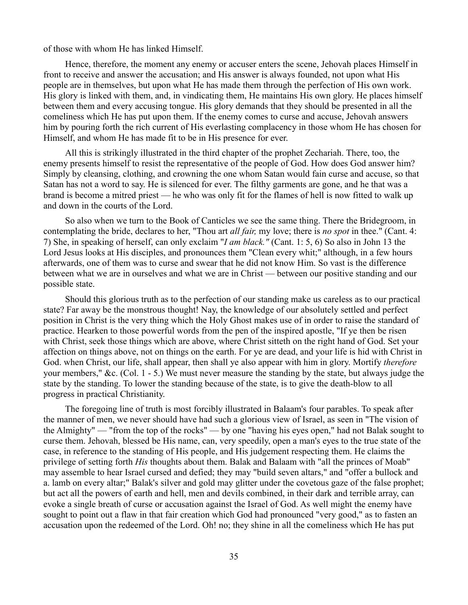of those with whom He has linked Himself.

Hence, therefore, the moment any enemy or accuser enters the scene, Jehovah places Himself in front to receive and answer the accusation; and His answer is always founded, not upon what His people are in themselves, but upon what He has made them through the perfection of His own work. His glory is linked with them, and, in vindicating them, He maintains His own glory. He places himself between them and every accusing tongue. His glory demands that they should be presented in all the comeliness which He has put upon them. If the enemy comes to curse and accuse, Jehovah answers him by pouring forth the rich current of His everlasting complacency in those whom He has chosen for Himself, and whom He has made fit to be in His presence for ever.

All this is strikingly illustrated in the third chapter of the prophet Zechariah. There, too, the enemy presents himself to resist the representative of the people of God. How does God answer him? Simply by cleansing, clothing, and crowning the one whom Satan would fain curse and accuse, so that Satan has not a word to say. He is silenced for ever. The filthy garments are gone, and he that was a brand is become a mitred priest — he who was only fit for the flames of hell is now fitted to walk up and down in the courts of the Lord.

So also when we turn to the Book of Canticles we see the same thing. There the Bridegroom, in contemplating the bride, declares to her, "Thou art *all fair,* my love; there is *no spot* in thee." (Cant. 4: 7) She, in speaking of herself, can only exclaim "*I am black."* (Cant. 1: 5, 6) So also in John 13 the Lord Jesus looks at His disciples, and pronounces them "Clean every whit;" although, in a few hours afterwards, one of them was to curse and swear that he did not know Him. So vast is the difference between what we are in ourselves and what we are in Christ — between our positive standing and our possible state.

Should this glorious truth as to the perfection of our standing make us careless as to our practical state? Far away be the monstrous thought! Nay, the knowledge of our absolutely settled and perfect position in Christ is the very thing which the Holy Ghost makes use of in order to raise the standard of practice. Hearken to those powerful words from the pen of the inspired apostle, "If ye then be risen with Christ, seek those things which are above, where Christ sitteth on the right hand of God. Set your affection on things above, not on things on the earth. For ye are dead, and your life is hid with Christ in God. when Christ, our life, shall appear, then shall ye also appear with him in glory. Mortify *therefore* your members," &c. (Col. 1 - 5.) We must never measure the standing by the state, but always judge the state by the standing. To lower the standing because of the state, is to give the death-blow to all progress in practical Christianity.

The foregoing line of truth is most forcibly illustrated in Balaam's four parables. To speak after the manner of men, we never should have had such a glorious view of Israel, as seen in "The vision of the Almighty" — "from the top of the rocks" — by one "having his eyes open," had not Balak sought to curse them. Jehovah, blessed be His name, can, very speedily, open a man's eyes to the true state of the case, in reference to the standing of His people, and His judgement respecting them. He claims the privilege of setting forth *His* thoughts about them. Balak and Balaam with "all the princes of Moab" may assemble to hear Israel cursed and defied; they may "build seven altars," and "offer a bullock and a. lamb on every altar;" Balak's silver and gold may glitter under the covetous gaze of the false prophet; but act all the powers of earth and hell, men and devils combined, in their dark and terrible array, can evoke a single breath of curse or accusation against the Israel of God. As well might the enemy have sought to point out a flaw in that fair creation which God had pronounced "very good," as to fasten an accusation upon the redeemed of the Lord. Oh! no; they shine in all the comeliness which He has put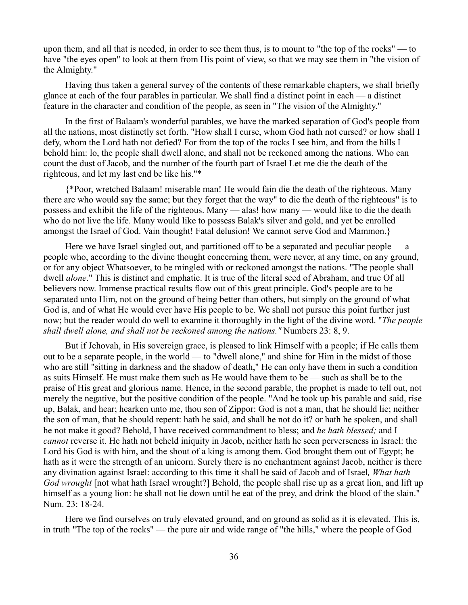upon them, and all that is needed, in order to see them thus, is to mount to "the top of the rocks" — to have "the eyes open" to look at them from His point of view, so that we may see them in "the vision of the Almighty."

Having thus taken a general survey of the contents of these remarkable chapters, we shall briefly glance at each of the four parables in particular. We shall find a distinct point in each — a distinct feature in the character and condition of the people, as seen in "The vision of the Almighty."

In the first of Balaam's wonderful parables, we have the marked separation of God's people from all the nations, most distinctly set forth. "How shall I curse, whom God hath not cursed? or how shall I defy, whom the Lord hath not defied? For from the top of the rocks I see him, and from the hills I behold him: lo, the people shall dwell alone, and shall not be reckoned among the nations. Who can count the dust of Jacob, and the number of the fourth part of Israel Let me die the death of the righteous, and let my last end be like his."\*

{\*Poor, wretched Balaam! miserable man! He would fain die the death of the righteous. Many there are who would say the same; but they forget that the way" to die the death of the righteous" is to possess and exhibit the life of the righteous. Many — alas! how many — would like to die the death who do not live the life. Many would like to possess Balak's silver and gold, and yet be enrolled amongst the Israel of God. Vain thought! Fatal delusion! We cannot serve God and Mammon.}

Here we have Israel singled out, and partitioned off to be a separated and peculiar people — a people who, according to the divine thought concerning them, were never, at any time, on any ground, or for any object Whatsoever, to be mingled with or reckoned amongst the nations. "The people shall dwell *alone*." This is distinct and emphatic. It is true of the literal seed of Abraham, and true Of all believers now. Immense practical results flow out of this great principle. God's people are to be separated unto Him, not on the ground of being better than others, but simply on the ground of what God is, and of what He would ever have His people to be. We shall not pursue this point further just now; but the reader would do well to examine it thoroughly in the light of the divine word. "*The people shall dwell alone, and shall not be reckoned among the nations."* Numbers 23: 8, 9.

But if Jehovah, in His sovereign grace, is pleased to link Himself with a people; if He calls them out to be a separate people, in the world — to "dwell alone," and shine for Him in the midst of those who are still "sitting in darkness and the shadow of death," He can only have them in such a condition as suits Himself. He must make them such as He would have them to be — such as shall be to the praise of His great and glorious name. Hence, in the second parable, the prophet is made to tell out, not merely the negative, but the positive condition of the people. "And he took up his parable and said, rise up, Balak, and hear; hearken unto me, thou son of Zippor: God is not a man, that he should lie; neither the son of man, that he should repent: hath he said, and shall he not do it? or hath he spoken, and shall he not make it good? Behold, I have received commandment to bless; and *he hath blessed;* and I *cannot* reverse it. He hath not beheld iniquity in Jacob, neither hath he seen perverseness in Israel: the Lord his God is with him, and the shout of a king is among them. God brought them out of Egypt; he hath as it were the strength of an unicorn. Surely there is no enchantment against Jacob, neither is there any divination against Israel: according to this time it shall be said of Jacob and of Israel*, What hath God wrought* [not what hath Israel wrought?] Behold, the people shall rise up as a great lion, and lift up himself as a young lion: he shall not lie down until he eat of the prey, and drink the blood of the slain." Num. 23: 18-24.

Here we find ourselves on truly elevated ground, and on ground as solid as it is elevated. This is, in truth "The top of the rocks" — the pure air and wide range of "the hills," where the people of God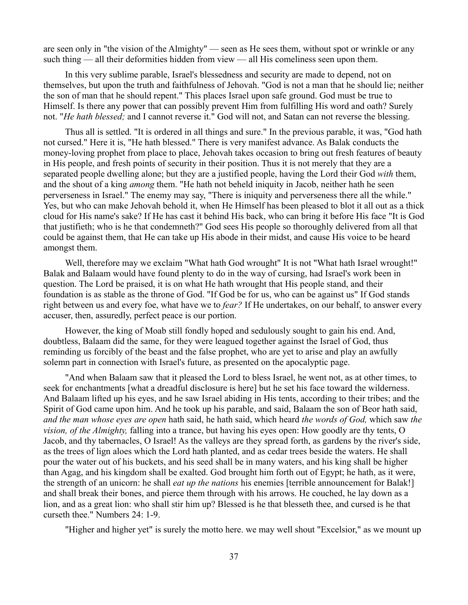are seen only in "the vision of the Almighty" — seen as He sees them, without spot or wrinkle or any such thing — all their deformities hidden from view — all His comeliness seen upon them.

In this very sublime parable, Israel's blessedness and security are made to depend, not on themselves, but upon the truth and faithfulness of Jehovah. "God is not a man that he should lie; neither the son of man that he should repent." This places Israel upon safe ground. God must be true to Himself. Is there any power that can possibly prevent Him from fulfilling His word and oath? Surely not. "*He hath blessed;* and I cannot reverse it." God will not, and Satan can not reverse the blessing.

Thus all is settled. "It is ordered in all things and sure." In the previous parable, it was, "God hath not cursed." Here it is, "He hath blessed." There is very manifest advance. As Balak conducts the money-loving prophet from place to place, Jehovah takes occasion to bring out fresh features of beauty in His people, and fresh points of security in their position. Thus it is not merely that they are a separated people dwelling alone; but they are a justified people, having the Lord their God *with* them, and the shout of a king *among* them. "He hath not beheld iniquity in Jacob, neither hath he seen perverseness in Israel." The enemy may say, "There is iniquity and perverseness there all the while." Yes, but who can make Jehovah behold it, when He Himself has been pleased to blot it all out as a thick cloud for His name's sake? If He has cast it behind His back, who can bring it before His face "It is God that justifieth; who is he that condemneth?" God sees His people so thoroughly delivered from all that could be against them, that He can take up His abode in their midst, and cause His voice to be heard amongst them.

Well, therefore may we exclaim "What hath God wrought" It is not "What hath Israel wrought!" Balak and Balaam would have found plenty to do in the way of cursing, had Israel's work been in question. The Lord be praised, it is on what He hath wrought that His people stand, and their foundation is as stable as the throne of God. "If God be for us, who can be against us" If God stands right between us and every foe, what have we to *fear?* If He undertakes, on our behalf, to answer every accuser, then, assuredly, perfect peace is our portion.

However, the king of Moab still fondly hoped and sedulously sought to gain his end. And, doubtless, Balaam did the same, for they were leagued together against the Israel of God, thus reminding us forcibly of the beast and the false prophet, who are yet to arise and play an awfully solemn part in connection with Israel's future, as presented on the apocalyptic page.

"And when Balaam saw that it pleased the Lord to bless Israel, he went not, as at other times, to seek for enchantments [what a dreadful disclosure is here] but he set his face toward the wilderness. And Balaam lifted up his eyes, and he saw Israel abiding in His tents, according to their tribes; and the Spirit of God came upon him. And he took up his parable, and said, Balaam the son of Beor hath said, *and the man whose eyes are open* hath said, he hath said, which heard *the words of God,* which saw *the vision, of the Almighty,* falling into a trance, but having his eyes open: How goodly are thy tents, O Jacob, and thy tabernacles, O Israel! As the valleys are they spread forth, as gardens by the river's side, as the trees of lign aloes which the Lord hath planted, and as cedar trees beside the waters. He shall pour the water out of his buckets, and his seed shall be in many waters, and his king shall be higher than Agag, and his kingdom shall be exalted. God brought him forth out of Egypt; he hath, as it were, the strength of an unicorn: he shall *eat up the nations* his enemies [terrible announcement for Balak!] and shall break their bones, and pierce them through with his arrows. He couched, he lay down as a lion, and as a great lion: who shall stir him up? Blessed is he that blesseth thee, and cursed is he that curseth thee." Numbers 24: 1-9.

"Higher and higher yet" is surely the motto here. we may well shout "Excelsior," as we mount up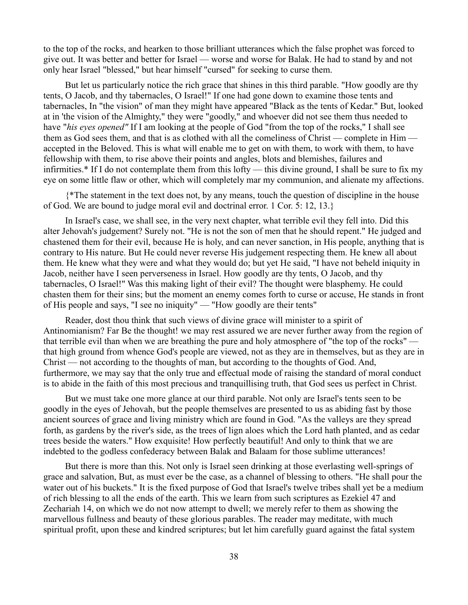to the top of the rocks, and hearken to those brilliant utterances which the false prophet was forced to give out. It was better and better for Israel — worse and worse for Balak. He had to stand by and not only hear Israel "blessed," but hear himself "cursed" for seeking to curse them.

But let us particularly notice the rich grace that shines in this third parable. "How goodly are thy tents, O Jacob, and thy tabernacles, O Israel!" If one had gone down to examine those tents and tabernacles, In "the vision" of man they might have appeared "Black as the tents of Kedar." But, looked at in 'the vision of the Almighty," they were "goodly," and whoever did not see them thus needed to have "*his eyes opened"* If I am looking at the people of God "from the top of the rocks," I shall see them as God sees them, and that is as clothed with all the comeliness of Christ — complete in Him accepted in the Beloved. This is what will enable me to get on with them, to work with them, to have fellowship with them, to rise above their points and angles, blots and blemishes, failures and infirmities.\* If I do not contemplate them from this lofty — this divine ground, I shall be sure to fix my eye on some little flaw or other, which will completely mar my communion, and alienate my affections.

{\*The statement in the text does not, by any means, touch the question of discipline in the house of God. We are bound to judge moral evil and doctrinal error. 1 Cor. 5: 12, 13.}

In Israel's case, we shall see, in the very next chapter, what terrible evil they fell into. Did this alter Jehovah's judgement? Surely not. "He is not the son of men that he should repent." He judged and chastened them for their evil, because He is holy, and can never sanction, in His people, anything that is contrary to His nature. But He could never reverse His judgement respecting them. He knew all about them. He knew what they were and what they would do; but yet He said, "I have not beheld iniquity in Jacob, neither have I seen perverseness in Israel. How goodly are thy tents, O Jacob, and thy tabernacles, O Israel!" Was this making light of their evil? The thought were blasphemy. He could chasten them for their sins; but the moment an enemy comes forth to curse or accuse, He stands in front of His people and says, "I see no iniquity" — "How goodly are their tents"

Reader, dost thou think that such views of divine grace will minister to a spirit of Antinomianism? Far Be the thought! we may rest assured we are never further away from the region of that terrible evil than when we are breathing the pure and holy atmosphere of "the top of the rocks" that high ground from whence God's people are viewed, not as they are in themselves, but as they are in Christ — not according to the thoughts of man, but according to the thoughts of God. And, furthermore, we may say that the only true and effectual mode of raising the standard of moral conduct is to abide in the faith of this most precious and tranquillising truth, that God sees us perfect in Christ.

But we must take one more glance at our third parable. Not only are Israel's tents seen to be goodly in the eyes of Jehovah, but the people themselves are presented to us as abiding fast by those ancient sources of grace and living ministry which are found in God. "As the valleys are they spread forth, as gardens by the river's side, as the trees of lign aloes which the Lord hath planted, and as cedar trees beside the waters." How exquisite! How perfectly beautiful! And only to think that we are indebted to the godless confederacy between Balak and Balaam for those sublime utterances!

But there is more than this. Not only is Israel seen drinking at those everlasting well-springs of grace and salvation, But, as must ever be the case, as a channel of blessing to others. "He shall pour the water out of his buckets." It is the fixed purpose of God that Israel's twelve tribes shall yet be a medium of rich blessing to all the ends of the earth. This we learn from such scriptures as Ezekiel 47 and Zechariah 14, on which we do not now attempt to dwell; we merely refer to them as showing the marvellous fullness and beauty of these glorious parables. The reader may meditate, with much spiritual profit, upon these and kindred scriptures; but let him carefully guard against the fatal system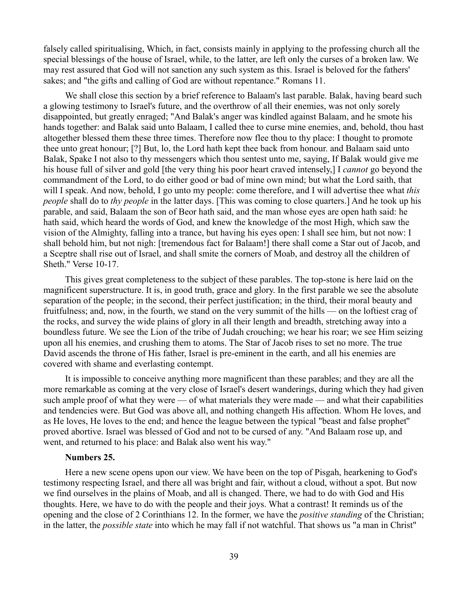falsely called spiritualising, Which, in fact, consists mainly in applying to the professing church all the special blessings of the house of Israel, while, to the latter, are left only the curses of a broken law. We may rest assured that God will not sanction any such system as this. Israel is beloved for the fathers' sakes; and "the gifts and calling of God are without repentance." Romans 11.

We shall close this section by a brief reference to Balaam's last parable. Balak, having beard such a glowing testimony to Israel's future, and the overthrow of all their enemies, was not only sorely disappointed, but greatly enraged; "And Balak's anger was kindled against Balaam, and he smote his hands together: and Balak said unto Balaam, I called thee to curse mine enemies, and, behold, thou hast altogether blessed them these three times. Therefore now flee thou to thy place: I thought to promote thee unto great honour; [?] But, lo, the Lord hath kept thee back from honour. and Balaam said unto Balak, Spake I not also to thy messengers which thou sentest unto me, saying, If Balak would give me his house full of silver and gold [the very thing his poor heart craved intensely,] I *cannot* go beyond the commandment of the Lord, to do either good or bad of mine own mind; but what the Lord saith, that will I speak. And now, behold, I go unto my people: come therefore, and I will advertise thee what *this people* shall do to *thy people* in the latter days. [This was coming to close quarters.] And he took up his parable, and said, Balaam the son of Beor hath said, and the man whose eyes are open hath said: he hath said, which heard the words of God, and knew the knowledge of the most High, which saw the vision of the Almighty, falling into a trance, but having his eyes open: I shall see him, but not now: I shall behold him, but not nigh: [tremendous fact for Balaam!] there shall come a Star out of Jacob, and a Sceptre shall rise out of Israel, and shall smite the corners of Moab, and destroy all the children of Sheth." Verse 10-17.

This gives great completeness to the subject of these parables. The top-stone is here laid on the magnificent superstructure. It is, in good truth, grace and glory. In the first parable we see the absolute separation of the people; in the second, their perfect justification; in the third, their moral beauty and fruitfulness; and, now, in the fourth, we stand on the very summit of the hills — on the loftiest crag of the rocks, and survey the wide plains of glory in all their length and breadth, stretching away into a boundless future. We see the Lion of the tribe of Judah crouching; we hear his roar; we see Him seizing upon all his enemies, and crushing them to atoms. The Star of Jacob rises to set no more. The true David ascends the throne of His father, Israel is pre-eminent in the earth, and all his enemies are covered with shame and everlasting contempt.

It is impossible to conceive anything more magnificent than these parables; and they are all the more remarkable as coming at the very close of Israel's desert wanderings, during which they had given such ample proof of what they were — of what materials they were made — and what their capabilities and tendencies were. But God was above all, and nothing changeth His affection. Whom He loves, and as He loves, He loves to the end; and hence the league between the typical "beast and false prophet'' proved abortive. Israel was blessed of God and not to be cursed of any. "And Balaam rose up, and went, and returned to his place: and Balak also went his way."

### **Numbers 25.**

Here a new scene opens upon our view. We have been on the top of Pisgah, hearkening to God's testimony respecting Israel, and there all was bright and fair, without a cloud, without a spot. But now we find ourselves in the plains of Moab, and all is changed. There, we had to do with God and His thoughts. Here, we have to do with the people and their joys. What a contrast! It reminds us of the opening and the close of 2 Corinthians 12. In the former, we have the *positive standing* of the Christian; in the latter, the *possible state* into which he may fall if not watchful. That shows us "a man in Christ"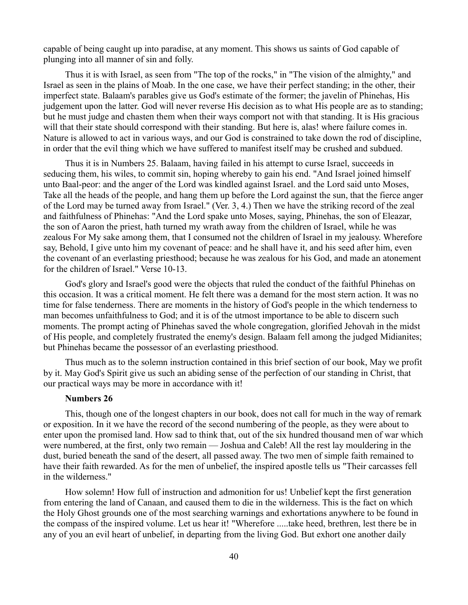capable of being caught up into paradise, at any moment. This shows us saints of God capable of plunging into all manner of sin and folly.

Thus it is with Israel, as seen from "The top of the rocks," in "The vision of the almighty," and Israel as seen in the plains of Moab. In the one case, we have their perfect standing; in the other, their imperfect state. Balaam's parables give us God's estimate of the former; the javelin of Phinehas, His judgement upon the latter. God will never reverse His decision as to what His people are as to standing; but he must judge and chasten them when their ways comport not with that standing. It is His gracious will that their state should correspond with their standing. But here is, alas! where failure comes in. Nature is allowed to act in various ways, and our God is constrained to take down the rod of discipline, in order that the evil thing which we have suffered to manifest itself may be crushed and subdued.

Thus it is in Numbers 25. Balaam, having failed in his attempt to curse Israel, succeeds in seducing them, his wiles, to commit sin, hoping whereby to gain his end. "And Israel joined himself unto Baal-peor: and the anger of the Lord was kindled against Israel. and the Lord said unto Moses, Take all the heads of the people, and hang them up before the Lord against the sun, that the fierce anger of the Lord may be turned away from Israel." (Ver. 3, 4.) Then we have the striking record of the zeal and faithfulness of Phinehas: "And the Lord spake unto Moses, saying, Phinehas, the son of Eleazar, the son of Aaron the priest, hath turned my wrath away from the children of Israel, while he was zealous For My sake among them, that I consumed not the children of Israel in my jealousy. Wherefore say, Behold, I give unto him my covenant of peace: and he shall have it, and his seed after him, even the covenant of an everlasting priesthood; because he was zealous for his God, and made an atonement for the children of Israel." Verse 10-13.

God's glory and Israel's good were the objects that ruled the conduct of the faithful Phinehas on this occasion. It was a critical moment. He felt there was a demand for the most stern action. It was no time for false tenderness. There are moments in the history of God's people in the which tenderness to man becomes unfaithfulness to God; and it is of the utmost importance to be able to discern such moments. The prompt acting of Phinehas saved the whole congregation, glorified Jehovah in the midst of His people, and completely frustrated the enemy's design. Balaam fell among the judged Midianites; but Phinehas became the possessor of an everlasting priesthood.

Thus much as to the solemn instruction contained in this brief section of our book, May we profit by it. May God's Spirit give us such an abiding sense of the perfection of our standing in Christ, that our practical ways may be more in accordance with it!

### **Numbers 26**

This, though one of the longest chapters in our book, does not call for much in the way of remark or exposition. In it we have the record of the second numbering of the people, as they were about to enter upon the promised land. How sad to think that, out of the six hundred thousand men of war which were numbered, at the first, only two remain — Joshua and Caleb! All the rest lay mouldering in the dust, buried beneath the sand of the desert, all passed away. The two men of simple faith remained to have their faith rewarded. As for the men of unbelief, the inspired apostle tells us "Their carcasses fell in the wilderness."

How solemn! How full of instruction and admonition for us! Unbelief kept the first generation from entering the land of Canaan, and caused them to die in the wilderness. This is the fact on which the Holy Ghost grounds one of the most searching warnings and exhortations anywhere to be found in the compass of the inspired volume. Let us hear it! "Wherefore .....take heed, brethren, lest there be in any of you an evil heart of unbelief, in departing from the living God. But exhort one another daily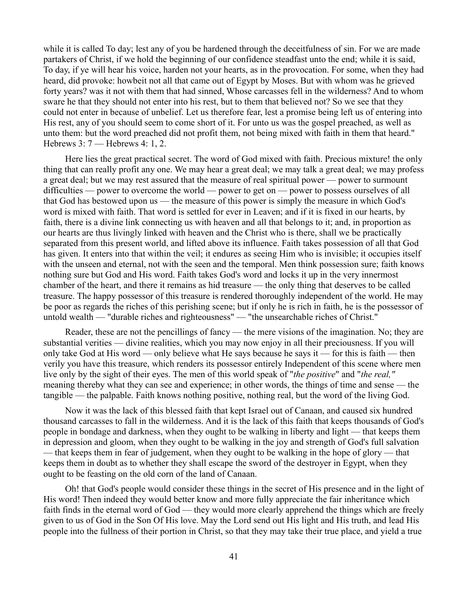while it is called To day; lest any of you be hardened through the deceitfulness of sin. For we are made partakers of Christ, if we hold the beginning of our confidence steadfast unto the end; while it is said, To day, if ye will hear his voice, harden not your hearts, as in the provocation. For some, when they had heard, did provoke: howbeit not all that came out of Egypt by Moses. But with whom was he grieved forty years? was it not with them that had sinned, Whose carcasses fell in the wilderness? And to whom sware he that they should not enter into his rest, but to them that believed not? So we see that they could not enter in because of unbelief. Let us therefore fear, lest a promise being left us of entering into His rest, any of you should seem to come short of it. For unto us was the gospel preached, as well as unto them: but the word preached did not profit them, not being mixed with faith in them that heard." Hebrews 3: 7 — Hebrews 4: 1, 2.

Here lies the great practical secret. The word of God mixed with faith. Precious mixture! the only thing that can really profit any one. We may hear a great deal; we may talk a great deal; we may profess a great deal; but we may rest assured that the measure of real spiritual power — power to surmount difficulties — power to overcome the world — power to get on — power to possess ourselves of all that God has bestowed upon us — the measure of this power is simply the measure in which God's word is mixed with faith. That word is settled for ever in Leaven; and if it is fixed in our hearts, by faith, there is a divine link connecting us with heaven and all that belongs to it; and, in proportion as our hearts are thus livingly linked with heaven and the Christ who is there, shall we be practically separated from this present world, and lifted above its influence. Faith takes possession of all that God has given. It enters into that within the veil; it endures as seeing Him who is invisible; it occupies itself with the unseen and eternal, not with the seen and the temporal. Men think possession sure; faith knows nothing sure but God and His word. Faith takes God's word and locks it up in the very innermost chamber of the heart, and there it remains as hid treasure — the only thing that deserves to be called treasure. The happy possessor of this treasure is rendered thoroughly independent of the world. He may be poor as regards the riches of this perishing scene; but if only he is rich in faith, he is the possessor of untold wealth — "durable riches and righteousness" — "the unsearchable riches of Christ."

Reader, these are not the pencillings of fancy — the mere visions of the imagination. No; they are substantial verities — divine realities, which you may now enjoy in all their preciousness. If you will only take God at His word — only believe what He says because he says it — for this is faith — then verily you have this treasure, which renders its possessor entirely Independent of this scene where men live only by the sight of their eyes. The men of this world speak of "*the positive*" and "*the real,"* meaning thereby what they can see and experience; in other words, the things of time and sense — the tangible — the palpable. Faith knows nothing positive, nothing real, but the word of the living God.

Now it was the lack of this blessed faith that kept Israel out of Canaan, and caused six hundred thousand carcasses to fall in the wilderness. And it is the lack of this faith that keeps thousands of God's people in bondage and darkness, when they ought to be walking in liberty and light — that keeps them in depression and gloom, when they ought to be walking in the joy and strength of God's full salvation — that keeps them in fear of judgement, when they ought to be walking in the hope of glory — that keeps them in doubt as to whether they shall escape the sword of the destroyer in Egypt, when they ought to be feasting on the old corn of the land of Canaan.

Oh! that God's people would consider these things in the secret of His presence and in the light of His word! Then indeed they would better know and more fully appreciate the fair inheritance which faith finds in the eternal word of God — they would more clearly apprehend the things which are freely given to us of God in the Son Of His love. May the Lord send out His light and His truth, and lead His people into the fullness of their portion in Christ, so that they may take their true place, and yield a true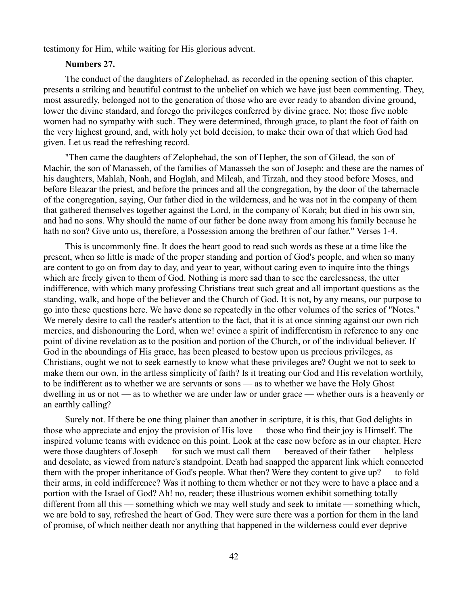testimony for Him, while waiting for His glorious advent.

### **Numbers 27.**

The conduct of the daughters of Zelophehad, as recorded in the opening section of this chapter, presents a striking and beautiful contrast to the unbelief on which we have just been commenting. They, most assuredly, belonged not to the generation of those who are ever ready to abandon divine ground, lower the divine standard, and forego the privileges conferred by divine grace. No; those five noble women had no sympathy with such. They were determined, through grace, to plant the foot of faith on the very highest ground, and, with holy yet bold decision, to make their own of that which God had given. Let us read the refreshing record.

"Then came the daughters of Zelophehad, the son of Hepher, the son of Gilead, the son of Machir, the son of Manasseh, of the families of Manasseh the son of Joseph: and these are the names of his daughters, Mahlah, Noah, and Hoglah, and Milcah, and Tirzah, and they stood before Moses, and before Eleazar the priest, and before the princes and all the congregation, by the door of the tabernacle of the congregation, saying, Our father died in the wilderness, and he was not in the company of them that gathered themselves together against the Lord, in the company of Korah; but died in his own sin, and had no sons. Why should the name of our father be done away from among his family because he hath no son? Give unto us, therefore, a Possession among the brethren of our father." Verses 1-4.

This is uncommonly fine. It does the heart good to read such words as these at a time like the present, when so little is made of the proper standing and portion of God's people, and when so many are content to go on from day to day, and year to year, without caring even to inquire into the things which are freely given to them of God. Nothing is more sad than to see the carelessness, the utter indifference, with which many professing Christians treat such great and all important questions as the standing, walk, and hope of the believer and the Church of God. It is not, by any means, our purpose to go into these questions here. We have done so repeatedly in the other volumes of the series of "Notes." We merely desire to call the reader's attention to the fact, that it is at once sinning against our own rich mercies, and dishonouring the Lord, when we! evince a spirit of indifferentism in reference to any one point of divine revelation as to the position and portion of the Church, or of the individual believer. If God in the aboundings of His grace, has been pleased to bestow upon us precious privileges, as Christians, ought we not to seek earnestly to know what these privileges are? Ought we not to seek to make them our own, in the artless simplicity of faith? Is it treating our God and His revelation worthily, to be indifferent as to whether we are servants or sons — as to whether we have the Holy Ghost dwelling in us or not — as to whether we are under law or under grace — whether ours is a heavenly or an earthly calling?

Surely not. If there be one thing plainer than another in scripture, it is this, that God delights in those who appreciate and enjoy the provision of His love — those who find their joy is Himself. The inspired volume teams with evidence on this point. Look at the case now before as in our chapter. Here were those daughters of Joseph — for such we must call them — bereaved of their father — helpless and desolate, as viewed from nature's standpoint. Death had snapped the apparent link which connected them with the proper inheritance of God's people. What then? Were they content to give up? — to fold their arms, in cold indifference? Was it nothing to them whether or not they were to have a place and a portion with the Israel of God? Ah! no, reader; these illustrious women exhibit something totally different from all this — something which we may well study and seek to imitate — something which, we are bold to say, refreshed the heart of God. They were sure there was a portion for them in the land of promise, of which neither death nor anything that happened in the wilderness could ever deprive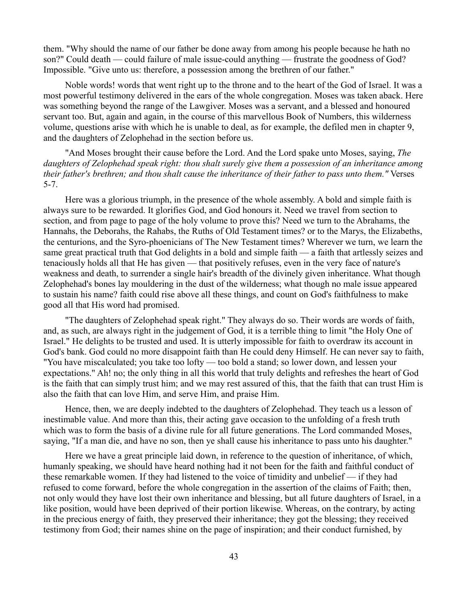them. "Why should the name of our father be done away from among his people because he hath no son?" Could death — could failure of male issue-could anything — frustrate the goodness of God? Impossible. "Give unto us: therefore, a possession among the brethren of our father."

Noble words! words that went right up to the throne and to the heart of the God of Israel. It was a most powerful testimony delivered in the ears of the whole congregation. Moses was taken aback. Here was something beyond the range of the Lawgiver. Moses was a servant, and a blessed and honoured servant too. But, again and again, in the course of this marvellous Book of Numbers, this wilderness volume, questions arise with which he is unable to deal, as for example, the defiled men in chapter 9, and the daughters of Zelophehad in the section before us.

"And Moses brought their cause before the Lord. And the Lord spake unto Moses, saying, *The daughters of Zelophehad speak right: thou shalt surely give them a possession of an inheritance among their father's brethren; and thou shalt cause the inheritance of their father to pass unto them."* Verses 5-7.

Here was a glorious triumph, in the presence of the whole assembly. A bold and simple faith is always sure to be rewarded. It glorifies God, and God honours it. Need we travel from section to section, and from page to page of the holy volume to prove this? Need we turn to the Abrahams, the Hannahs, the Deborahs, the Rahabs, the Ruths of Old Testament times? or to the Marys, the Elizabeths, the centurions, and the Syro-phoenicians of The New Testament times? Wherever we turn, we learn the same great practical truth that God delights in a bold and simple faith — a faith that artlessly seizes and tenaciously holds all that He has given — that positively refuses, even in the very face of nature's weakness and death, to surrender a single hair's breadth of the divinely given inheritance. What though Zelophehad's bones lay mouldering in the dust of the wilderness; what though no male issue appeared to sustain his name? faith could rise above all these things, and count on God's faithfulness to make good all that His word had promised.

"The daughters of Zelophehad speak right." They always do so. Their words are words of faith, and, as such, are always right in the judgement of God, it is a terrible thing to limit "the Holy One of Israel." He delights to be trusted and used. It is utterly impossible for faith to overdraw its account in God's bank. God could no more disappoint faith than He could deny Himself. He can never say to faith, "You have miscalculated; you take too lofty — too bold a stand; so lower down, and lessen your expectations." Ah! no; the only thing in all this world that truly delights and refreshes the heart of God is the faith that can simply trust him; and we may rest assured of this, that the faith that can trust Him is also the faith that can love Him, and serve Him, and praise Him.

Hence, then, we are deeply indebted to the daughters of Zelophehad. They teach us a lesson of inestimable value. And more than this, their acting gave occasion to the unfolding of a fresh truth which was to form the basis of a divine rule for all future generations. The Lord commanded Moses, saying, "If a man die, and have no son, then ye shall cause his inheritance to pass unto his daughter."

Here we have a great principle laid down, in reference to the question of inheritance, of which, humanly speaking, we should have heard nothing had it not been for the faith and faithful conduct of these remarkable women. If they had listened to the voice of timidity and unbelief — if they had refused to come forward, before the whole congregation in the assertion of the claims of Faith; then, not only would they have lost their own inheritance and blessing, but all future daughters of Israel, in a like position, would have been deprived of their portion likewise. Whereas, on the contrary, by acting in the precious energy of faith, they preserved their inheritance; they got the blessing; they received testimony from God; their names shine on the page of inspiration; and their conduct furnished, by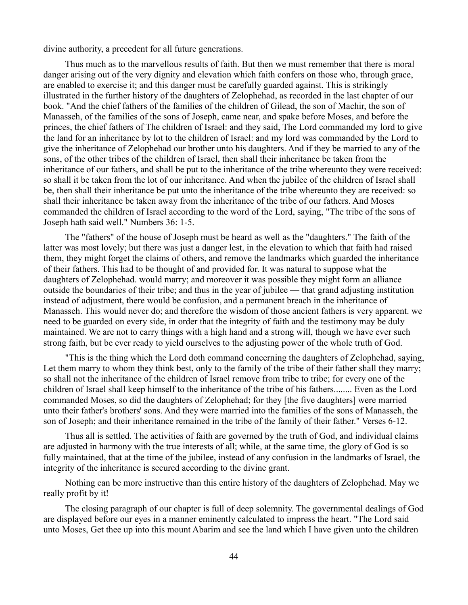divine authority, a precedent for all future generations.

Thus much as to the marvellous results of faith. But then we must remember that there is moral danger arising out of the very dignity and elevation which faith confers on those who, through grace, are enabled to exercise it; and this danger must be carefully guarded against. This is strikingly illustrated in the further history of the daughters of Zelophehad, as recorded in the last chapter of our book. "And the chief fathers of the families of the children of Gilead, the son of Machir, the son of Manasseh, of the families of the sons of Joseph, came near, and spake before Moses, and before the princes, the chief fathers of The children of Israel: and they said, The Lord commanded my lord to give the land for an inheritance by lot to the children of Israel: and my lord was commanded by the Lord to give the inheritance of Zelophehad our brother unto his daughters. And if they be married to any of the sons, of the other tribes of the children of Israel, then shall their inheritance be taken from the inheritance of our fathers, and shall be put to the inheritance of the tribe whereunto they were received: so shall it be taken from the lot of our inheritance. And when the jubilee of the children of Israel shall be, then shall their inheritance be put unto the inheritance of the tribe whereunto they are received: so shall their inheritance be taken away from the inheritance of the tribe of our fathers. And Moses commanded the children of Israel according to the word of the Lord, saying, "The tribe of the sons of Joseph hath said well." Numbers 36: 1-5.

The "fathers" of the house of Joseph must be heard as well as the "daughters." The faith of the latter was most lovely; but there was just a danger lest, in the elevation to which that faith had raised them, they might forget the claims of others, and remove the landmarks which guarded the inheritance of their fathers. This had to be thought of and provided for. It was natural to suppose what the daughters of Zelophehad. would marry; and moreover it was possible they might form an alliance outside the boundaries of their tribe; and thus in the year of jubilee — that grand adjusting institution instead of adjustment, there would be confusion, and a permanent breach in the inheritance of Manasseh. This would never do; and therefore the wisdom of those ancient fathers is very apparent. we need to be guarded on every side, in order that the integrity of faith and the testimony may be duly maintained. We are not to carry things with a high hand and a strong will, though we have ever such strong faith, but be ever ready to yield ourselves to the adjusting power of the whole truth of God.

"This is the thing which the Lord doth command concerning the daughters of Zelophehad, saying, Let them marry to whom they think best, only to the family of the tribe of their father shall they marry; so shall not the inheritance of the children of Israel remove from tribe to tribe; for every one of the children of Israel shall keep himself to the inheritance of the tribe of his fathers........ Even as the Lord commanded Moses, so did the daughters of Zelophehad; for they [the five daughters] were married unto their father's brothers' sons. And they were married into the families of the sons of Manasseh, the son of Joseph; and their inheritance remained in the tribe of the family of their father." Verses 6-12.

Thus all is settled. The activities of faith are governed by the truth of God, and individual claims are adjusted in harmony with the true interests of all; while, at the same time, the glory of God is so fully maintained, that at the time of the jubilee, instead of any confusion in the landmarks of Israel, the integrity of the inheritance is secured according to the divine grant.

Nothing can be more instructive than this entire history of the daughters of Zelophehad. May we really profit by it!

The closing paragraph of our chapter is full of deep solemnity. The governmental dealings of God are displayed before our eyes in a manner eminently calculated to impress the heart. "The Lord said unto Moses, Get thee up into this mount Abarim and see the land which I have given unto the children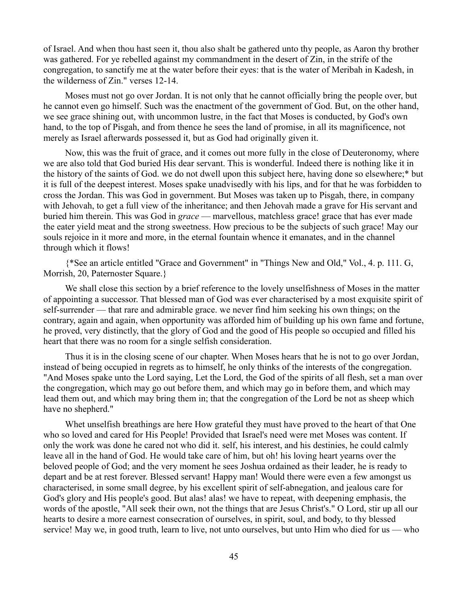of Israel. And when thou hast seen it, thou also shalt be gathered unto thy people, as Aaron thy brother was gathered. For ye rebelled against my commandment in the desert of Zin, in the strife of the congregation, to sanctify me at the water before their eyes: that is the water of Meribah in Kadesh, in the wilderness of Zin." verses 12-14.

Moses must not go over Jordan. It is not only that he cannot officially bring the people over, but he cannot even go himself. Such was the enactment of the government of God. But, on the other hand, we see grace shining out, with uncommon lustre, in the fact that Moses is conducted, by God's own hand, to the top of Pisgah, and from thence he sees the land of promise, in all its magnificence, not merely as Israel afterwards possessed it, but as God had originally given it.

Now, this was the fruit of grace, and it comes out more fully in the close of Deuteronomy, where we are also told that God buried His dear servant. This is wonderful. Indeed there is nothing like it in the history of the saints of God. we do not dwell upon this subject here, having done so elsewhere;\* but it is full of the deepest interest. Moses spake unadvisedly with his lips, and for that he was forbidden to cross the Jordan. This was God in government. But Moses was taken up to Pisgah, there, in company with Jehovah, to get a full view of the inheritance; and then Jehovah made a grave for His servant and buried him therein. This was God in *grace* — marvellous, matchless grace! grace that has ever made the eater yield meat and the strong sweetness. How precious to be the subjects of such grace! May our souls rejoice in it more and more, in the eternal fountain whence it emanates, and in the channel through which it flows!

{\*See an article entitled "Grace and Government" in "Things New and Old," Vol., 4. p. 111. G, Morrish, 20, Paternoster Square.}

We shall close this section by a brief reference to the lovely unselfishness of Moses in the matter of appointing a successor. That blessed man of God was ever characterised by a most exquisite spirit of self-surrender — that rare and admirable grace. we never find him seeking his own things; on the contrary, again and again, when opportunity was afforded him of building up his own fame and fortune, he proved, very distinctly, that the glory of God and the good of His people so occupied and filled his heart that there was no room for a single selfish consideration.

Thus it is in the closing scene of our chapter. When Moses hears that he is not to go over Jordan, instead of being occupied in regrets as to himself, he only thinks of the interests of the congregation. "And Moses spake unto the Lord saying, Let the Lord, the God of the spirits of all flesh, set a man over the congregation, which may go out before them, and which may go in before them, and which may lead them out, and which may bring them in; that the congregation of the Lord be not as sheep which have no shepherd."

Whet unselfish breathings are here How grateful they must have proved to the heart of that One who so loved and cared for His People! Provided that Israel's need were met Moses was content. If only the work was done he cared not who did it. self, his interest, and his destinies, he could calmly leave all in the hand of God. He would take care of him, but oh! his loving heart yearns over the beloved people of God; and the very moment he sees Joshua ordained as their leader, he is ready to depart and be at rest forever. Blessed servant! Happy man! Would there were even a few amongst us characterised, in some small degree, by his excellent spirit of self-abnegation, and jealous care for God's glory and His people's good. But alas! alas! we have to repeat, with deepening emphasis, the words of the apostle, "All seek their own, not the things that are Jesus Christ's." O Lord, stir up all our hearts to desire a more earnest consecration of ourselves, in spirit, soul, and body, to thy blessed service! May we, in good truth, learn to live, not unto ourselves, but unto Him who died for us — who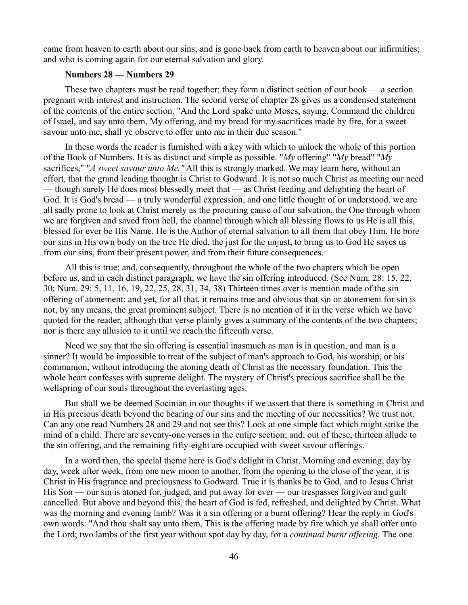came from heaven to earth about our sins; and is gone back from earth to heaven about our infirmities; and who is coming again for our eternal salvation and glory.

#### **Numbers 28 — Numbers 29**

These two chapters must be read together; they form a distinct section of our book — a section pregnant with interest and instruction. The second verse of chapter 28 gives us a condensed statement of the contents of the entire section. "And the Lord spake unto Moses, saying, Command the children of Israel, and say unto them, My offering, and my bread for my sacrifices made by fire, for a sweet savour unto me, shall ye observe to offer unto me in their due season."

In these words the reader is furnished with a key with which to unlock the whole of this portion of the Book of Numbers. It is as distinct and simple as possible. "*My* offering" "*My* bread" "*My* sacrifices," "*A sweet savour unto Me."* All this is strongly marked. We may learn here, without an effort, that the grand leading thought is Christ to Godward. It is not so much Christ as meeting our need — though surely He does most blessedly meet that — as Christ feeding and delighting the heart of God. It is God's bread — a truly wonderful expression, and one little thought of or understood. we are all sadly prone to look at Christ merely as the procuring cause of our salvation, the One through whom we are forgiven and saved from hell, the channel through which all blessing flows to us He is all this, blessed for ever be His Name. He is the Author of eternal salvation to all them that obey Him. He bore our sins in His own body on the tree He died, the just for the unjust, to bring us to God He saves us from our sins, from their present power, and from their future consequences.

All this is true; and, consequently, throughout the whole of the two chapters which lie open before us, and in each distinct paragraph, we have the sin offering introduced. (See Num. 28: 15, 22, 30; Num. 29: 5, 11, 16, 19, 22, 25, 28, 31, 34, 38) Thirteen times over is mention made of the sin offering of atonement; and yet, for all that, it remains true and obvious that sin or atonement for sin is not, by any means, the great prominent subject. There is no mention of it in the verse which we have quoted for the reader, although that verse plainly gives a summary of the contents of the two chapters; nor is there any allusion to it until we reach the fifteenth verse.

Need we say that the sin offering is essential inasmuch as man is in question, and man is a sinner? It would be impossible to treat of the subject of man's approach to God, his worship, or his communion, without introducing the atoning death of Christ as the necessary foundation. This the whole heart confesses with supreme delight. The mystery of Christ's precious sacrifice shall be the wellspring of our souls throughout the everlasting ages.

But shall we be deemed Socinian in our thoughts if we assert that there is something in Christ and in His precious death beyond the bearing of our sins and the meeting of our necessities? We trust not. Can any one read Numbers 28 and 29 and not see this? Look at one simple fact which might strike the mind of a child. There are seventy-one verses in the entire section; and, out of these, thirteen allude to the sin offering, and the remaining fifty-eight are occupied with sweet savour offerings.

In a word then, the special theme here is God's delight in Christ. Morning and evening, day by day, week after week, from one new moon to another, from the opening to the close of the year, it is Christ in His fragrance and preciousness to Godward. True it is thanks be to God, and to Jesus Christ His Son — our sin is atoned for, judged, and put away for ever — our trespasses forgiven and guilt cancelled. But above and beyond this, the heart of God is fed, refreshed, and delighted by Christ. What was the morning and evening lamb? Was it a sin offering or a burnt offering? Hear the reply in God's own words: "And thou shalt say unto them, This is the offering made by fire which ye shall offer unto the Lord; two lambs of the first year without spot day by day, for a *continual burnt offering.* The one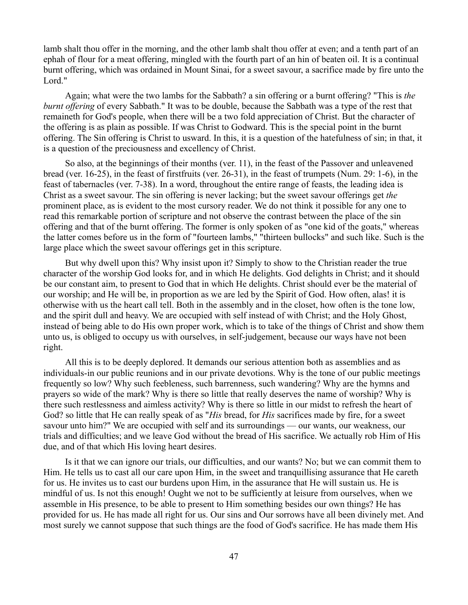lamb shalt thou offer in the morning, and the other lamb shalt thou offer at even; and a tenth part of an ephah of flour for a meat offering, mingled with the fourth part of an hin of beaten oil. It is a continual burnt offering, which was ordained in Mount Sinai, for a sweet savour, a sacrifice made by fire unto the Lord."

Again; what were the two lambs for the Sabbath? a sin offering or a burnt offering? "This is *the burnt offering* of every Sabbath." It was to be double, because the Sabbath was a type of the rest that remaineth for God's people, when there will be a two fold appreciation of Christ. But the character of the offering is as plain as possible. If was Christ to Godward. This is the special point in the burnt offering. The Sin offering is Christ to usward. In this, it is a question of the hatefulness of sin; in that, it is a question of the preciousness and excellency of Christ.

So also, at the beginnings of their months (ver. 11), in the feast of the Passover and unleavened bread (ver. 16-25), in the feast of firstfruits (ver. 26-31), in the feast of trumpets (Num. 29: 1-6), in the feast of tabernacles (ver. 7-38). In a word, throughout the entire range of feasts, the leading idea is Christ as a sweet savour. The sin offering is never lacking; but the sweet savour offerings get *the* prominent place, as is evident to the most cursory reader. We do not think it possible for any one to read this remarkable portion of scripture and not observe the contrast between the place of the sin offering and that of the burnt offering. The former is only spoken of as "one kid of the goats," whereas the latter comes before us in the form of "fourteen lambs," "thirteen bullocks" and such like. Such is the large place which the sweet savour offerings get in this scripture.

But why dwell upon this? Why insist upon it? Simply to show to the Christian reader the true character of the worship God looks for, and in which He delights. God delights in Christ; and it should be our constant aim, to present to God that in which He delights. Christ should ever be the material of our worship; and He will be, in proportion as we are led by the Spirit of God. How often, alas! it is otherwise with us the heart call tell. Both in the assembly and in the closet, how often is the tone low, and the spirit dull and heavy. We are occupied with self instead of with Christ; and the Holy Ghost, instead of being able to do His own proper work, which is to take of the things of Christ and show them unto us, is obliged to occupy us with ourselves, in self-judgement, because our ways have not been right.

All this is to be deeply deplored. It demands our serious attention both as assemblies and as individuals-in our public reunions and in our private devotions. Why is the tone of our public meetings frequently so low? Why such feebleness, such barrenness, such wandering? Why are the hymns and prayers so wide of the mark? Why is there so little that really deserves the name of worship? Why is there such restlessness and aimless activity? Why is there so little in our midst to refresh the heart of God? so little that He can really speak of as "*His* bread, for *His* sacrifices made by fire, for a sweet savour unto him?" We are occupied with self and its surroundings — our wants, our weakness, our trials and difficulties; and we leave God without the bread of His sacrifice. We actually rob Him of His due, and of that which His loving heart desires.

Is it that we can ignore our trials, our difficulties, and our wants? No; but we can commit them to Him. He tells us to cast all our care upon Him, in the sweet and tranquillising assurance that He careth for us. He invites us to cast our burdens upon Him, in the assurance that He will sustain us. He is mindful of us. Is not this enough! Ought we not to be sufficiently at leisure from ourselves, when we assemble in His presence, to be able to present to Him something besides our own things? He has provided for us. He has made all right for us. Our sins and Our sorrows have all been divinely met. And most surely we cannot suppose that such things are the food of God's sacrifice. He has made them His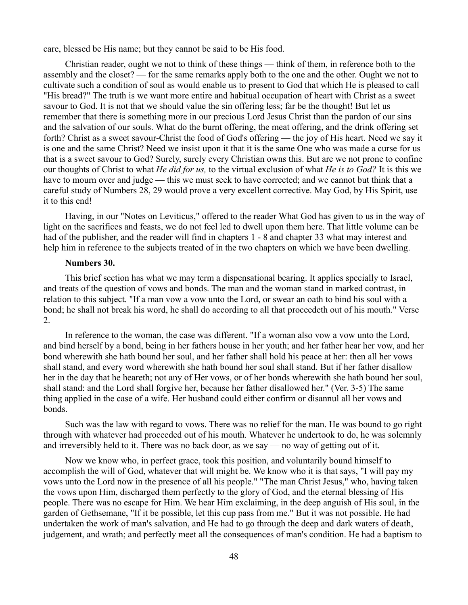care, blessed be His name; but they cannot be said to be His food.

Christian reader, ought we not to think of these things — think of them, in reference both to the assembly and the closet? — for the same remarks apply both to the one and the other. Ought we not to cultivate such a condition of soul as would enable us to present to God that which He is pleased to call "His bread?" The truth is we want more entire and habitual occupation of heart with Christ as a sweet savour to God. It is not that we should value the sin offering less; far be the thought! But let us remember that there is something more in our precious Lord Jesus Christ than the pardon of our sins and the salvation of our souls. What do the burnt offering, the meat offering, and the drink offering set forth? Christ as a sweet savour-Christ the food of God's offering — the joy of His heart. Need we say it is one and the same Christ? Need we insist upon it that it is the same One who was made a curse for us that is a sweet savour to God? Surely, surely every Christian owns this. But are we not prone to confine our thoughts of Christ to what *He did for us,* to the virtual exclusion of what *He is to God?* It is this we have to mourn over and judge — this we must seek to have corrected; and we cannot but think that a careful study of Numbers 28, 29 would prove a very excellent corrective. May God, by His Spirit, use it to this end!

Having, in our "Notes on Leviticus," offered to the reader What God has given to us in the way of light on the sacrifices and feasts, we do not feel led to dwell upon them here. That little volume can be had of the publisher, and the reader will find in chapters 1 - 8 and chapter 33 what may interest and help him in reference to the subjects treated of in the two chapters on which we have been dwelling.

### **Numbers 30.**

This brief section has what we may term a dispensational bearing. It applies specially to Israel, and treats of the question of vows and bonds. The man and the woman stand in marked contrast, in relation to this subject. "If a man vow a vow unto the Lord, or swear an oath to bind his soul with a bond; he shall not break his word, he shall do according to all that proceedeth out of his mouth." Verse 2.

In reference to the woman, the case was different. "If a woman also vow a vow unto the Lord, and bind herself by a bond, being in her fathers house in her youth; and her father hear her vow, and her bond wherewith she hath bound her soul, and her father shall hold his peace at her: then all her vows shall stand, and every word wherewith she hath bound her soul shall stand. But if her father disallow her in the day that he heareth; not any of Her vows, or of her bonds wherewith she hath bound her soul, shall stand: and the Lord shall forgive her, because her father disallowed her." (Ver. 3-5) The same thing applied in the case of a wife. Her husband could either confirm or disannul all her vows and bonds.

Such was the law with regard to vows. There was no relief for the man. He was bound to go right through with whatever had proceeded out of his mouth. Whatever he undertook to do, he was solemnly and irreversibly held to it. There was no back door, as we say — no way of getting out of it.

Now we know who, in perfect grace, took this position, and voluntarily bound himself to accomplish the will of God, whatever that will might be. We know who it is that says, "I will pay my vows unto the Lord now in the presence of all his people." "The man Christ Jesus," who, having taken the vows upon Him, discharged them perfectly to the glory of God, and the eternal blessing of His people. There was no escape for Him. We hear Him exclaiming, in the deep anguish of His soul, in the garden of Gethsemane, "If it be possible, let this cup pass from me." But it was not possible. He had undertaken the work of man's salvation, and He had to go through the deep and dark waters of death, judgement, and wrath; and perfectly meet all the consequences of man's condition. He had a baptism to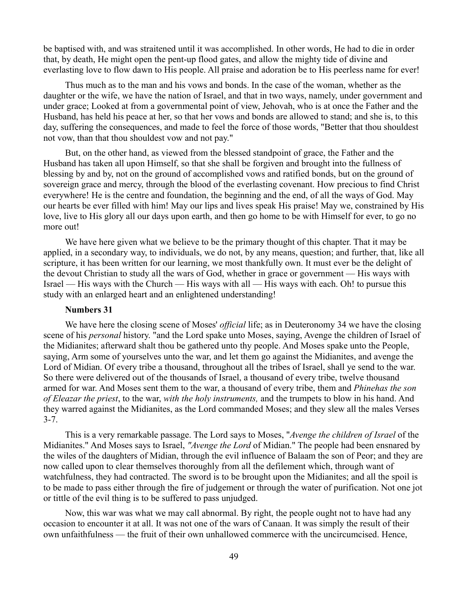be baptised with, and was straitened until it was accomplished. In other words, He had to die in order that, by death, He might open the pent-up flood gates, and allow the mighty tide of divine and everlasting love to flow dawn to His people. All praise and adoration be to His peerless name for ever!

Thus much as to the man and his vows and bonds. In the case of the woman, whether as the daughter or the wife, we have the nation of Israel, and that in two ways, namely, under government and under grace; Looked at from a governmental point of view, Jehovah, who is at once the Father and the Husband, has held his peace at her, so that her vows and bonds are allowed to stand; and she is, to this day, suffering the consequences, and made to feel the force of those words, "Better that thou shouldest not vow, than that thou shouldest vow and not pay."

But, on the other hand, as viewed from the blessed standpoint of grace, the Father and the Husband has taken all upon Himself, so that she shall be forgiven and brought into the fullness of blessing by and by, not on the ground of accomplished vows and ratified bonds, but on the ground of sovereign grace and mercy, through the blood of the everlasting covenant. How precious to find Christ everywhere! He is the centre and foundation, the beginning and the end, of all the ways of God. May our hearts be ever filled with him! May our lips and lives speak His praise! May we, constrained by His love, live to His glory all our days upon earth, and then go home to be with Himself for ever, to go no more out!

We have here given what we believe to be the primary thought of this chapter. That it may be applied, in a secondary way, to individuals, we do not, by any means, question; and further, that, like all scripture, it has been written for our learning, we most thankfully own. It must ever be the delight of the devout Christian to study all the wars of God, whether in grace or government — His ways with Israel — His ways with the Church — His ways with all — His ways with each. Oh! to pursue this study with an enlarged heart and an enlightened understanding!

#### **Numbers 31**

We have here the closing scene of Moses' *official* life; as in Deuteronomy 34 we have the closing scene of his *personal* history. "and the Lord spake unto Moses, saying, Avenge the children of Israel of the Midianites; afterward shalt thou be gathered unto thy people. And Moses spake unto the People, saying, Arm some of yourselves unto the war, and let them go against the Midianites, and avenge the Lord of Midian. Of every tribe a thousand, throughout all the tribes of Israel, shall ye send to the war. So there were delivered out of the thousands of Israel, a thousand of every tribe, twelve thousand armed for war. And Moses sent them to the war, a thousand of every tribe, them and *Phinehas the son of Eleazar the priest*, to the war, *with the holy instruments,* and the trumpets to blow in his hand. And they warred against the Midianites, as the Lord commanded Moses; and they slew all the males Verses 3-7.

This is a very remarkable passage. The Lord says to Moses, "*Avenge the children of Israel* of the Midianites." And Moses says to Israel, *"Avenge the Lord* of Midian." The people had been ensnared by the wiles of the daughters of Midian, through the evil influence of Balaam the son of Peor; and they are now called upon to clear themselves thoroughly from all the defilement which, through want of watchfulness, they had contracted. The sword is to be brought upon the Midianites; and all the spoil is to be made to pass either through the fire of judgement or through the water of purification. Not one jot or tittle of the evil thing is to be suffered to pass unjudged.

Now, this war was what we may call abnormal. By right, the people ought not to have had any occasion to encounter it at all. It was not one of the wars of Canaan. It was simply the result of their own unfaithfulness — the fruit of their own unhallowed commerce with the uncircumcised. Hence,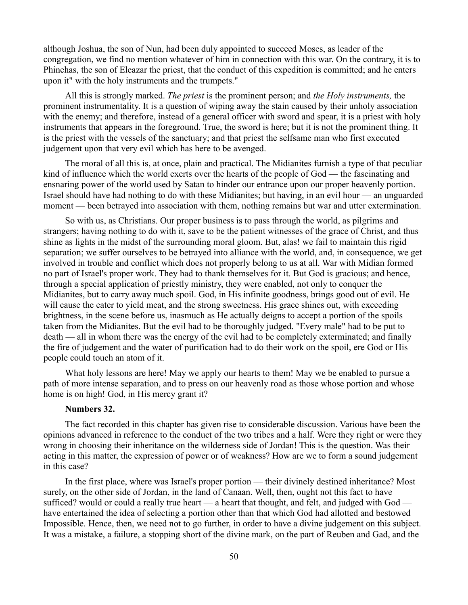although Joshua, the son of Nun, had been duly appointed to succeed Moses, as leader of the congregation, we find no mention whatever of him in connection with this war. On the contrary, it is to Phinehas, the son of Eleazar the priest, that the conduct of this expedition is committed; and he enters upon it" with the holy instruments and the trumpets."

All this is strongly marked. *The priest* is the prominent person; and *the Holy instruments,* the prominent instrumentality. It is a question of wiping away the stain caused by their unholy association with the enemy; and therefore, instead of a general officer with sword and spear, it is a priest with holy instruments that appears in the foreground. True, the sword is here; but it is not the prominent thing. It is the priest with the vessels of the sanctuary; and that priest the selfsame man who first executed judgement upon that very evil which has here to be avenged.

The moral of all this is, at once, plain and practical. The Midianites furnish a type of that peculiar kind of influence which the world exerts over the hearts of the people of God — the fascinating and ensnaring power of the world used by Satan to hinder our entrance upon our proper heavenly portion. Israel should have had nothing to do with these Midianites; but having, in an evil hour — an unguarded moment — been betrayed into association with them, nothing remains but war and utter extermination.

So with us, as Christians. Our proper business is to pass through the world, as pilgrims and strangers; having nothing to do with it, save to be the patient witnesses of the grace of Christ, and thus shine as lights in the midst of the surrounding moral gloom. But, alas! we fail to maintain this rigid separation; we suffer ourselves to be betrayed into alliance with the world, and, in consequence, we get involved in trouble and conflict which does not properly belong to us at all. War with Midian formed no part of Israel's proper work. They had to thank themselves for it. But God is gracious; and hence, through a special application of priestly ministry, they were enabled, not only to conquer the Midianites, but to carry away much spoil. God, in His infinite goodness, brings good out of evil. He will cause the eater to yield meat, and the strong sweetness. His grace shines out, with exceeding brightness, in the scene before us, inasmuch as He actually deigns to accept a portion of the spoils taken from the Midianites. But the evil had to be thoroughly judged. "Every male" had to be put to death — all in whom there was the energy of the evil had to be completely exterminated; and finally the fire of judgement and the water of purification had to do their work on the spoil, ere God or His people could touch an atom of it.

What holy lessons are here! May we apply our hearts to them! May we be enabled to pursue a path of more intense separation, and to press on our heavenly road as those whose portion and whose home is on high! God, in His mercy grant it?

#### **Numbers 32.**

The fact recorded in this chapter has given rise to considerable discussion. Various have been the opinions advanced in reference to the conduct of the two tribes and a half. Were they right or were they wrong in choosing their inheritance on the wilderness side of Jordan! This is the question. Was their acting in this matter, the expression of power or of weakness? How are we to form a sound judgement in this case?

In the first place, where was Israel's proper portion — their divinely destined inheritance? Most surely, on the other side of Jordan, in the land of Canaan. Well, then, ought not this fact to have sufficed? would or could a really true heart — a heart that thought, and felt, and judged with God have entertained the idea of selecting a portion other than that which God had allotted and bestowed Impossible. Hence, then, we need not to go further, in order to have a divine judgement on this subject. It was a mistake, a failure, a stopping short of the divine mark, on the part of Reuben and Gad, and the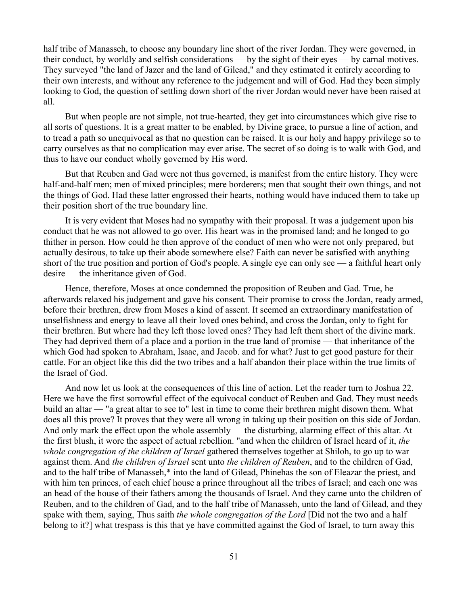half tribe of Manasseh, to choose any boundary line short of the river Jordan. They were governed, in their conduct, by worldly and selfish considerations — by the sight of their eyes — by carnal motives. They surveyed "the land of Jazer and the land of Gilead," and they estimated it entirely according to their own interests, and without any reference to the judgement and will of God. Had they been simply looking to God, the question of settling down short of the river Jordan would never have been raised at all.

But when people are not simple, not true-hearted, they get into circumstances which give rise to all sorts of questions. It is a great matter to be enabled, by Divine grace, to pursue a line of action, and to tread a path so unequivocal as that no question can be raised. It is our holy and happy privilege so to carry ourselves as that no complication may ever arise. The secret of so doing is to walk with God, and thus to have our conduct wholly governed by His word.

But that Reuben and Gad were not thus governed, is manifest from the entire history. They were half-and-half men; men of mixed principles; mere borderers; men that sought their own things, and not the things of God. Had these latter engrossed their hearts, nothing would have induced them to take up their position short of the true boundary line.

It is very evident that Moses had no sympathy with their proposal. It was a judgement upon his conduct that he was not allowed to go over. His heart was in the promised land; and he longed to go thither in person. How could he then approve of the conduct of men who were not only prepared, but actually desirous, to take up their abode somewhere else? Faith can never be satisfied with anything short of the true position and portion of God's people. A single eye can only see — a faithful heart only desire — the inheritance given of God.

Hence, therefore, Moses at once condemned the proposition of Reuben and Gad. True, he afterwards relaxed his judgement and gave his consent. Their promise to cross the Jordan, ready armed, before their brethren, drew from Moses a kind of assent. It seemed an extraordinary manifestation of unselfishness and energy to leave all their loved ones behind, and cross the Jordan, only to fight for their brethren. But where had they left those loved ones? They had left them short of the divine mark. They had deprived them of a place and a portion in the true land of promise — that inheritance of the which God had spoken to Abraham, Isaac, and Jacob. and for what? Just to get good pasture for their cattle. For an object like this did the two tribes and a half abandon their place within the true limits of the Israel of God.

And now let us look at the consequences of this line of action. Let the reader turn to Joshua 22. Here we have the first sorrowful effect of the equivocal conduct of Reuben and Gad. They must needs build an altar — "a great altar to see to" lest in time to come their brethren might disown them. What does all this prove? It proves that they were all wrong in taking up their position on this side of Jordan. And only mark the effect upon the whole assembly — the disturbing, alarming effect of this altar. At the first blush, it wore the aspect of actual rebellion. "and when the children of Israel heard of it, *the whole congregation of the children of Israel* gathered themselves together at Shiloh, to go up to war against them. And *the children of Israel* sent unto *the children of Reuben*, and to the children of Gad, and to the half tribe of Manasseh,\* into the land of Gilead, Phinehas the son of Eleazar the priest, and with him ten princes, of each chief house a prince throughout all the tribes of Israel; and each one was an head of the house of their fathers among the thousands of Israel. And they came unto the children of Reuben, and to the children of Gad, and to the half tribe of Manasseh, unto the land of Gilead, and they spake with them, saying, Thus saith *the whole congregation of the Lord* [Did not the two and a half belong to it?] what trespass is this that ye have committed against the God of Israel, to turn away this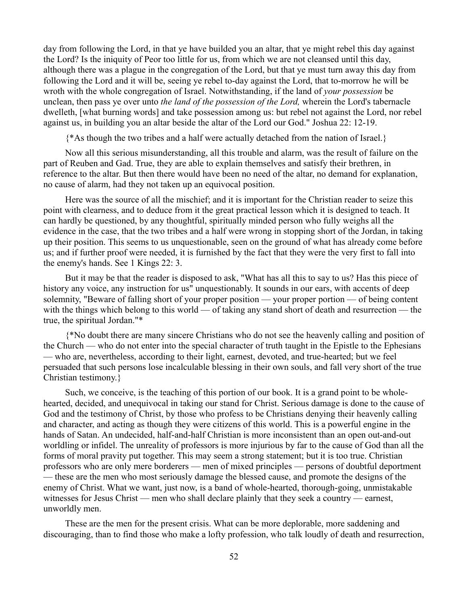day from following the Lord, in that ye have builded you an altar, that ye might rebel this day against the Lord? Is the iniquity of Peor too little for us, from which we are not cleansed until this day, although there was a plague in the congregation of the Lord, but that ye must turn away this day from following the Lord and it will be, seeing ye rebel to-day against the Lord, that to-morrow he will be wroth with the whole congregation of Israel. Notwithstanding, if the land of *your possession* be unclean, then pass ye over unto *the land of the possession of the Lord,* wherein the Lord's tabernacle dwelleth, [what burning words] and take possession among us: but rebel not against the Lord, nor rebel against us, in building you an altar beside the altar of the Lord our God." Joshua 22: 12-19.

{\*As though the two tribes and a half were actually detached from the nation of Israel.}

Now all this serious misunderstanding, all this trouble and alarm, was the result of failure on the part of Reuben and Gad. True, they are able to explain themselves and satisfy their brethren, in reference to the altar. But then there would have been no need of the altar, no demand for explanation, no cause of alarm, had they not taken up an equivocal position.

Here was the source of all the mischief; and it is important for the Christian reader to seize this point with clearness, and to deduce from it the great practical lesson which it is designed to teach. It can hardly be questioned, by any thoughtful, spiritually minded person who fully weighs all the evidence in the case, that the two tribes and a half were wrong in stopping short of the Jordan, in taking up their position. This seems to us unquestionable, seen on the ground of what has already come before us; and if further proof were needed, it is furnished by the fact that they were the very first to fall into the enemy's hands. See 1 Kings 22: 3.

But it may be that the reader is disposed to ask, "What has all this to say to us? Has this piece of history any voice, any instruction for us" unquestionably. It sounds in our ears, with accents of deep solemnity, "Beware of falling short of your proper position — your proper portion — of being content with the things which belong to this world — of taking any stand short of death and resurrection — the true, the spiritual Jordan."\*

{\*No doubt there are many sincere Christians who do not see the heavenly calling and position of the Church — who do not enter into the special character of truth taught in the Epistle to the Ephesians — who are, nevertheless, according to their light, earnest, devoted, and true-hearted; but we feel persuaded that such persons lose incalculable blessing in their own souls, and fall very short of the true Christian testimony.}

Such, we conceive, is the teaching of this portion of our book. It is a grand point to be wholehearted, decided, and unequivocal in taking our stand for Christ. Serious damage is done to the cause of God and the testimony of Christ, by those who profess to be Christians denying their heavenly calling and character, and acting as though they were citizens of this world. This is a powerful engine in the hands of Satan. An undecided, half-and-half Christian is more inconsistent than an open out-and-out worldling or infidel. The unreality of professors is more injurious by far to the cause of God than all the forms of moral pravity put together. This may seem a strong statement; but it is too true. Christian professors who are only mere borderers — men of mixed principles — persons of doubtful deportment — these are the men who most seriously damage the blessed cause, and promote the designs of the enemy of Christ. What we want, just now, is a band of whole-hearted, thorough-going, unmistakable witnesses for Jesus Christ — men who shall declare plainly that they seek a country — earnest, unworldly men.

These are the men for the present crisis. What can be more deplorable, more saddening and discouraging, than to find those who make a lofty profession, who talk loudly of death and resurrection,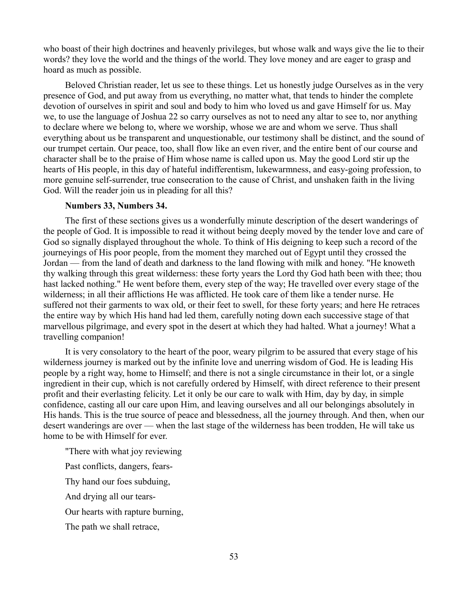who boast of their high doctrines and heavenly privileges, but whose walk and ways give the lie to their words? they love the world and the things of the world. They love money and are eager to grasp and hoard as much as possible.

Beloved Christian reader, let us see to these things. Let us honestly judge Ourselves as in the very presence of God, and put away from us everything, no matter what, that tends to hinder the complete devotion of ourselves in spirit and soul and body to him who loved us and gave Himself for us. May we, to use the language of Joshua 22 so carry ourselves as not to need any altar to see to, nor anything to declare where we belong to, where we worship, whose we are and whom we serve. Thus shall everything about us be transparent and unquestionable, our testimony shall be distinct, and the sound of our trumpet certain. Our peace, too, shall flow like an even river, and the entire bent of our course and character shall be to the praise of Him whose name is called upon us. May the good Lord stir up the hearts of His people, in this day of hateful indifferentism, lukewarmness, and easy-going profession, to more genuine self-surrender, true consecration to the cause of Christ, and unshaken faith in the living God. Will the reader join us in pleading for all this?

#### **Numbers 33, Numbers 34.**

The first of these sections gives us a wonderfully minute description of the desert wanderings of the people of God. It is impossible to read it without being deeply moved by the tender love and care of God so signally displayed throughout the whole. To think of His deigning to keep such a record of the journeyings of His poor people, from the moment they marched out of Egypt until they crossed the Jordan — from the land of death and darkness to the land flowing with milk and honey. "He knoweth thy walking through this great wilderness: these forty years the Lord thy God hath been with thee; thou hast lacked nothing." He went before them, every step of the way; He travelled over every stage of the wilderness; in all their afflictions He was afflicted. He took care of them like a tender nurse. He suffered not their garments to wax old, or their feet to swell, for these forty years; and here He retraces the entire way by which His hand had led them, carefully noting down each successive stage of that marvellous pilgrimage, and every spot in the desert at which they had halted. What a journey! What a travelling companion!

It is very consolatory to the heart of the poor, weary pilgrim to be assured that every stage of his wilderness journey is marked out by the infinite love and unerring wisdom of God. He is leading His people by a right way, home to Himself; and there is not a single circumstance in their lot, or a single ingredient in their cup, which is not carefully ordered by Himself, with direct reference to their present profit and their everlasting felicity. Let it only be our care to walk with Him, day by day, in simple confidence, casting all our care upon Him, and leaving ourselves and all our belongings absolutely in His hands. This is the true source of peace and blessedness, all the journey through. And then, when our desert wanderings are over — when the last stage of the wilderness has been trodden, He will take us home to be with Himself for ever.

"There with what joy reviewing Past conflicts, dangers, fears-Thy hand our foes subduing, And drying all our tears-Our hearts with rapture burning, The path we shall retrace,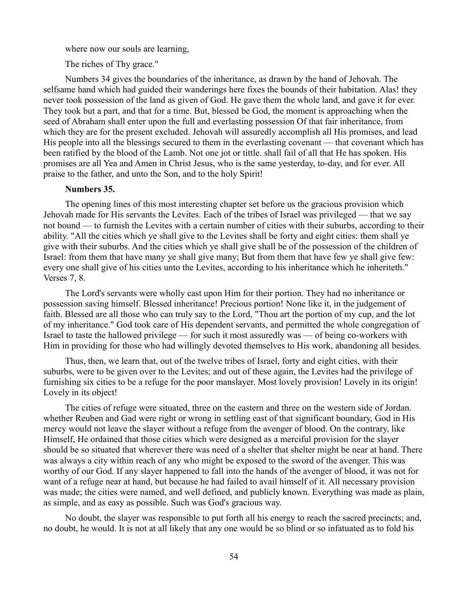where now our souls are learning,

The riches of Thy grace."

Numbers 34 gives the boundaries of the inheritance, as drawn by the hand of Jehovah. The selfsame hand which had guided their wanderings here fixes the bounds of their habitation. Alas! they never took possession of the land as given of God. He gave them the whole land, and gave it for ever. They took but a part, and that for a time. But, blessed be God, the moment is approaching when the seed of Abraham shall enter upon the full and everlasting possession Of that fair inheritance, from which they are for the present excluded. Jehovah will assuredly accomplish all His promises, and lead His people into all the blessings secured to them in the everlasting covenant — that covenant which has been ratified by the blood of the Lamb. Not one jot or tittle. shall fail of all that He has spoken. His promises are all Yea and Amen in Christ Jesus, who is the same yesterday, to-day, and for ever. All praise to the father, and unto the Son, and to the holy Spirit!

# **Numbers 35.**

The opening lines of this most interesting chapter set before us the gracious provision which Jehovah made for His servants the Levites. Each of the tribes of Israel was privileged — that we say not bound — to furnish the Levites with a certain number of cities with their suburbs, according to their ability. "All the cities which ye shall give to the Levites shall be forty and eight cities: them shall ye give with their suburbs. And the cities which ye shall give shall be of the possession of the children of Israel: from them that have many ye shall give many; But from them that have few ye shall give few: every one shall give of his cities unto the Levites, according to his inheritance which he inheriteth." Verses 7, 8.

The Lord's servants were wholly cast upon Him for their portion. They had no inheritance or possession saving himself. Blessed inheritance! Precious portion! None like it, in the judgement of faith. Blessed are all those who can truly say to the Lord, "Thou art the portion of my cup, and the lot of my inheritance." God took care of His dependent servants, and permitted the whole congregation of Israel to taste the hallowed privilege — for such it most assuredly was — of being co-workers with Him in providing for those who had willingly devoted themselves to His work, abandoning all besides.

Thus, then, we learn that, out of the twelve tribes of Israel, forty and eight cities, with their suburbs, were to be given over to the Levites; and out of these again, the Levites had the privilege of furnishing six cities to be a refuge for the poor manslayer. Most lovely provision! Lovely in its origin! Lovely in its object!

The cities of refuge were situated, three on the eastern and three on the western side of Jordan. whether Reuben and Gad were right or wrong in settling east of that significant boundary, God in His mercy would not leave the slayer without a refuge from the avenger of blood. On the contrary, like Himself, He ordained that those cities which were designed as a merciful provision for the slayer should be so situated that wherever there was need of a shelter that shelter might be near at hand. There was always a city within reach of any who might be exposed to the sword of the avenger. This was worthy of our God. If any slayer happened to fall into the hands of the avenger of blood, it was not for want of a refuge near at hand, but because he had failed to avail himself of it. All necessary provision was made; the cities were named, and well defined, and publicly known. Everything was made as plain, as simple, and as easy as possible. Such was God's gracious way.

No doubt, the slayer was responsible to put forth all his energy to reach the sacred precincts; and, no doubt, he would. It is not at all likely that any one would be so blind or so infatuated as to fold his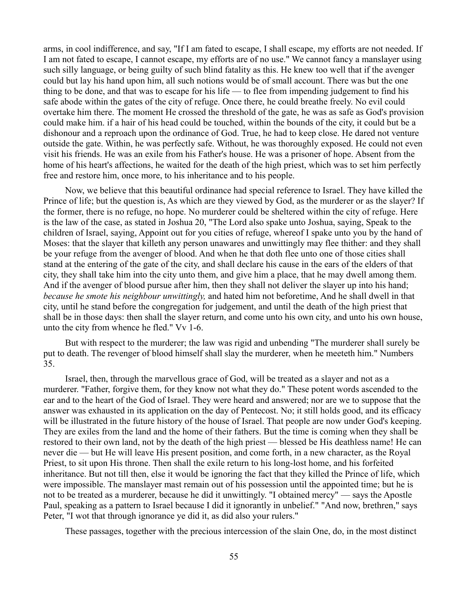arms, in cool indifference, and say, "If I am fated to escape, I shall escape, my efforts are not needed. If I am not fated to escape, I cannot escape, my efforts are of no use." We cannot fancy a manslayer using such silly language, or being guilty of such blind fatality as this. He knew too well that if the avenger could but lay his hand upon him, all such notions would be of small account. There was but the one thing to be done, and that was to escape for his life — to flee from impending judgement to find his safe abode within the gates of the city of refuge. Once there, he could breathe freely. No evil could overtake him there. The moment He crossed the threshold of the gate, he was as safe as God's provision could make him. if a hair of his head could be touched, within the bounds of the city, it could but be a dishonour and a reproach upon the ordinance of God. True, he had to keep close. He dared not venture outside the gate. Within, he was perfectly safe. Without, he was thoroughly exposed. He could not even visit his friends. He was an exile from his Father's house. He was a prisoner of hope. Absent from the home of his heart's affections, he waited for the death of the high priest, which was to set him perfectly free and restore him, once more, to his inheritance and to his people.

Now, we believe that this beautiful ordinance had special reference to Israel. They have killed the Prince of life; but the question is, As which are they viewed by God, as the murderer or as the slayer? If the former, there is no refuge, no hope. No murderer could be sheltered within the city of refuge. Here is the law of the case, as stated in Joshua 20, "The Lord also spake unto Joshua, saying, Speak to the children of Israel, saying, Appoint out for you cities of refuge, whereof I spake unto you by the hand of Moses: that the slayer that killeth any person unawares and unwittingly may flee thither: and they shall be your refuge from the avenger of blood. And when he that doth flee unto one of those cities shall stand at the entering of the gate of the city, and shall declare his cause in the ears of the elders of that city, they shall take him into the city unto them, and give him a place, that he may dwell among them. And if the avenger of blood pursue after him, then they shall not deliver the slayer up into his hand; *because he smote his neighbour unwittingly,* and hated him not beforetime, And he shall dwell in that city, until he stand before the congregation for judgement, and until the death of the high priest that shall be in those days: then shall the slayer return, and come unto his own city, and unto his own house, unto the city from whence he fled." Vv 1-6.

But with respect to the murderer; the law was rigid and unbending "The murderer shall surely be put to death. The revenger of blood himself shall slay the murderer, when he meeteth him." Numbers 35.

Israel, then, through the marvellous grace of God, will be treated as a slayer and not as a murderer. "Father, forgive them, for they know not what they do." These potent words ascended to the ear and to the heart of the God of Israel. They were heard and answered; nor are we to suppose that the answer was exhausted in its application on the day of Pentecost. No; it still holds good, and its efficacy will be illustrated in the future history of the house of Israel. That people are now under God's keeping. They are exiles from the land and the home of their fathers. But the time is coming when they shall be restored to their own land, not by the death of the high priest — blessed be His deathless name! He can never die — but He will leave His present position, and come forth, in a new character, as the Royal Priest, to sit upon His throne. Then shall the exile return to his long-lost home, and his forfeited inheritance. But not till then, else it would be ignoring the fact that they killed the Prince of life, which were impossible. The manslayer mast remain out of his possession until the appointed time; but he is not to be treated as a murderer, because he did it unwittingly. "I obtained mercy" — says the Apostle Paul, speaking as a pattern to Israel because I did it ignorantly in unbelief." "And now, brethren," says Peter, "I wot that through ignorance ye did it, as did also your rulers."

These passages, together with the precious intercession of the slain One, do, in the most distinct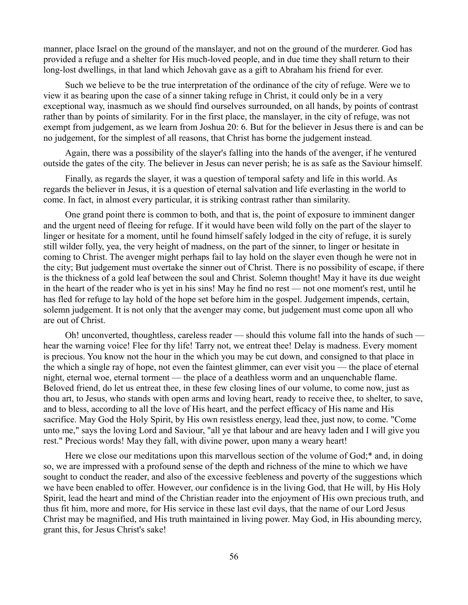manner, place Israel on the ground of the manslayer, and not on the ground of the murderer. God has provided a refuge and a shelter for His much-loved people, and in due time they shall return to their long-lost dwellings, in that land which Jehovah gave as a gift to Abraham his friend for ever.

Such we believe to be the true interpretation of the ordinance of the city of refuge. Were we to view it as bearing upon the case of a sinner taking refuge in Christ, it could only be in a very exceptional way, inasmuch as we should find ourselves surrounded, on all hands, by points of contrast rather than by points of similarity. For in the first place, the manslayer, in the city of refuge, was not exempt from judgement, as we learn from Joshua 20: 6. But for the believer in Jesus there is and can be no judgement, for the simplest of all reasons, that Christ has borne the judgement instead.

Again, there was a possibility of the slayer's falling into the hands of the avenger, if he ventured outside the gates of the city. The believer in Jesus can never perish; he is as safe as the Saviour himself.

Finally, as regards the slayer, it was a question of temporal safety and life in this world. As regards the believer in Jesus, it is a question of eternal salvation and life everlasting in the world to come. In fact, in almost every particular, it is striking contrast rather than similarity.

One grand point there is common to both, and that is, the point of exposure to imminent danger and the urgent need of fleeing for refuge. If it would have been wild folly on the part of the slayer to linger or hesitate for a moment, until he found himself safely lodged in the city of refuge, it is surely still wilder folly, yea, the very height of madness, on the part of the sinner, to linger or hesitate in coming to Christ. The avenger might perhaps fail to lay hold on the slayer even though he were not in the city; But judgement must overtake the sinner out of Christ. There is no possibility of escape, if there is the thickness of a gold leaf between the soul and Christ. Solemn thought! May it have its due weight in the heart of the reader who is yet in his sins! May he find no rest — not one moment's rest, until he has fled for refuge to lay hold of the hope set before him in the gospel. Judgement impends, certain, solemn judgement. It is not only that the avenger may come, but judgement must come upon all who are out of Christ.

Oh! unconverted, thoughtless, careless reader — should this volume fall into the hands of such hear the warning voice! Flee for thy life! Tarry not, we entreat thee! Delay is madness. Every moment is precious. You know not the hour in the which you may be cut down, and consigned to that place in the which a single ray of hope, not even the faintest glimmer, can ever visit you — the place of eternal night, eternal woe, eternal torment — the place of a deathless worm and an unquenchable flame. Beloved friend, do let us entreat thee, in these few closing lines of our volume, to come now, just as thou art, to Jesus, who stands with open arms and loving heart, ready to receive thee, to shelter, to save, and to bless, according to all the love of His heart, and the perfect efficacy of His name and His sacrifice. May God the Holy Spirit, by His own resistless energy, lead thee, just now, to come. "Come unto me," says the loving Lord and Saviour, "all ye that labour and are heavy laden and I will give you rest." Precious words! May they fall, with divine power, upon many a weary heart!

Here we close our meditations upon this marvellous section of the volume of God;\* and, in doing so, we are impressed with a profound sense of the depth and richness of the mine to which we have sought to conduct the reader, and also of the excessive feebleness and poverty of the suggestions which we have been enabled to offer. However, our confidence is in the living God, that He will, by His Holy Spirit, lead the heart and mind of the Christian reader into the enjoyment of His own precious truth, and thus fit him, more and more, for His service in these last evil days, that the name of our Lord Jesus Christ may be magnified, and His truth maintained in living power. May God, in His abounding mercy, grant this, for Jesus Christ's sake!